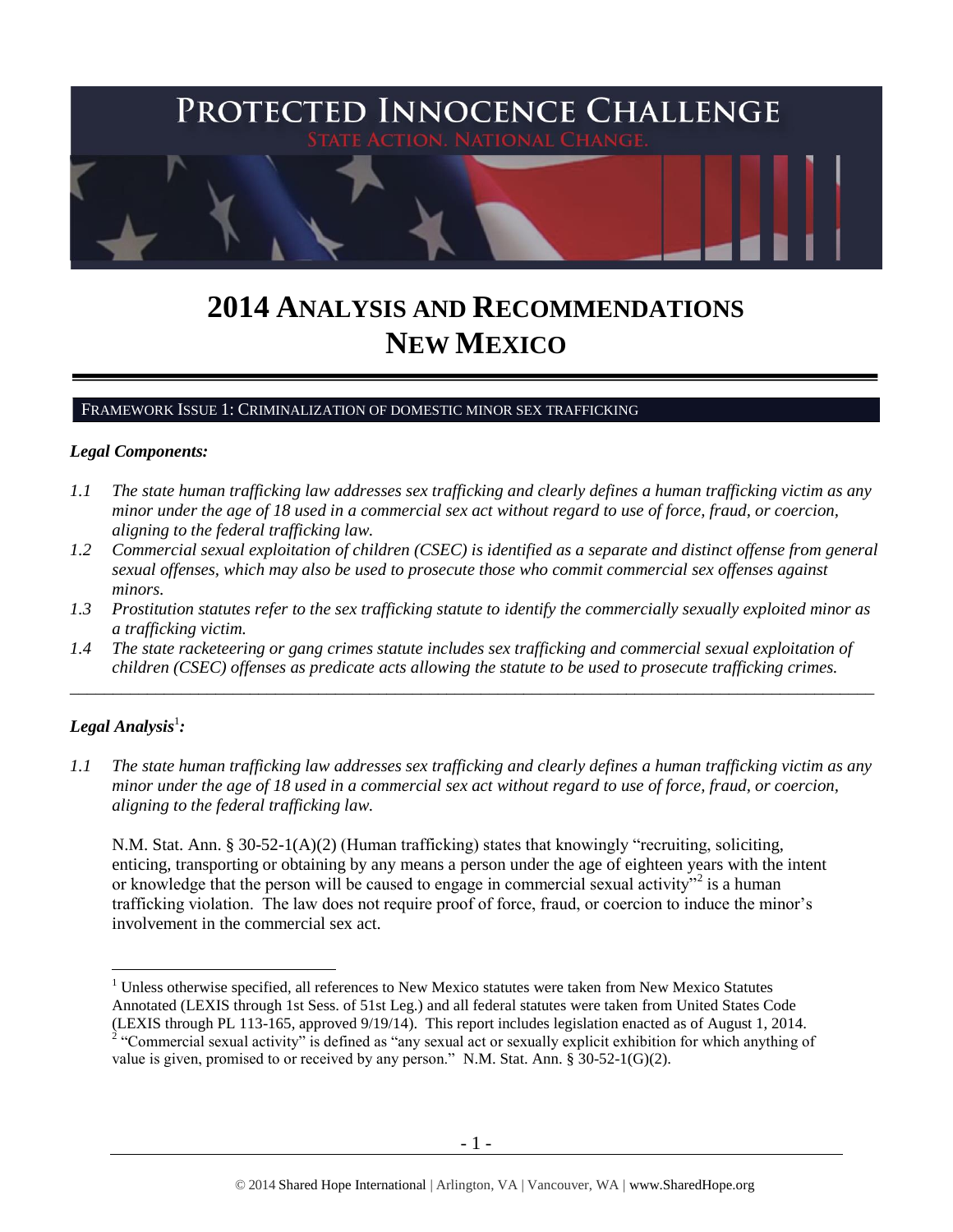

# **2014 ANALYSIS AND RECOMMENDATIONS NEW MEXICO**

#### FRAMEWORK ISSUE 1: CRIMINALIZATION OF DOMESTIC MINOR SEX TRAFFICKING

#### *Legal Components:*

- *1.1 The state human trafficking law addresses sex trafficking and clearly defines a human trafficking victim as any minor under the age of 18 used in a commercial sex act without regard to use of force, fraud, or coercion, aligning to the federal trafficking law.*
- *1.2 Commercial sexual exploitation of children (CSEC) is identified as a separate and distinct offense from general sexual offenses, which may also be used to prosecute those who commit commercial sex offenses against minors.*
- *1.3 Prostitution statutes refer to the sex trafficking statute to identify the commercially sexually exploited minor as a trafficking victim.*
- *1.4 The state racketeering or gang crimes statute includes sex trafficking and commercial sexual exploitation of children (CSEC) offenses as predicate acts allowing the statute to be used to prosecute trafficking crimes.*

\_\_\_\_\_\_\_\_\_\_\_\_\_\_\_\_\_\_\_\_\_\_\_\_\_\_\_\_\_\_\_\_\_\_\_\_\_\_\_\_\_\_\_\_\_\_\_\_\_\_\_\_\_\_\_\_\_\_\_\_\_\_\_\_\_\_\_\_\_\_\_\_\_\_\_\_\_\_\_\_\_\_\_\_\_\_\_\_\_\_\_\_\_\_

# $\bm{L}$ egal Analysis $^1$ :

 $\overline{a}$ 

*1.1 The state human trafficking law addresses sex trafficking and clearly defines a human trafficking victim as any minor under the age of 18 used in a commercial sex act without regard to use of force, fraud, or coercion, aligning to the federal trafficking law.*

<span id="page-0-0"></span>N.M. Stat. Ann. § 30-52-1(A)(2) (Human trafficking) states that knowingly "recruiting, soliciting, enticing, transporting or obtaining by any means a person under the age of eighteen years with the intent or knowledge that the person will be caused to engage in commercial sexual activity"<sup>2</sup> is a human trafficking violation. The law does not require proof of force, fraud, or coercion to induce the minor's involvement in the commercial sex act.

 $<sup>1</sup>$  Unless otherwise specified, all references to New Mexico statutes were taken from New Mexico Statutes</sup> Annotated (LEXIS through 1st Sess. of 51st Leg.) and all federal statutes were taken from United States Code (LEXIS through PL 113-165, approved 9/19/14). This report includes legislation enacted as of August 1, 2014.

<sup>&</sup>lt;sup>2</sup> "Commercial sexual activity" is defined as "any sexual act or sexually explicit exhibition for which anything of value is given, promised to or received by any person." N.M. Stat. Ann. § 30-52-1(G)(2).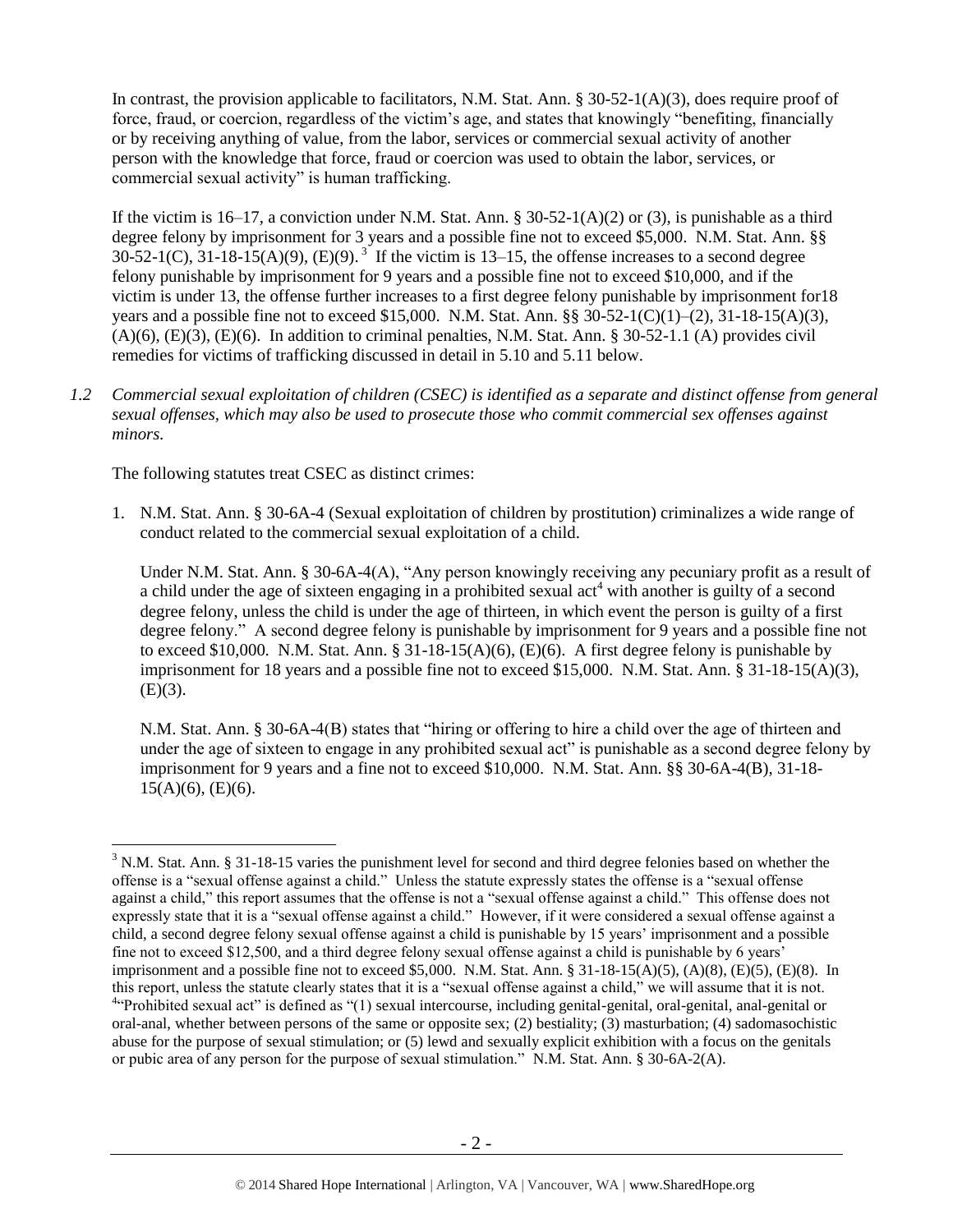In contrast, the provision applicable to facilitators, N.M. Stat. Ann. § 30-52-1(A)(3), does require proof of force, fraud, or coercion, regardless of the victim's age, and states that knowingly "benefiting, financially or by receiving anything of value, from the labor, services or commercial sexual activity of another person with the knowledge that force, fraud or coercion was used to obtain the labor, services, or commercial sexual activity" is human trafficking.

If the victim is 16–17, a conviction under N.M. Stat. Ann. § 30-52-1(A)(2) or (3), is punishable as a third degree felony by imprisonment for 3 years and a possible fine not to exceed \$5,000. N.M. Stat. Ann. §§  $30-52-1(C)$ ,  $31-18-15(A)(9)$ ,  $(E)(9)$ .<sup>3</sup> If the victim is 13–15, the offense increases to a second degree felony punishable by imprisonment for 9 years and a possible fine not to exceed \$10,000, and if the victim is under 13, the offense further increases to a first degree felony punishable by imprisonment for18 years and a possible fine not to exceed \$15,000. N.M. Stat. Ann. §§ 30-52-1(C)(1)–(2), 31-18-15(A)(3),  $(A)(6)$ ,  $(E)(3)$ ,  $(E)(6)$ . In addition to criminal penalties, N.M. Stat. Ann. § 30-52-1.1 (A) provides civil remedies for victims of trafficking discussed in detail in 5.10 and 5.11 below.

<span id="page-1-1"></span>*1.2 Commercial sexual exploitation of children (CSEC) is identified as a separate and distinct offense from general sexual offenses, which may also be used to prosecute those who commit commercial sex offenses against minors.*

The following statutes treat CSEC as distinct crimes:

 $\overline{a}$ 

1. N.M. Stat. Ann. § 30-6A-4 (Sexual exploitation of children by prostitution) criminalizes a wide range of conduct related to the commercial sexual exploitation of a child.

<span id="page-1-0"></span>Under N.M. Stat. Ann. § 30-6A-4(A), "Any person knowingly receiving any pecuniary profit as a result of a child under the age of sixteen engaging in a prohibited sexual act<sup>4</sup> with another is guilty of a second degree felony, unless the child is under the age of thirteen, in which event the person is guilty of a first degree felony." A second degree felony is punishable by imprisonment for 9 years and a possible fine not to exceed \$10,000. N.M. Stat. Ann.  $\S 31-18-15(A)(6)$ , (E)(6). A first degree felony is punishable by imprisonment for 18 years and a possible fine not to exceed \$15,000. N.M. Stat. Ann. § 31-18-15(A)(3),  $(E)(3)$ .

N.M. Stat. Ann. § 30-6A-4(B) states that "hiring or offering to hire a child over the age of thirteen and under the age of sixteen to engage in any prohibited sexual act" is punishable as a second degree felony by imprisonment for 9 years and a fine not to exceed \$10,000. N.M. Stat. Ann. §§ 30-6A-4(B), 31-18-  $15(A)(6)$ , (E)(6).

<sup>3</sup> N.M. Stat. Ann. § 31-18-15 varies the punishment level for second and third degree felonies based on whether the offense is a "sexual offense against a child." Unless the statute expressly states the offense is a "sexual offense against a child," this report assumes that the offense is not a "sexual offense against a child." This offense does not expressly state that it is a "sexual offense against a child." However, if it were considered a sexual offense against a child, a second degree felony sexual offense against a child is punishable by 15 years' imprisonment and a possible fine not to exceed \$12,500, and a third degree felony sexual offense against a child is punishable by 6 years' imprisonment and a possible fine not to exceed \$5,000. N.M. Stat. Ann. § 31-18-15(A)(5), (A)(8), (E)(5), (E)(8). In this report, unless the statute clearly states that it is a "sexual offense against a child," we will assume that it is not. <sup>4.4</sup>Prohibited sexual act" is defined as "(1) sexual intercourse, including genital-genital, oral-genital, anal-genital or oral-anal, whether between persons of the same or opposite sex; (2) bestiality; (3) masturbation; (4) sadomasochistic abuse for the purpose of sexual stimulation; or (5) lewd and sexually explicit exhibition with a focus on the genitals or pubic area of any person for the purpose of sexual stimulation." N.M. Stat. Ann. § 30-6A-2(A).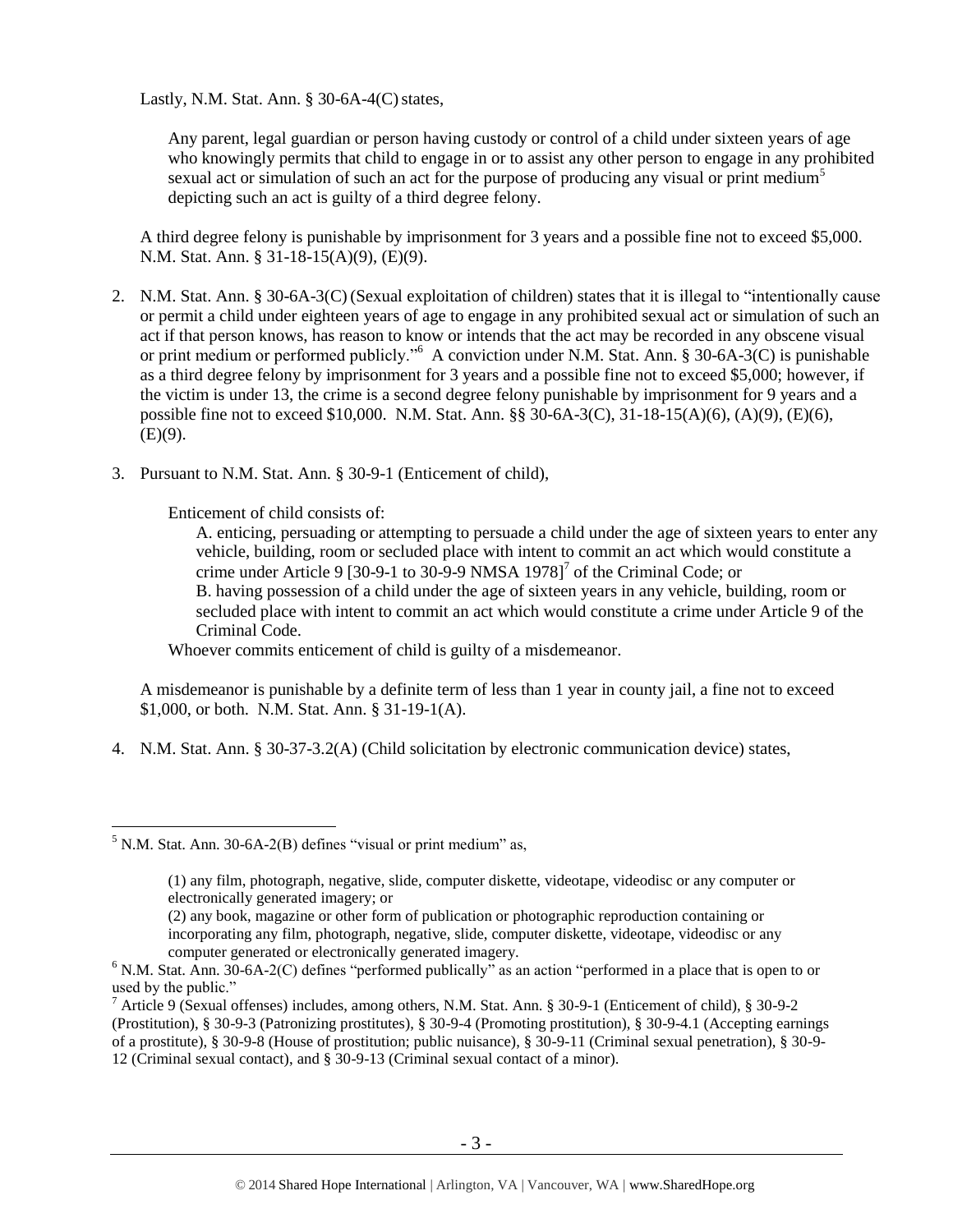Lastly, N.M. Stat. Ann.  $\S$  30-6A-4(C) states,

Any parent, legal guardian or person having custody or control of a child under sixteen years of age who knowingly permits that child to engage in or to assist any other person to engage in any prohibited sexual act or simulation of such an act for the purpose of producing any visual or print medium<sup>5</sup> depicting such an act is guilty of a third degree felony.

A third degree felony is punishable by imprisonment for 3 years and a possible fine not to exceed \$5,000. N.M. Stat. Ann. § 31-18-15(A)(9), (E)(9).

- 2. N.M. Stat. Ann. § 30-6A-3(C) (Sexual exploitation of children) states that it is illegal to "intentionally cause or permit a child under eighteen years of age to engage in any prohibited sexual act or simulation of such an act if that person knows, has reason to know or intends that the act may be recorded in any obscene visual or print medium or performed publicly."<sup>6</sup> A conviction under N.M. Stat. Ann. § 30-6A-3(C) is punishable as a third degree felony by imprisonment for 3 years and a possible fine not to exceed \$5,000; however, if the victim is under 13, the crime is a second degree felony punishable by imprisonment for 9 years and a possible fine not to exceed \$10,000. N.M. Stat. Ann. §§ 30-6A-3(C), 31-18-15(A)(6), (A)(9), (E)(6),  $(E)(9)$ .
- 3. Pursuant to N.M. Stat. Ann. § 30-9-1 (Enticement of child),

Enticement of child consists of:

<span id="page-2-0"></span>A. enticing, persuading or attempting to persuade a child under the age of sixteen years to enter any vehicle, building, room or secluded place with intent to commit an act which would constitute a crime under Article 9 [30-9-1 to 30-9-9 NMSA 1978]<sup>7</sup> of the Criminal Code; or B. having possession of a child under the age of sixteen years in any vehicle, building, room or secluded place with intent to commit an act which would constitute a crime under Article 9 of the Criminal Code.

Whoever commits enticement of child is guilty of a misdemeanor.

A misdemeanor is punishable by a definite term of less than 1 year in county jail, a fine not to exceed \$1,000, or both. N.M. Stat. Ann. § 31-19-1(A).

4. N.M. Stat. Ann. § 30-37-3.2(A) (Child solicitation by electronic communication device) states,

 $<sup>5</sup>$  N.M. Stat. Ann. 30-6A-2(B) defines "visual or print medium" as,</sup>

<sup>(1)</sup> any film, photograph, negative, slide, computer diskette, videotape, videodisc or any computer or electronically generated imagery; or

<sup>(2)</sup> any book, magazine or other form of publication or photographic reproduction containing or incorporating any film, photograph, negative, slide, computer diskette, videotape, videodisc or any computer generated or electronically generated imagery.

 $6$  N.M. Stat. Ann. 30-6A-2(C) defines "performed publically" as an action "performed in a place that is open to or used by the public."

<sup>&</sup>lt;sup>7</sup> Article 9 (Sexual offenses) includes, among others, N.M. Stat. Ann. § 30-9-1 (Enticement of child), § 30-9-2 (Prostitution), § 30-9-3 (Patronizing prostitutes), § 30-9-4 (Promoting prostitution), § 30-9-4.1 (Accepting earnings of a prostitute), § 30-9-8 (House of prostitution; public nuisance), § 30-9-11 (Criminal sexual penetration), § 30-9- 12 (Criminal sexual contact), and § 30-9-13 (Criminal sexual contact of a minor).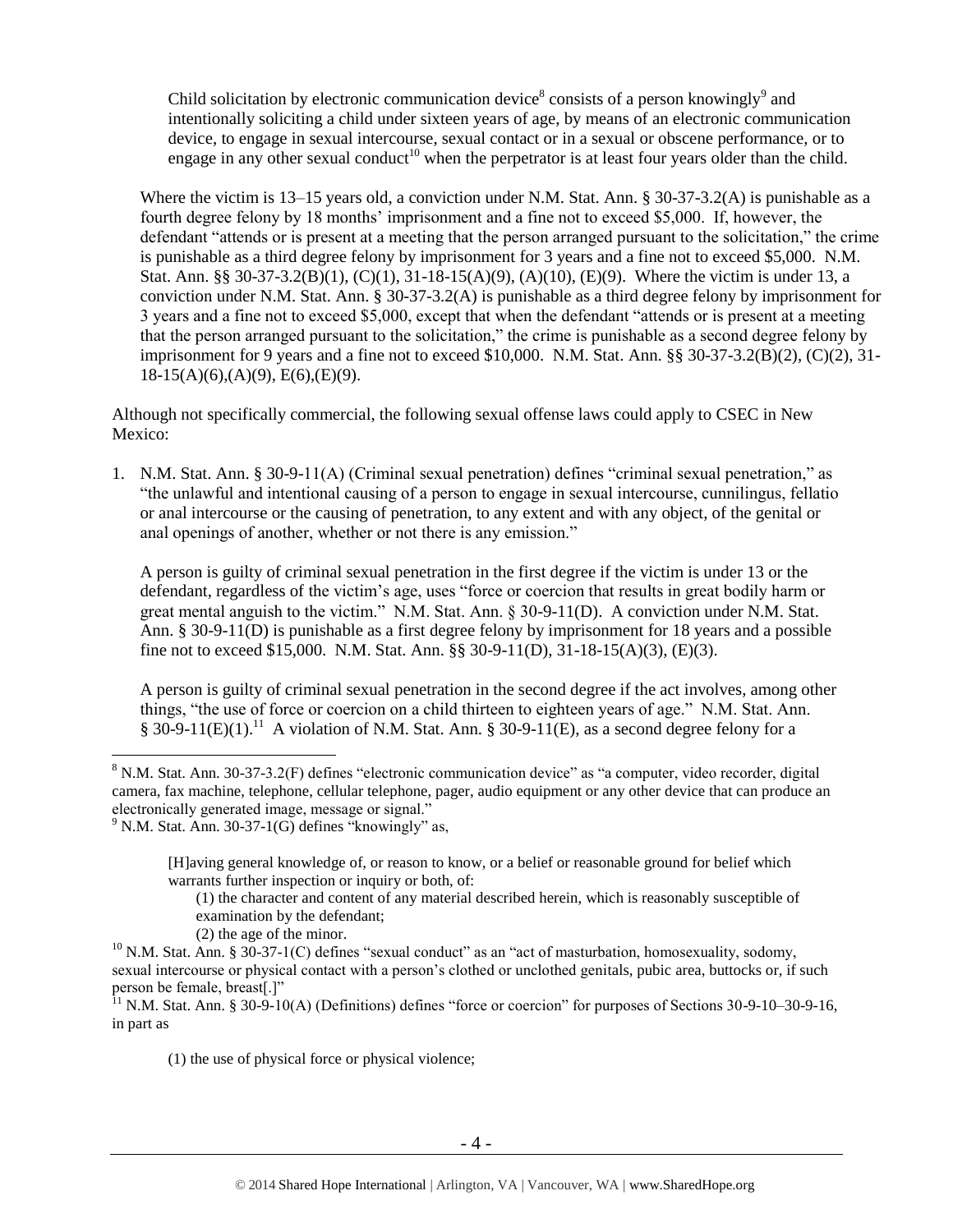<span id="page-3-0"></span>Child solicitation by electronic communication device<sup>8</sup> consists of a person knowingly<sup>9</sup> and intentionally soliciting a child under sixteen years of age, by means of an electronic communication device, to engage in sexual intercourse, sexual contact or in a sexual or obscene performance, or to engage in any other sexual conduct<sup>10</sup> when the perpetrator is at least four years older than the child.

Where the victim is 13–15 years old, a conviction under N.M. Stat. Ann. § 30-37-3.2(A) is punishable as a fourth degree felony by 18 months' imprisonment and a fine not to exceed \$5,000. If, however, the defendant "attends or is present at a meeting that the person arranged pursuant to the solicitation," the crime is punishable as a third degree felony by imprisonment for 3 years and a fine not to exceed \$5,000. N.M. Stat. Ann. §§ 30-37-3.2(B)(1), (C)(1), 31-18-15(A)(9), (A)(10), (E)(9). Where the victim is under 13, a conviction under N.M. Stat. Ann. § 30-37-3.2(A) is punishable as a third degree felony by imprisonment for 3 years and a fine not to exceed \$5,000, except that when the defendant "attends or is present at a meeting that the person arranged pursuant to the solicitation," the crime is punishable as a second degree felony by imprisonment for 9 years and a fine not to exceed \$10,000. N.M. Stat. Ann. §§ 30-37-3.2(B)(2), (C)(2), 31-  $18-15(A)(6),(A)(9), E(6),(E)(9).$ 

Although not specifically commercial, the following sexual offense laws could apply to CSEC in New Mexico:

1. N.M. Stat. Ann. § 30-9-11(A) (Criminal sexual penetration) defines "criminal sexual penetration," as "the unlawful and intentional causing of a person to engage in sexual intercourse, cunnilingus, fellatio or anal intercourse or the causing of penetration, to any extent and with any object, of the genital or anal openings of another, whether or not there is any emission."

A person is guilty of criminal sexual penetration in the first degree if the victim is under 13 or the defendant, regardless of the victim's age, uses "force or coercion that results in great bodily harm or great mental anguish to the victim." N.M. Stat. Ann. § 30-9-11(D). A conviction under N.M. Stat. Ann. § 30-9-11(D) is punishable as a first degree felony by imprisonment for 18 years and a possible fine not to exceed \$15,000. N.M. Stat. Ann. §§ 30-9-11(D), 31-18-15(A)(3), (E)(3).

A person is guilty of criminal sexual penetration in the second degree if the act involves, among other things, "the use of force or coercion on a child thirteen to eighteen years of age." N.M. Stat. Ann. § 30-9-11(E)(1).<sup>11</sup> A violation of N.M. Stat. Ann. § 30-9-11(E), as a second degree felony for a

 $\overline{a}$ 

(2) the age of the minor.

(1) the use of physical force or physical violence;

<sup>8</sup> N.M. Stat. Ann. 30-37-3.2(F) defines "electronic communication device" as "a computer, video recorder, digital camera, fax machine, telephone, cellular telephone, pager, audio equipment or any other device that can produce an electronically generated image, message or signal."

 $9$  N.M. Stat. Ann. 30-37-1(G) defines "knowingly" as,

<sup>[</sup>H]aving general knowledge of, or reason to know, or a belief or reasonable ground for belief which warrants further inspection or inquiry or both, of:

<sup>(1)</sup> the character and content of any material described herein, which is reasonably susceptible of examination by the defendant;

 $10$  N.M. Stat. Ann. § 30-37-1(C) defines "sexual conduct" as an "act of masturbation, homosexuality, sodomy, sexual intercourse or physical contact with a person's clothed or unclothed genitals, pubic area, buttocks or, if such person be female, breast[.]"

 $11$  N.M. Stat. Ann. § 30-9-10(A) (Definitions) defines "force or coercion" for purposes of Sections 30-9-10–30-9-16, in part as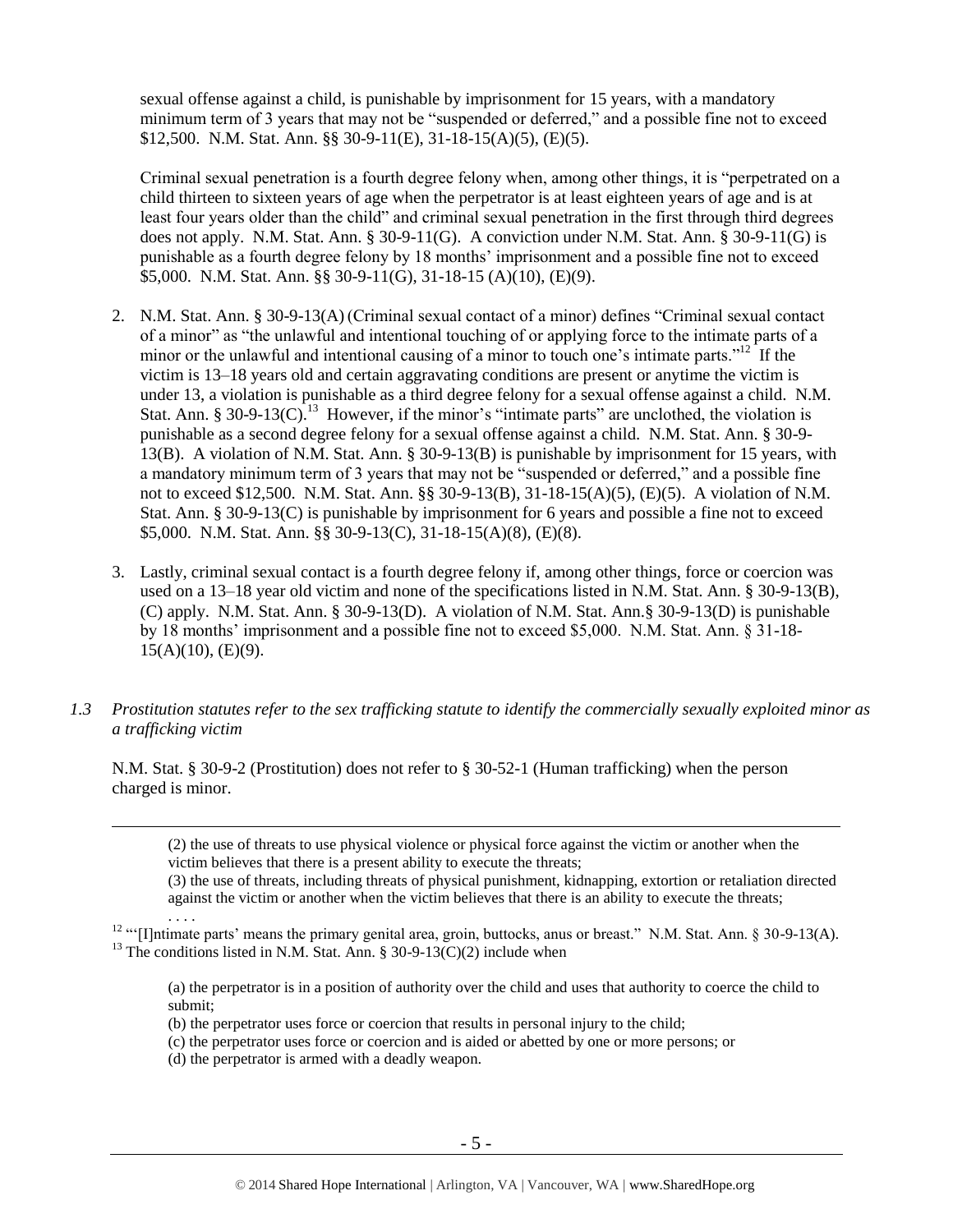sexual offense against a child, is punishable by imprisonment for 15 years, with a mandatory minimum term of 3 years that may not be "suspended or deferred," and a possible fine not to exceed \$12,500. N.M. Stat. Ann. §§ 30-9-11(E), 31-18-15(A)(5), (E)(5).

Criminal sexual penetration is a fourth degree felony when, among other things, it is "perpetrated on a child thirteen to sixteen years of age when the perpetrator is at least eighteen years of age and is at least four years older than the child" and criminal sexual penetration in the first through third degrees does not apply. N.M. Stat. Ann. § 30-9-11(G). A conviction under N.M. Stat. Ann. § 30-9-11(G) is punishable as a fourth degree felony by 18 months' imprisonment and a possible fine not to exceed \$5,000. N.M. Stat. Ann. §§ 30-9-11(G), 31-18-15 (A)(10), (E)(9).

- 2. N.M. Stat. Ann. § 30-9-13(A) (Criminal sexual contact of a minor) defines "Criminal sexual contact of a minor" as "the unlawful and intentional touching of or applying force to the intimate parts of a minor or the unlawful and intentional causing of a minor to touch one's intimate parts."<sup>12</sup> If the victim is 13–18 years old and certain aggravating conditions are present or anytime the victim is under 13, a violation is punishable as a third degree felony for a sexual offense against a child. N.M. Stat. Ann. § 30-9-13 $(C)$ .<sup>13</sup> However, if the minor's "intimate parts" are unclothed, the violation is punishable as a second degree felony for a sexual offense against a child. N.M. Stat. Ann. § 30-9- 13(B). A violation of N.M. Stat. Ann. § 30-9-13(B) is punishable by imprisonment for 15 years, with a mandatory minimum term of 3 years that may not be "suspended or deferred," and a possible fine not to exceed \$12,500. N.M. Stat. Ann. §§ 30-9-13(B), 31-18-15(A)(5), (E)(5). A violation of N.M. Stat. Ann. § 30-9-13(C) is punishable by imprisonment for 6 years and possible a fine not to exceed \$5,000. N.M. Stat. Ann. §§ 30-9-13(C), 31-18-15(A)(8), (E)(8).
- 3. Lastly, criminal sexual contact is a fourth degree felony if, among other things, force or coercion was used on a 13–18 year old victim and none of the specifications listed in N.M. Stat. Ann. § 30-9-13(B), (C) apply. N.M. Stat. Ann. § 30-9-13(D). A violation of N.M. Stat. Ann.§ 30-9-13(D) is punishable by 18 months' imprisonment and a possible fine not to exceed \$5,000. N.M. Stat. Ann. § 31-18-  $15(A)(10)$ ,  $(E)(9)$ .
- *1.3 Prostitution statutes refer to the sex trafficking statute to identify the commercially sexually exploited minor as a trafficking victim*

N.M. Stat. § 30-9-2 (Prostitution) does not refer to § 30-52-1 (Human trafficking) when the person charged is minor.

(2) the use of threats to use physical violence or physical force against the victim or another when the victim believes that there is a present ability to execute the threats;

(3) the use of threats, including threats of physical punishment, kidnapping, extortion or retaliation directed against the victim or another when the victim believes that there is an ability to execute the threats;

. . . . <sup>12</sup> "'[I]ntimate parts' means the primary genital area, groin, buttocks, anus or breast." N.M. Stat. Ann. § 30-9-13(A). <sup>13</sup> The conditions listed in N.M. Stat. Ann. § 30-9-13(C)(2) include when

(a) the perpetrator is in a position of authority over the child and uses that authority to coerce the child to submit;

- (b) the perpetrator uses force or coercion that results in personal injury to the child;
- (c) the perpetrator uses force or coercion and is aided or abetted by one or more persons; or
- (d) the perpetrator is armed with a deadly weapon.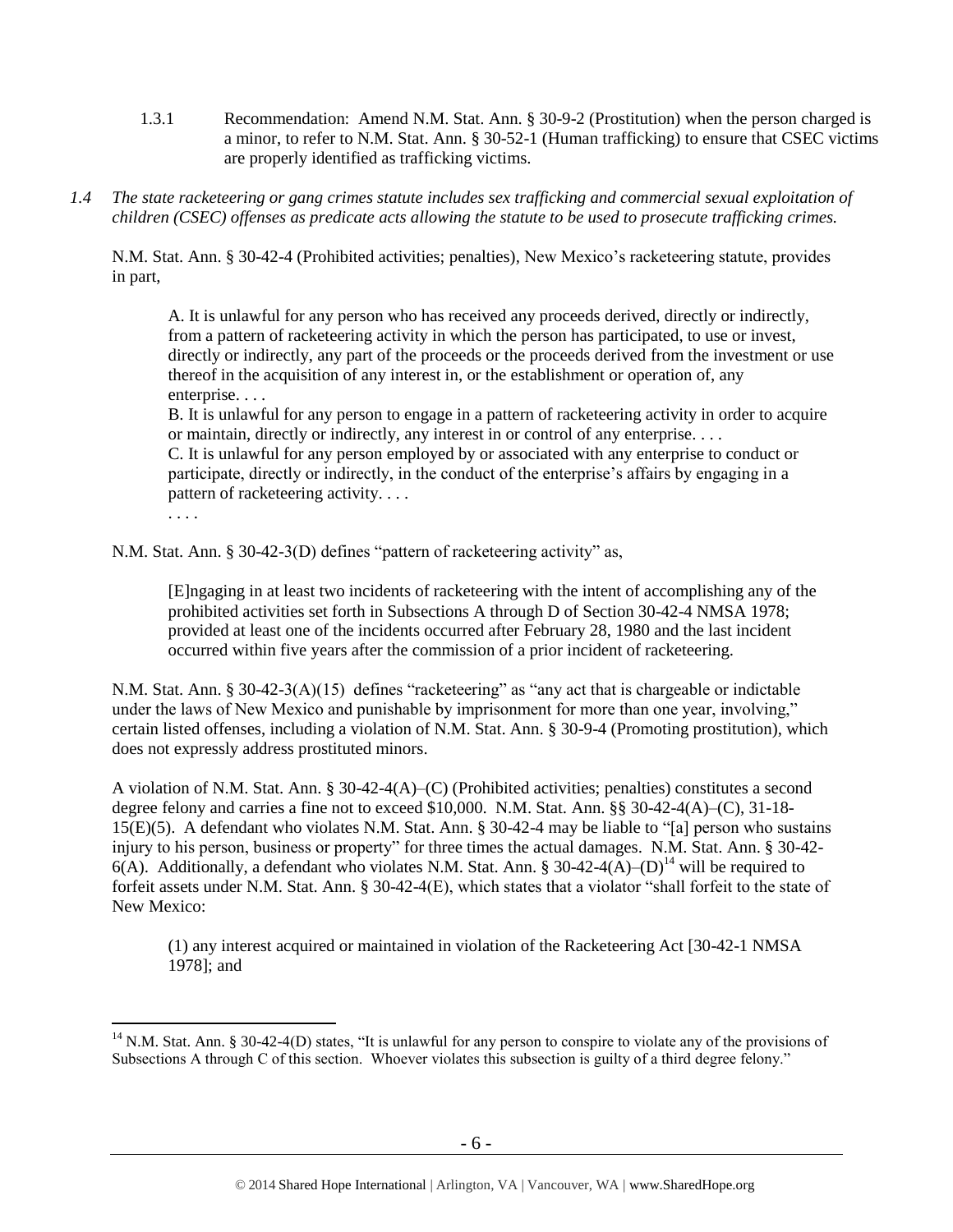- 1.3.1 Recommendation: Amend N.M. Stat. Ann. § 30-9-2 (Prostitution) when the person charged is a minor, to refer to N.M. Stat. Ann. § 30-52-1 (Human trafficking) to ensure that CSEC victims are properly identified as trafficking victims.
- *1.4 The state racketeering or gang crimes statute includes sex trafficking and commercial sexual exploitation of children (CSEC) offenses as predicate acts allowing the statute to be used to prosecute trafficking crimes.*

N.M. Stat. Ann. § 30-42-4 (Prohibited activities; penalties), New Mexico's racketeering statute, provides in part,

A. It is unlawful for any person who has received any proceeds derived, directly or indirectly, from a pattern of racketeering activity in which the person has participated, to use or invest, directly or indirectly, any part of the proceeds or the proceeds derived from the investment or use thereof in the acquisition of any interest in, or the establishment or operation of, any enterprise. . . .

B. It is unlawful for any person to engage in a pattern of racketeering activity in order to acquire or maintain, directly or indirectly, any interest in or control of any enterprise. . . .

C. It is unlawful for any person employed by or associated with any enterprise to conduct or participate, directly or indirectly, in the conduct of the enterprise's affairs by engaging in a pattern of racketeering activity. . . .

. . . .

 $\overline{a}$ 

N.M. Stat. Ann. § 30-42-3(D) defines "pattern of racketeering activity" as,

[E]ngaging in at least two incidents of racketeering with the intent of accomplishing any of the prohibited activities set forth in Subsections A through D of Section 30-42-4 NMSA 1978; provided at least one of the incidents occurred after February 28, 1980 and the last incident occurred within five years after the commission of a prior incident of racketeering.

N.M. Stat. Ann. § 30-42-3(A)(15) defines "racketeering" as "any act that is chargeable or indictable under the laws of New Mexico and punishable by imprisonment for more than one year, involving," certain listed offenses, including a violation of N.M. Stat. Ann. § 30-9-4 (Promoting prostitution), which does not expressly address prostituted minors.

A violation of N.M. Stat. Ann. § 30-42-4(A)–(C) (Prohibited activities; penalties) constitutes a second degree felony and carries a fine not to exceed \$10,000. N.M. Stat. Ann. §§ 30-42-4(A)–(C), 31-18- 15(E)(5). A defendant who violates N.M. Stat. Ann. § 30-42-4 may be liable to "[a] person who sustains injury to his person, business or property" for three times the actual damages. N.M. Stat. Ann. § 30-42- 6(A). Additionally, a defendant who violates N.M. Stat. Ann. § 30-42-4( $\overline{A}$ )–(D)<sup>14</sup> will be required to forfeit assets under N.M. Stat. Ann. § 30-42-4(E), which states that a violator "shall forfeit to the state of New Mexico:

(1) any interest acquired or maintained in violation of the Racketeering Act [30-42-1 NMSA 1978]; and

<sup>&</sup>lt;sup>14</sup> N.M. Stat. Ann. § 30-42-4(D) states, "It is unlawful for any person to conspire to violate any of the provisions of Subsections A through C of this section. Whoever violates this subsection is guilty of a third degree felony."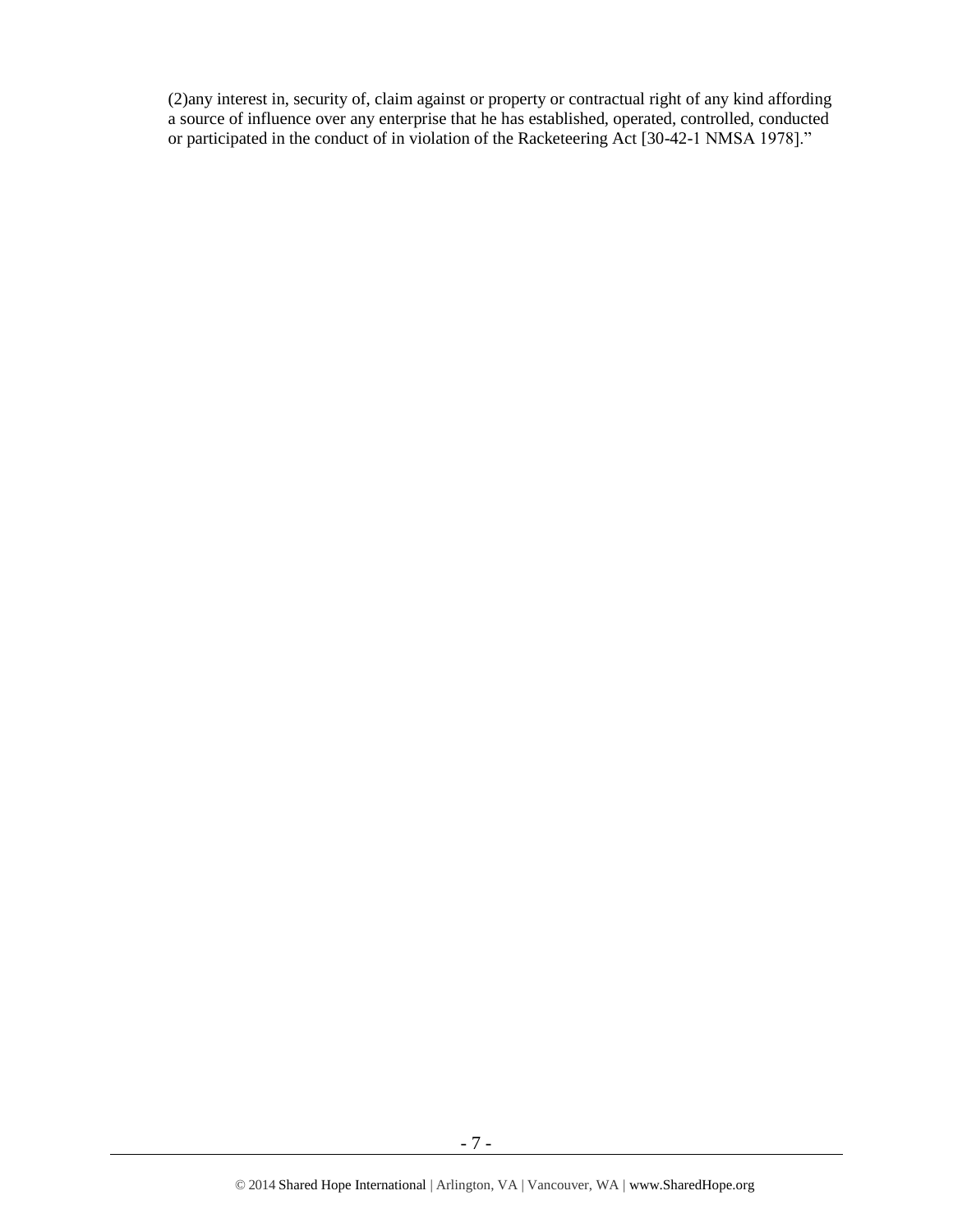(2)any interest in, security of, claim against or property or contractual right of any kind affording a source of influence over any enterprise that he has established, operated, controlled, conducted or participated in the conduct of in violation of the Racketeering Act [30-42-1 NMSA 1978]."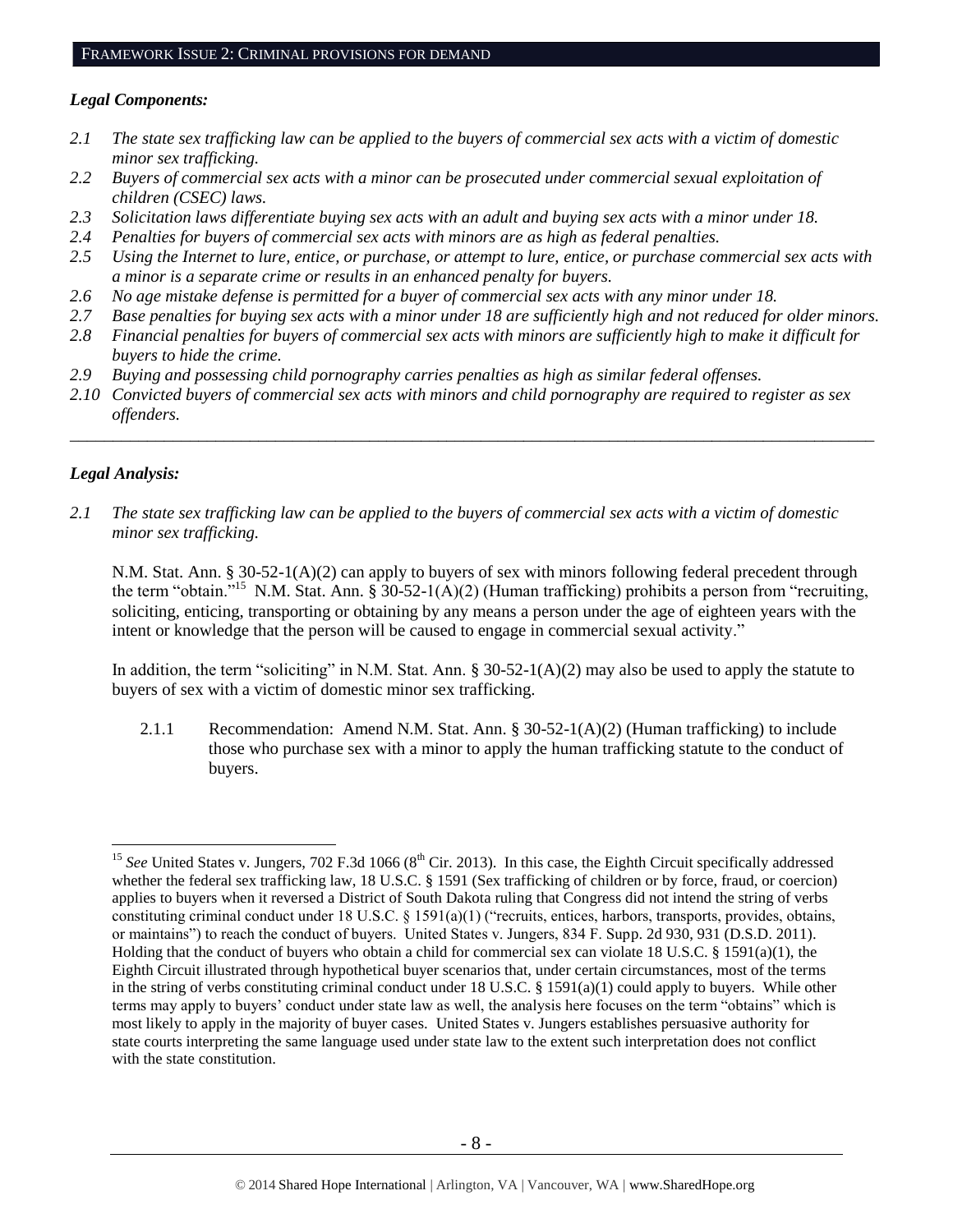#### *Legal Components:*

- *2.1 The state sex trafficking law can be applied to the buyers of commercial sex acts with a victim of domestic minor sex trafficking.*
- *2.2 Buyers of commercial sex acts with a minor can be prosecuted under commercial sexual exploitation of children (CSEC) laws.*
- *2.3 Solicitation laws differentiate buying sex acts with an adult and buying sex acts with a minor under 18.*
- *2.4 Penalties for buyers of commercial sex acts with minors are as high as federal penalties.*
- *2.5 Using the Internet to lure, entice, or purchase, or attempt to lure, entice, or purchase commercial sex acts with a minor is a separate crime or results in an enhanced penalty for buyers.*
- *2.6 No age mistake defense is permitted for a buyer of commercial sex acts with any minor under 18.*
- *2.7 Base penalties for buying sex acts with a minor under 18 are sufficiently high and not reduced for older minors.*
- *2.8 Financial penalties for buyers of commercial sex acts with minors are sufficiently high to make it difficult for buyers to hide the crime.*
- *2.9 Buying and possessing child pornography carries penalties as high as similar federal offenses.*
- *2.10 Convicted buyers of commercial sex acts with minors and child pornography are required to register as sex offenders.*

\_\_\_\_\_\_\_\_\_\_\_\_\_\_\_\_\_\_\_\_\_\_\_\_\_\_\_\_\_\_\_\_\_\_\_\_\_\_\_\_\_\_\_\_\_\_\_\_\_\_\_\_\_\_\_\_\_\_\_\_\_\_\_\_\_\_\_\_\_\_\_\_\_\_\_\_\_\_\_\_\_\_\_\_\_\_\_\_\_\_\_\_\_\_

#### *Legal Analysis:*

 $\overline{a}$ 

*2.1 The state sex trafficking law can be applied to the buyers of commercial sex acts with a victim of domestic minor sex trafficking.*

N.M. Stat. Ann. § 30-52-1(A)(2) can apply to buyers of sex with minors following federal precedent through the term "obtain."<sup>15</sup> N.M. Stat. Ann. § 30-52-1(A)(2) (Human trafficking) prohibits a person from "recruiting, soliciting, enticing, transporting or obtaining by any means a person under the age of eighteen years with the intent or knowledge that the person will be caused to engage in commercial sexual activity."

In addition, the term "soliciting" in N.M. Stat. Ann. §  $30-52-1(A)(2)$  may also be used to apply the statute to buyers of sex with a victim of domestic minor sex trafficking.

2.1.1 Recommendation: Amend N.M. Stat. Ann. § 30-52-1(A)(2) (Human trafficking) to include those who purchase sex with a minor to apply the human trafficking statute to the conduct of buyers.

<sup>&</sup>lt;sup>15</sup> *See* United States v. Jungers, 702 F.3d 1066 ( $8<sup>th</sup>$  Cir. 2013). In this case, the Eighth Circuit specifically addressed whether the federal sex trafficking law, 18 U.S.C. § 1591 (Sex trafficking of children or by force, fraud, or coercion) applies to buyers when it reversed a District of South Dakota ruling that Congress did not intend the string of verbs constituting criminal conduct under 18 U.S.C. § 1591(a)(1) ("recruits, entices, harbors, transports, provides, obtains, or maintains") to reach the conduct of buyers. United States v. Jungers, 834 F. Supp. 2d 930, 931 (D.S.D. 2011). Holding that the conduct of buyers who obtain a child for commercial sex can violate 18 U.S.C. § 1591(a)(1), the Eighth Circuit illustrated through hypothetical buyer scenarios that, under certain circumstances, most of the terms in the string of verbs constituting criminal conduct under 18 U.S.C. § 1591(a)(1) could apply to buyers. While other terms may apply to buyers' conduct under state law as well, the analysis here focuses on the term "obtains" which is most likely to apply in the majority of buyer cases. United States v. Jungers establishes persuasive authority for state courts interpreting the same language used under state law to the extent such interpretation does not conflict with the state constitution.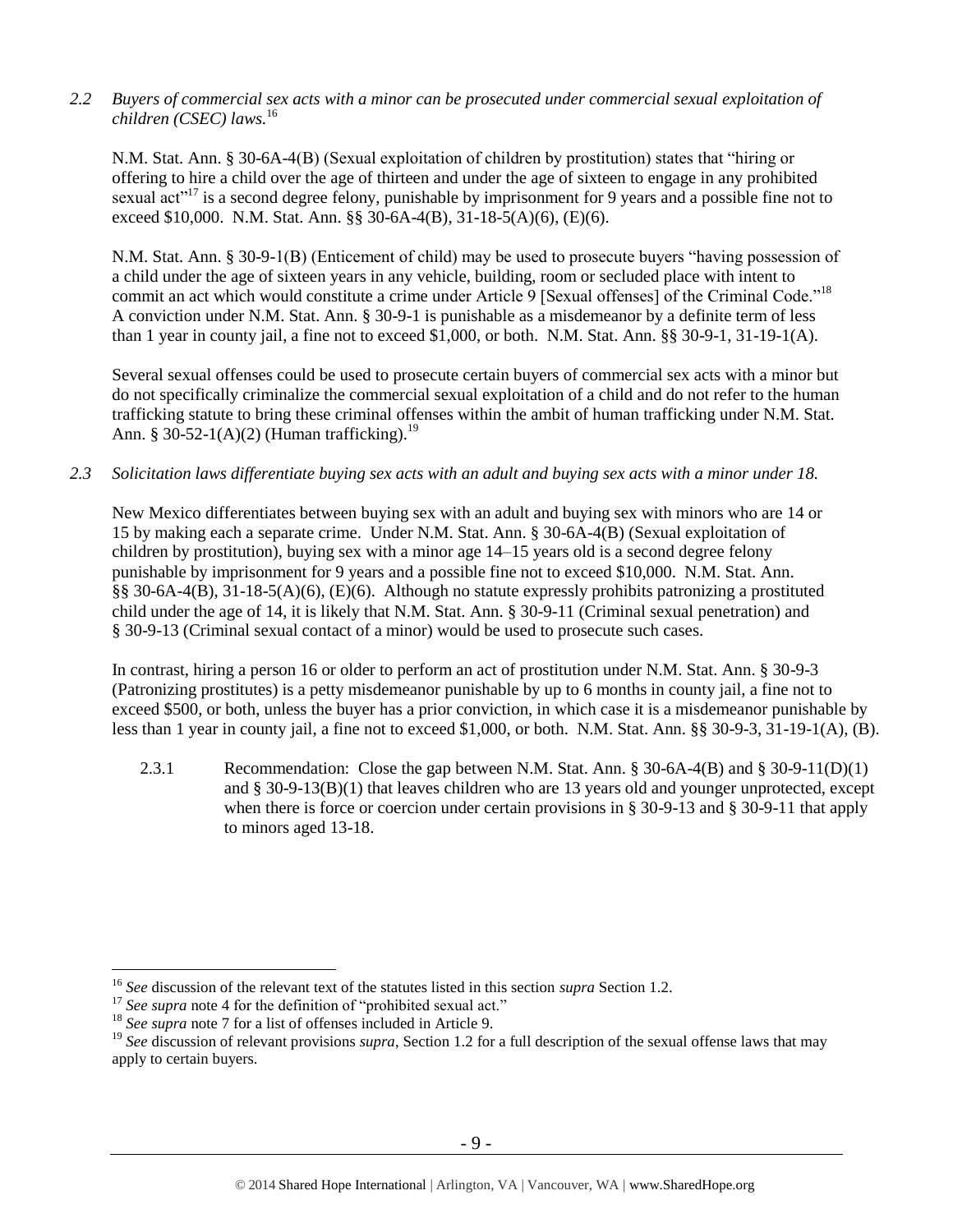*2.2 Buyers of commercial sex acts with a minor can be prosecuted under commercial sexual exploitation of children (CSEC) laws.* 16 

N.M. Stat. Ann. § 30-6A-4(B) (Sexual exploitation of children by prostitution) states that "hiring or offering to hire a child over the age of thirteen and under the age of sixteen to engage in any prohibited sexual act<sup>"17</sup> is a second degree felony, punishable by imprisonment for 9 years and a possible fine not to exceed \$10,000. N.M. Stat. Ann. §§ 30-6A-4(B), 31-18-5(A)(6), (E)(6).

N.M. Stat. Ann. § 30-9-1(B) (Enticement of child) may be used to prosecute buyers "having possession of a child under the age of sixteen years in any vehicle, building, room or secluded place with intent to commit an act which would constitute a crime under Article 9 [Sexual offenses] of the Criminal Code."<sup>18</sup> A conviction under N.M. Stat. Ann. § 30-9-1 is punishable as a misdemeanor by a definite term of less than 1 year in county jail, a fine not to exceed \$1,000, or both. N.M. Stat. Ann. §§ 30-9-1, 31-19-1(A).

Several sexual offenses could be used to prosecute certain buyers of commercial sex acts with a minor but do not specifically criminalize the commercial sexual exploitation of a child and do not refer to the human trafficking statute to bring these criminal offenses within the ambit of human trafficking under N.M. Stat. Ann. § 30-52-1(A)(2) (Human trafficking).<sup>19</sup>

*2.3 Solicitation laws differentiate buying sex acts with an adult and buying sex acts with a minor under 18.*

New Mexico differentiates between buying sex with an adult and buying sex with minors who are 14 or 15 by making each a separate crime. Under N.M. Stat. Ann. § 30-6A-4(B) (Sexual exploitation of children by prostitution), buying sex with a minor age 14–15 years old is a second degree felony punishable by imprisonment for 9 years and a possible fine not to exceed \$10,000. N.M. Stat. Ann. §§ 30-6A-4(B), 31-18-5(A)(6), (E)(6). Although no statute expressly prohibits patronizing a prostituted child under the age of 14, it is likely that N.M. Stat. Ann. § 30-9-11 (Criminal sexual penetration) and § 30-9-13 (Criminal sexual contact of a minor) would be used to prosecute such cases.

In contrast, hiring a person 16 or older to perform an act of prostitution under N.M. Stat. Ann. § 30-9-3 (Patronizing prostitutes) is a petty misdemeanor punishable by up to 6 months in county jail, a fine not to exceed \$500, or both, unless the buyer has a prior conviction, in which case it is a misdemeanor punishable by less than 1 year in county jail, a fine not to exceed \$1,000, or both. N.M. Stat. Ann. §§ 30-9-3, 31-19-1(A), (B).

2.3.1 Recommendation: Close the gap between N.M. Stat. Ann. § 30-6A-4(B) and § 30-9-11(D)(1) and  $\S 30-9-13(B)(1)$  that leaves children who are 13 years old and younger unprotected, except when there is force or coercion under certain provisions in § 30-9-13 and § 30-9-11 that apply to minors aged 13-18.

<sup>16</sup> *See* discussion of the relevant text of the statutes listed in this section *supra* Section 1.2.

<sup>&</sup>lt;sup>17</sup> See supra note [4](#page-1-0) for the definition of "prohibited sexual act."

<sup>18</sup> *See supra* note [7](#page-2-0) for a list of offenses included in Article 9.

<sup>&</sup>lt;sup>19</sup> See discussion of relevant provisions *supra*, Section 1[.2](#page-1-1) for a full description of the sexual offense laws that may apply to certain buyers.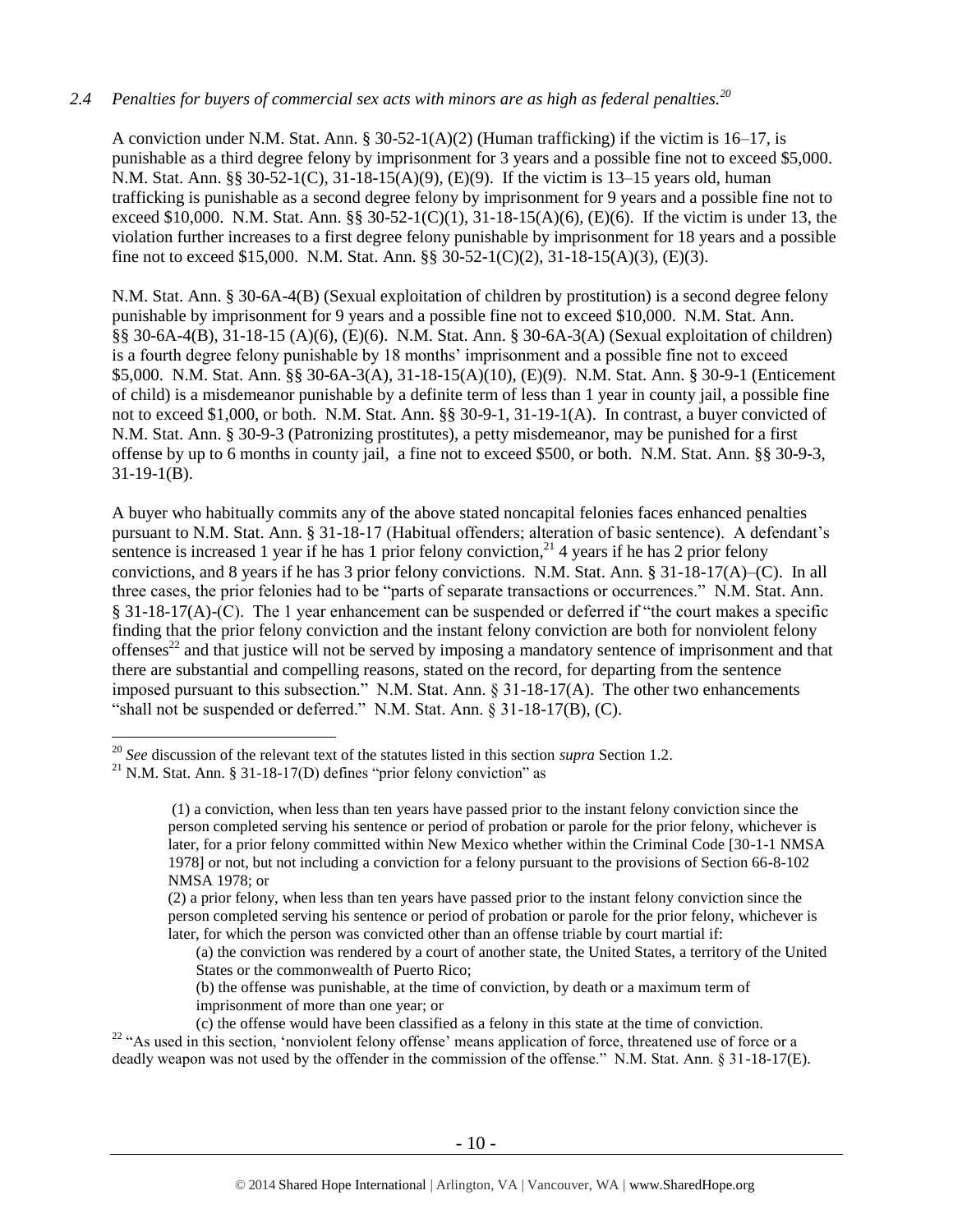# *2.4 Penalties for buyers of commercial sex acts with minors are as high as federal penalties.<sup>20</sup>*

A conviction under N.M. Stat. Ann. § 30-52-1(A)(2) (Human trafficking) if the victim is 16–17, is punishable as a third degree felony by imprisonment for 3 years and a possible fine not to exceed \$5,000. N.M. Stat. Ann. §§ 30-52-1(C), 31-18-15(A)(9), (E)(9). If the victim is 13–15 years old, human trafficking is punishable as a second degree felony by imprisonment for 9 years and a possible fine not to exceed \$10,000. N.M. Stat. Ann. §§ 30-52-1(C)(1), 31-18-15(A)(6), (E)(6). If the victim is under 13, the violation further increases to a first degree felony punishable by imprisonment for 18 years and a possible fine not to exceed \$15,000. N.M. Stat. Ann. §§ 30-52-1(C)(2), 31-18-15(A)(3), (E)(3).

N.M. Stat. Ann. § 30-6A-4(B) (Sexual exploitation of children by prostitution) is a second degree felony punishable by imprisonment for 9 years and a possible fine not to exceed \$10,000. N.M. Stat. Ann. §§ 30-6A-4(B), 31-18-15 (A)(6), (E)(6). N.M. Stat. Ann. § 30-6A-3(A) (Sexual exploitation of children) is a fourth degree felony punishable by 18 months' imprisonment and a possible fine not to exceed \$5,000. N.M. Stat. Ann. §§ 30-6A-3(A), 31-18-15(A)(10), (E)(9). N.M. Stat. Ann. § 30-9-1 (Enticement of child) is a misdemeanor punishable by a definite term of less than 1 year in county jail, a possible fine not to exceed \$1,000, or both. N.M. Stat. Ann. §§ 30-9-1, 31-19-1(A). In contrast, a buyer convicted of N.M. Stat. Ann. § 30-9-3 (Patronizing prostitutes), a petty misdemeanor, may be punished for a first offense by up to 6 months in county jail, a fine not to exceed \$500, or both. N.M. Stat. Ann. §§ 30-9-3, 31-19-1(B).

A buyer who habitually commits any of the above stated noncapital felonies faces enhanced penalties pursuant to N.M. Stat. Ann. § 31-18-17 (Habitual offenders; alteration of basic sentence). A defendant's sentence is increased 1 year if he has 1 prior felony conviction,  $^{21}$  4 years if he has 2 prior felony convictions, and 8 years if he has 3 prior felony convictions. N.M. Stat. Ann. § 31-18-17(A)–(C). In all three cases, the prior felonies had to be "parts of separate transactions or occurrences." N.M. Stat. Ann. § 31-18-17(A)-(C). The 1 year enhancement can be suspended or deferred if "the court makes a specific finding that the prior felony conviction and the instant felony conviction are both for nonviolent felony offenses<sup>22</sup> and that justice will not be served by imposing a mandatory sentence of imprisonment and that there are substantial and compelling reasons, stated on the record, for departing from the sentence imposed pursuant to this subsection." N.M. Stat. Ann. § 31-18-17(A). The other two enhancements "shall not be suspended or deferred." N.M. Stat. Ann. § 31-18-17(B), (C).

<sup>20</sup> *See* discussion of the relevant text of the statutes listed in this section *supra* Section 1[.2.](#page-1-1)

 $21$  N.M. Stat. Ann. § 31-18-17(D) defines "prior felony conviction" as

<sup>(1)</sup> a conviction, when less than ten years have passed prior to the instant felony conviction since the person completed serving his sentence or period of probation or parole for the prior felony, whichever is later, for a prior felony committed within New Mexico whether within the Criminal Code [30-1-1 NMSA 1978] or not, but not including a conviction for a felony pursuant to the provisions of Section 66-8-102 NMSA 1978; or

<sup>(2)</sup> a prior felony, when less than ten years have passed prior to the instant felony conviction since the person completed serving his sentence or period of probation or parole for the prior felony, whichever is later, for which the person was convicted other than an offense triable by court martial if:

<sup>(</sup>a) the conviction was rendered by a court of another state, the United States, a territory of the United States or the commonwealth of Puerto Rico;

<sup>(</sup>b) the offense was punishable, at the time of conviction, by death or a maximum term of imprisonment of more than one year; or

<sup>(</sup>c) the offense would have been classified as a felony in this state at the time of conviction. <sup>22</sup> "As used in this section, 'nonviolent felony offense' means application of force, threatened use of force or a deadly weapon was not used by the offender in the commission of the offense." N.M. Stat. Ann. § 31-18-17(E).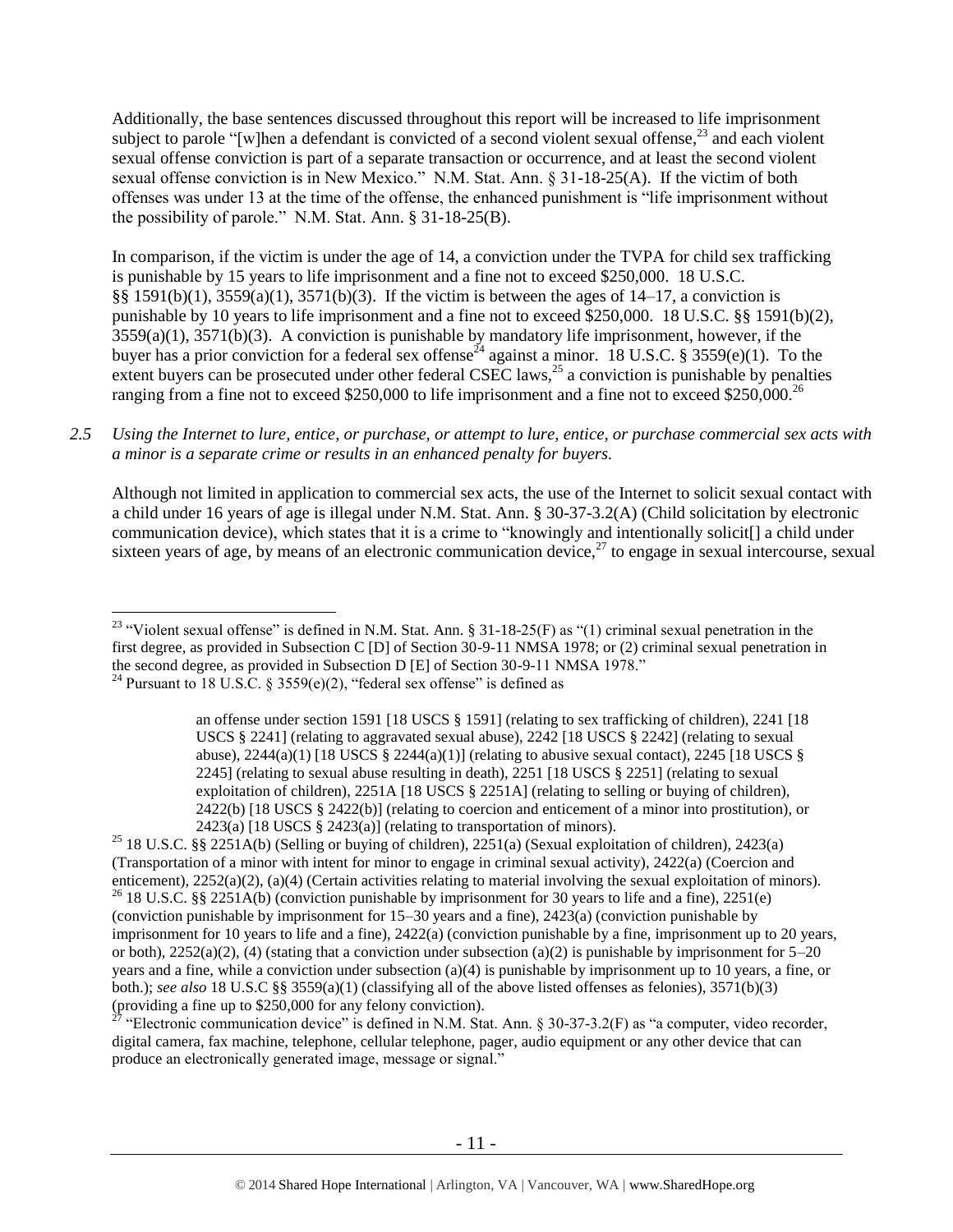Additionally, the base sentences discussed throughout this report will be increased to life imprisonment subject to parole "[w]hen a defendant is convicted of a second violent sexual offense.<sup>23</sup> and each violent sexual offense conviction is part of a separate transaction or occurrence, and at least the second violent sexual offense conviction is in New Mexico." N.M. Stat. Ann. § 31-18-25(A). If the victim of both offenses was under 13 at the time of the offense, the enhanced punishment is "life imprisonment without the possibility of parole." N.M. Stat. Ann. § 31-18-25(B).

<span id="page-10-0"></span>In comparison, if the victim is under the age of 14, a conviction under the TVPA for child sex trafficking is punishable by 15 years to life imprisonment and a fine not to exceed \$250,000. 18 U.S.C. §§ 1591(b)(1), 3559(a)(1), 3571(b)(3). If the victim is between the ages of 14–17, a conviction is punishable by 10 years to life imprisonment and a fine not to exceed \$250,000. 18 U.S.C. §§ 1591(b)(2),  $3559(a)(1)$ ,  $3571(b)(3)$ . A conviction is punishable by mandatory life imprisonment, however, if the buyer has a prior conviction for a federal sex offense<sup>24</sup> against a minor. 18 U.S.C. § 3559(e)(1). To the extent buyers can be prosecuted under other federal CSEC laws,<sup>25</sup> a conviction is punishable by penalties ranging from a fine not to exceed \$250,000 to life imprisonment and a fine not to exceed \$250,000.<sup>26</sup>

# *2.5 Using the Internet to lure, entice, or purchase, or attempt to lure, entice, or purchase commercial sex acts with a minor is a separate crime or results in an enhanced penalty for buyers.*

Although not limited in application to commercial sex acts, the use of the Internet to solicit sexual contact with a child under 16 years of age is illegal under N.M. Stat. Ann. § 30-37-3.2(A) (Child solicitation by electronic communication device), which states that it is a crime to "knowingly and intentionally solicit[] a child under sixteen years of age, by means of an electronic communication device, $^{27}$  to engage in sexual intercourse, sexual

<sup>25</sup> 18 U.S.C. §§ 2251A(b) (Selling or buying of children), 2251(a) (Sexual exploitation of children), 2423(a) (Transportation of a minor with intent for minor to engage in criminal sexual activity), 2422(a) (Coercion and enticement), 2252(a)(2), (a)(4) (Certain activities relating to material involving the sexual exploitation of minors). <sup>26</sup> 18 U.S.C. §§ 2251A(b) (conviction punishable by imprisonment for 30 years to life and a fine), 2251(e) (conviction punishable by imprisonment for 15–30 years and a fine), 2423(a) (conviction punishable by imprisonment for 10 years to life and a fine), 2422(a) (conviction punishable by a fine, imprisonment up to 20 years, or both),  $2252(a)(2)$ , (4) (stating that a conviction under subsection (a)(2) is punishable by imprisonment for  $5-20$ years and a fine, while a conviction under subsection (a)(4) is punishable by imprisonment up to 10 years, a fine, or both.); *see also* 18 U.S.C §§ 3559(a)(1) (classifying all of the above listed offenses as felonies), 3571(b)(3) (providing a fine up to \$250,000 for any felony conviction).

<sup>27</sup> "Electronic communication device" is defined in N.M. Stat. Ann. § 30-37-3.2(F) as "a computer, video recorder, digital camera, fax machine, telephone, cellular telephone, pager, audio equipment or any other device that can produce an electronically generated image, message or signal."

 $\overline{a}$ <sup>23</sup> "Violent sexual offense" is defined in N.M. Stat. Ann. § 31-18-25(F) as "(1) criminal sexual penetration in the first degree, as provided in Subsection C [D] of Section 30-9-11 NMSA 1978; or (2) criminal sexual penetration in the second degree, as provided in Subsection D [E] of Section 30-9-11 NMSA 1978." <sup>24</sup> Pursuant to 18 U.S.C. § 3559(e)(2), "federal sex offense" is defined as

an offense under section 1591 [18 USCS § 1591] (relating to sex trafficking of children), 2241 [18 USCS § 2241] (relating to aggravated sexual abuse), 2242 [18 USCS § 2242] (relating to sexual abuse),  $2244(a)(1)$  [18 USCS §  $2244(a)(1)$ ] (relating to abusive sexual contact),  $2245$  [18 USCS § 2245] (relating to sexual abuse resulting in death), 2251 [18 USCS § 2251] (relating to sexual exploitation of children), 2251A [18 USCS § 2251A] (relating to selling or buying of children), 2422(b) [18 USCS § 2422(b)] (relating to coercion and enticement of a minor into prostitution), or  $2423(a)$  [18 USCS § 2423(a)] (relating to transportation of minors).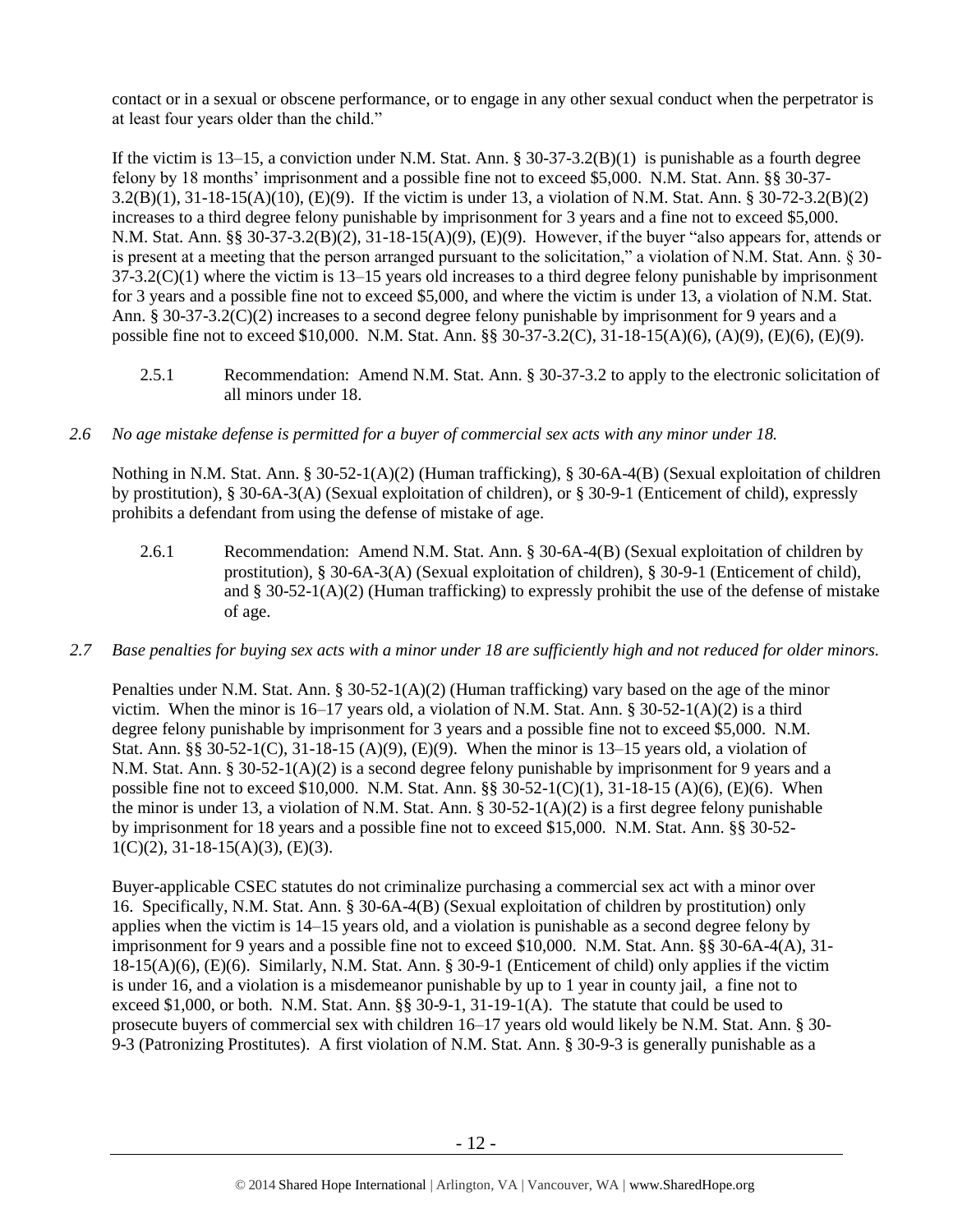contact or in a sexual or obscene performance, or to engage in any other sexual conduct when the perpetrator is at least four years older than the child."

If the victim is  $13-15$ , a conviction under N.M. Stat. Ann. §  $30-37-3.2(B)(1)$  is punishable as a fourth degree felony by 18 months' imprisonment and a possible fine not to exceed \$5,000. N.M. Stat. Ann. §§ 30-37- 3.2(B)(1), 31-18-15(A)(10), (E)(9). If the victim is under 13, a violation of N.M. Stat. Ann. § 30-72-3.2(B)(2) increases to a third degree felony punishable by imprisonment for 3 years and a fine not to exceed \$5,000. N.M. Stat. Ann. §§ 30-37-3.2(B)(2), 31-18-15(A)(9), (E)(9). However, if the buyer "also appears for, attends or is present at a meeting that the person arranged pursuant to the solicitation," a violation of N.M. Stat. Ann. § 30-  $37-3.2(C)(1)$  where the victim is  $13-15$  years old increases to a third degree felony punishable by imprisonment for 3 years and a possible fine not to exceed \$5,000, and where the victim is under 13, a violation of N.M. Stat. Ann. § 30-37-3.2(C)(2) increases to a second degree felony punishable by imprisonment for 9 years and a possible fine not to exceed \$10,000. N.M. Stat. Ann. §§ 30-37-3.2(C), 31-18-15(A)(6), (A)(9), (E)(6), (E)(9).

- 2.5.1 Recommendation: Amend N.M. Stat. Ann. § 30-37-3.2 to apply to the electronic solicitation of all minors under 18.
- *2.6 No age mistake defense is permitted for a buyer of commercial sex acts with any minor under 18.*

Nothing in N.M. Stat. Ann. § 30-52-1(A)(2) (Human trafficking), § 30-6A-4(B) (Sexual exploitation of children by prostitution), § 30-6A-3(A) (Sexual exploitation of children), or § 30-9-1 (Enticement of child), expressly prohibits a defendant from using the defense of mistake of age.

- 2.6.1 Recommendation: Amend N.M. Stat. Ann. § 30-6A-4(B) (Sexual exploitation of children by prostitution), § 30-6A-3(A) (Sexual exploitation of children), § 30-9-1 (Enticement of child), and  $\S 30-52-1(A)(2)$  (Human trafficking) to expressly prohibit the use of the defense of mistake of age.
- *2.7 Base penalties for buying sex acts with a minor under 18 are sufficiently high and not reduced for older minors.*

Penalties under N.M. Stat. Ann. § 30-52-1(A)(2) (Human trafficking) vary based on the age of the minor victim. When the minor is 16–17 years old, a violation of N.M. Stat. Ann. § 30-52-1(A)(2) is a third degree felony punishable by imprisonment for 3 years and a possible fine not to exceed \$5,000. N.M. Stat. Ann. §§ 30-52-1(C), 31-18-15 (A)(9), (E)(9). When the minor is 13–15 years old, a violation of N.M. Stat. Ann. § 30-52-1(A)(2) is a second degree felony punishable by imprisonment for 9 years and a possible fine not to exceed \$10,000. N.M. Stat. Ann. §§ 30-52-1(C)(1), 31-18-15 (A)(6), (E)(6). When the minor is under 13, a violation of N.M. Stat. Ann. § 30-52-1(A)(2) is a first degree felony punishable by imprisonment for 18 years and a possible fine not to exceed \$15,000. N.M. Stat. Ann. §§ 30-52-  $1(C)(2)$ ,  $31-18-15(A)(3)$ ,  $(E)(3)$ .

Buyer-applicable CSEC statutes do not criminalize purchasing a commercial sex act with a minor over 16. Specifically, N.M. Stat. Ann. § 30-6A-4(B) (Sexual exploitation of children by prostitution) only applies when the victim is 14–15 years old, and a violation is punishable as a second degree felony by imprisonment for 9 years and a possible fine not to exceed \$10,000. N.M. Stat. Ann. §§ 30-6A-4(A), 31- 18-15(A)(6), (E)(6). Similarly, N.M. Stat. Ann. § 30-9-1 (Enticement of child) only applies if the victim is under 16, and a violation is a misdemeanor punishable by up to 1 year in county jail, a fine not to exceed \$1,000, or both. N.M. Stat. Ann. §§ 30-9-1, 31-19-1(A). The statute that could be used to prosecute buyers of commercial sex with children 16–17 years old would likely be N.M. Stat. Ann. § 30- 9-3 (Patronizing Prostitutes). A first violation of N.M. Stat. Ann. § 30-9-3 is generally punishable as a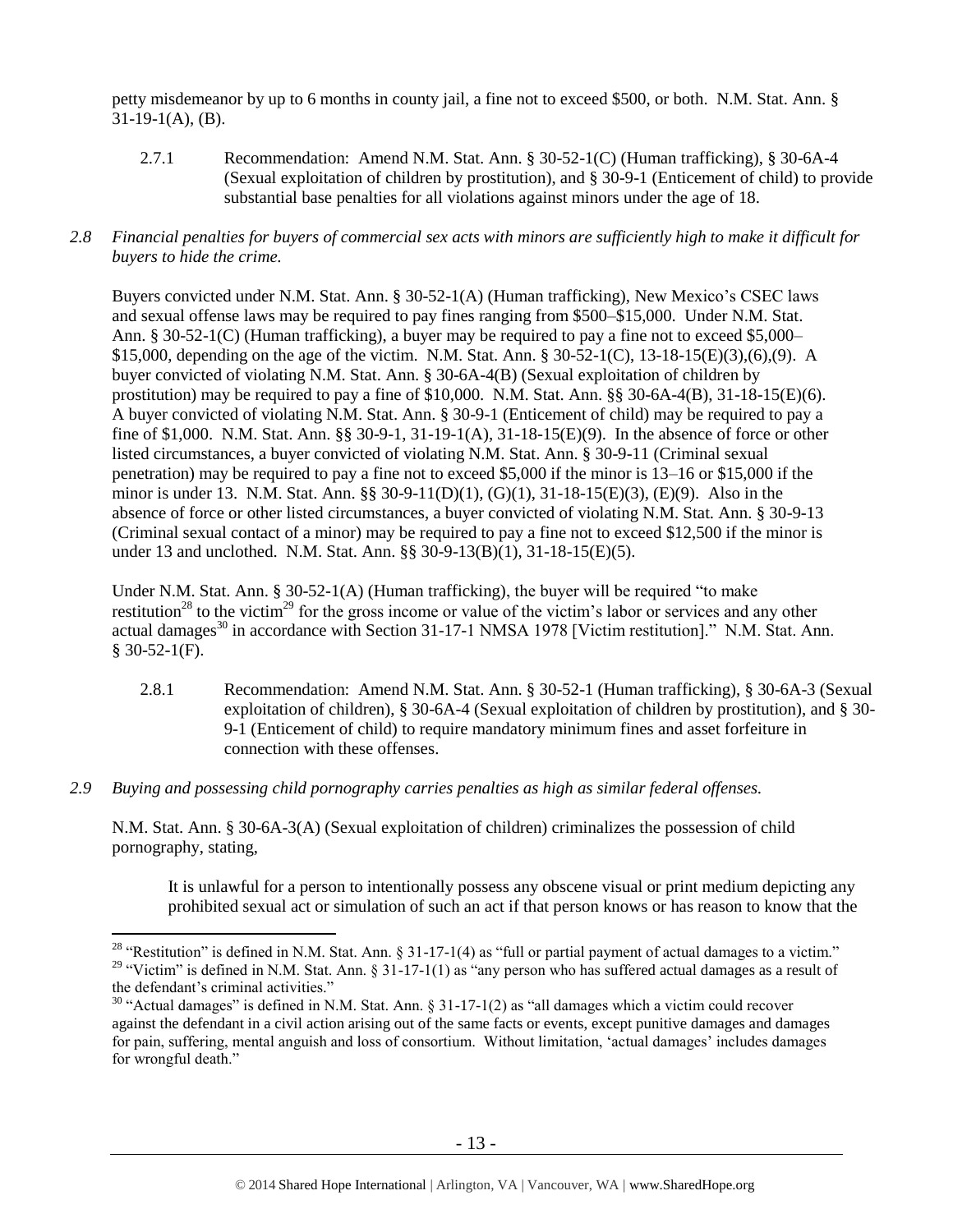petty misdemeanor by up to 6 months in county jail, a fine not to exceed \$500, or both. N.M. Stat. Ann. §  $31-19-1(A)$ , (B).

- 2.7.1 Recommendation: Amend N.M. Stat. Ann. § 30-52-1(C) (Human trafficking), § 30-6A-4 (Sexual exploitation of children by prostitution), and § 30-9-1 (Enticement of child) to provide substantial base penalties for all violations against minors under the age of 18.
- *2.8 Financial penalties for buyers of commercial sex acts with minors are sufficiently high to make it difficult for buyers to hide the crime.*

Buyers convicted under N.M. Stat. Ann. § 30-52-1(A) (Human trafficking), New Mexico's CSEC laws and sexual offense laws may be required to pay fines ranging from \$500–\$15,000. Under N.M. Stat. Ann. § 30-52-1(C) (Human trafficking), a buyer may be required to pay a fine not to exceed \$5,000– \$15,000, depending on the age of the victim. N.M. Stat. Ann. § 30-52-1(C), 13-18-15(E)(3),(6),(9). A buyer convicted of violating N.M. Stat. Ann. § 30-6A-4(B) (Sexual exploitation of children by prostitution) may be required to pay a fine of \$10,000. N.M. Stat. Ann. §§ 30-6A-4(B), 31-18-15(E)(6). A buyer convicted of violating N.M. Stat. Ann. § 30-9-1 (Enticement of child) may be required to pay a fine of \$1,000. N.M. Stat. Ann. §§ 30-9-1, 31-19-1(A), 31-18-15(E)(9). In the absence of force or other listed circumstances, a buyer convicted of violating N.M. Stat. Ann. § 30-9-11 (Criminal sexual penetration) may be required to pay a fine not to exceed \$5,000 if the minor is 13–16 or \$15,000 if the minor is under 13. N.M. Stat. Ann. §§ 30-9-11(D)(1), (G)(1), 31-18-15(E)(3), (E)(9). Also in the absence of force or other listed circumstances, a buyer convicted of violating N.M. Stat. Ann. § 30-9-13 (Criminal sexual contact of a minor) may be required to pay a fine not to exceed \$12,500 if the minor is under 13 and unclothed. N.M. Stat. Ann. §§ 30-9-13(B)(1), 31-18-15(E)(5).

<span id="page-12-0"></span>Under N.M. Stat. Ann. § 30-52-1(A) (Human trafficking), the buyer will be required "to make restitution<sup>28</sup> to the victim<sup>29</sup> for the gross income or value of the victim's labor or services and any other actual damages<sup>30</sup> in accordance with Section 31-17-1 NMSA 1978 [Victim restitution]." N.M. Stat. Ann.  $$30-52-1(F).$ 

- <span id="page-12-2"></span><span id="page-12-1"></span>2.8.1 Recommendation: Amend N.M. Stat. Ann. § 30-52-1 (Human trafficking), § 30-6A-3 (Sexual exploitation of children), § 30-6A-4 (Sexual exploitation of children by prostitution), and § 30- 9-1 (Enticement of child) to require mandatory minimum fines and asset forfeiture in connection with these offenses.
- *2.9 Buying and possessing child pornography carries penalties as high as similar federal offenses.*

 $\overline{a}$ 

N.M. Stat. Ann. § 30-6A-3(A) (Sexual exploitation of children) criminalizes the possession of child pornography, stating,

It is unlawful for a person to intentionally possess any obscene visual or print medium depicting any prohibited sexual act or simulation of such an act if that person knows or has reason to know that the

<sup>&</sup>lt;sup>28</sup> "Restitution" is defined in N.M. Stat. Ann. § 31-17-1(4) as "full or partial payment of actual damages to a victim."

<sup>&</sup>lt;sup>29</sup> "Victim" is defined in N.M. Stat. Ann. § 31-17-1(1) as "any person who has suffered actual damages as a result of the defendant's criminal activities."

 $30$  "Actual damages" is defined in N.M. Stat. Ann. § 31-17-1(2) as "all damages which a victim could recover against the defendant in a civil action arising out of the same facts or events, except punitive damages and damages for pain, suffering, mental anguish and loss of consortium. Without limitation, 'actual damages' includes damages for wrongful death."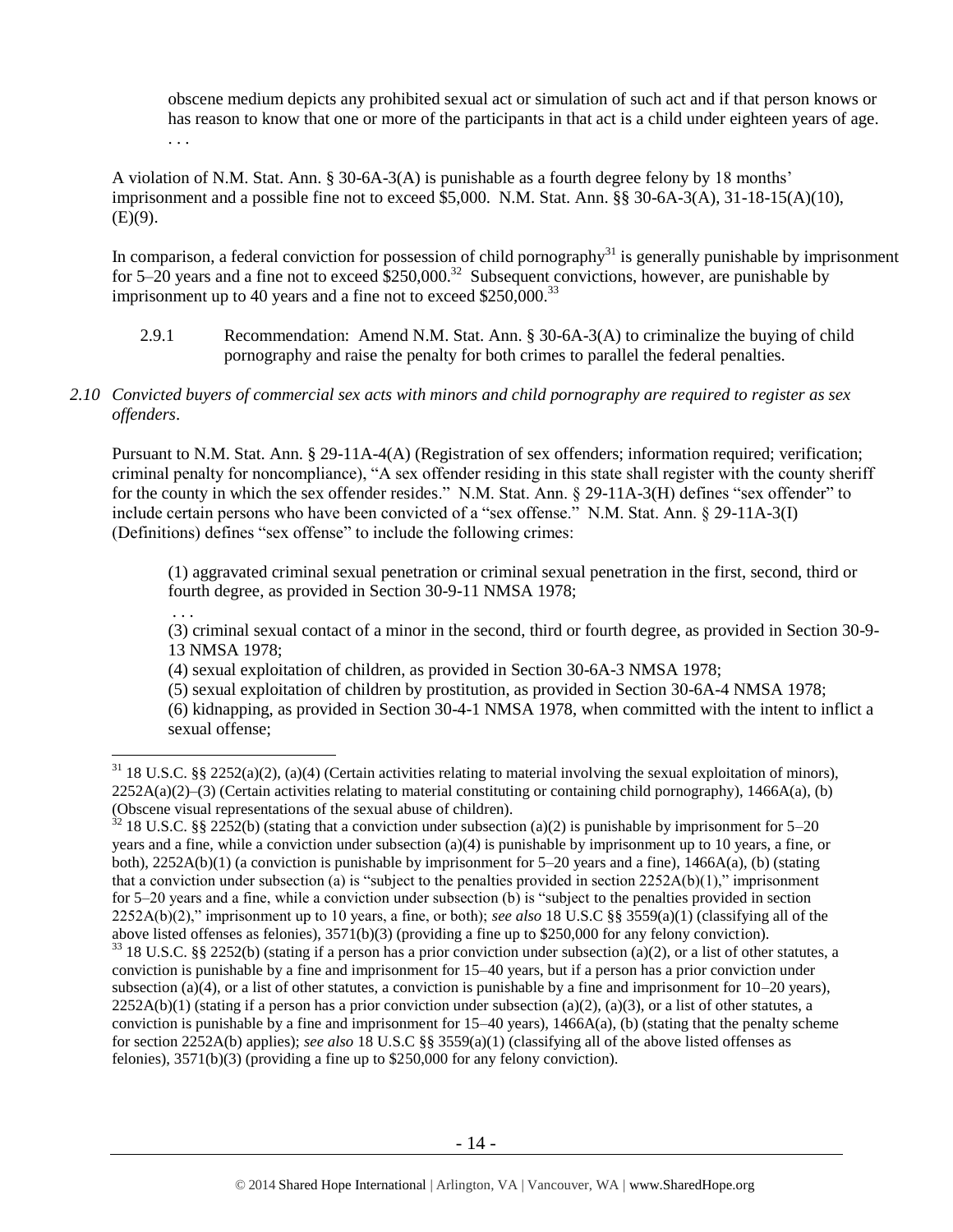obscene medium depicts any prohibited sexual act or simulation of such act and if that person knows or has reason to know that one or more of the participants in that act is a child under eighteen years of age. . . .

A violation of N.M. Stat. Ann. § 30-6A-3(A) is punishable as a fourth degree felony by 18 months' imprisonment and a possible fine not to exceed \$5,000. N.M. Stat. Ann. §§ 30-6A-3(A), 31-18-15(A)(10),  $(E)(9)$ .

In comparison, a federal conviction for possession of child pornography $31$  is generally punishable by imprisonment for 5–20 years and a fine not to exceed  $$250,000.<sup>32</sup>$  Subsequent convictions, however, are punishable by imprisonment up to 40 years and a fine not to exceed \$250,000.<sup>33</sup>

- 2.9.1 Recommendation: Amend N.M. Stat. Ann. § 30-6A-3(A) to criminalize the buying of child pornography and raise the penalty for both crimes to parallel the federal penalties.
- *2.10 Convicted buyers of commercial sex acts with minors and child pornography are required to register as sex offenders*.

Pursuant to N.M. Stat. Ann. § 29-11A-4(A) (Registration of sex offenders; information required; verification; criminal penalty for noncompliance), "A sex offender residing in this state shall register with the county sheriff for the county in which the sex offender resides." N.M. Stat. Ann. § 29-11A-3(H) defines "sex offender" to include certain persons who have been convicted of a "sex offense." N.M. Stat. Ann. § 29-11A-3(I) (Definitions) defines "sex offense" to include the following crimes:

(1) aggravated criminal sexual penetration or criminal sexual penetration in the first, second, third or fourth degree, as provided in Section 30-9-11 NMSA 1978;

. . . (3) criminal sexual contact of a minor in the second, third or fourth degree, as provided in Section 30-9-

13 NMSA 1978;

 $\overline{a}$ 

(4) sexual exploitation of children, as provided in Section 30-6A-3 NMSA 1978;

(5) sexual exploitation of children by prostitution, as provided in Section 30-6A-4 NMSA 1978;

(6) kidnapping, as provided in Section 30-4-1 NMSA 1978, when committed with the intent to inflict a sexual offense;

 $31$  18 U.S.C. §§ 2252(a)(2), (a)(4) (Certain activities relating to material involving the sexual exploitation of minors),  $2252A(a)(2)$ –(3) (Certain activities relating to material constituting or containing child pornography), 1466A(a), (b) (Obscene visual representations of the sexual abuse of children).

 $32$  18 U.S.C. §§ 2252(b) (stating that a conviction under subsection (a)(2) is punishable by imprisonment for 5–20 years and a fine, while a conviction under subsection (a)(4) is punishable by imprisonment up to 10 years, a fine, or both), 2252A(b)(1) (a conviction is punishable by imprisonment for 5–20 years and a fine), 1466A(a), (b) (stating that a conviction under subsection (a) is "subject to the penalties provided in section  $2252A(b)(1)$ ," imprisonment for 5–20 years and a fine, while a conviction under subsection (b) is "subject to the penalties provided in section 2252A(b)(2)," imprisonment up to 10 years, a fine, or both); *see also* 18 U.S.C §§ 3559(a)(1) (classifying all of the above listed offenses as felonies), 3571(b)(3) (providing a fine up to \$250,000 for any felony conviction).

 $33$  18 U.S.C. §§ 2252(b) (stating if a person has a prior conviction under subsection (a)(2), or a list of other statutes, a conviction is punishable by a fine and imprisonment for 15–40 years, but if a person has a prior conviction under subsection (a)(4), or a list of other statutes, a conviction is punishable by a fine and imprisonment for  $10-20$  years),  $2252A(b)(1)$  (stating if a person has a prior conviction under subsection (a)(2), (a)(3), or a list of other statutes, a conviction is punishable by a fine and imprisonment for  $15-40$  years),  $1466A(a)$ , (b) (stating that the penalty scheme for section 2252A(b) applies); *see also* 18 U.S.C §§ 3559(a)(1) (classifying all of the above listed offenses as felonies), 3571(b)(3) (providing a fine up to \$250,000 for any felony conviction).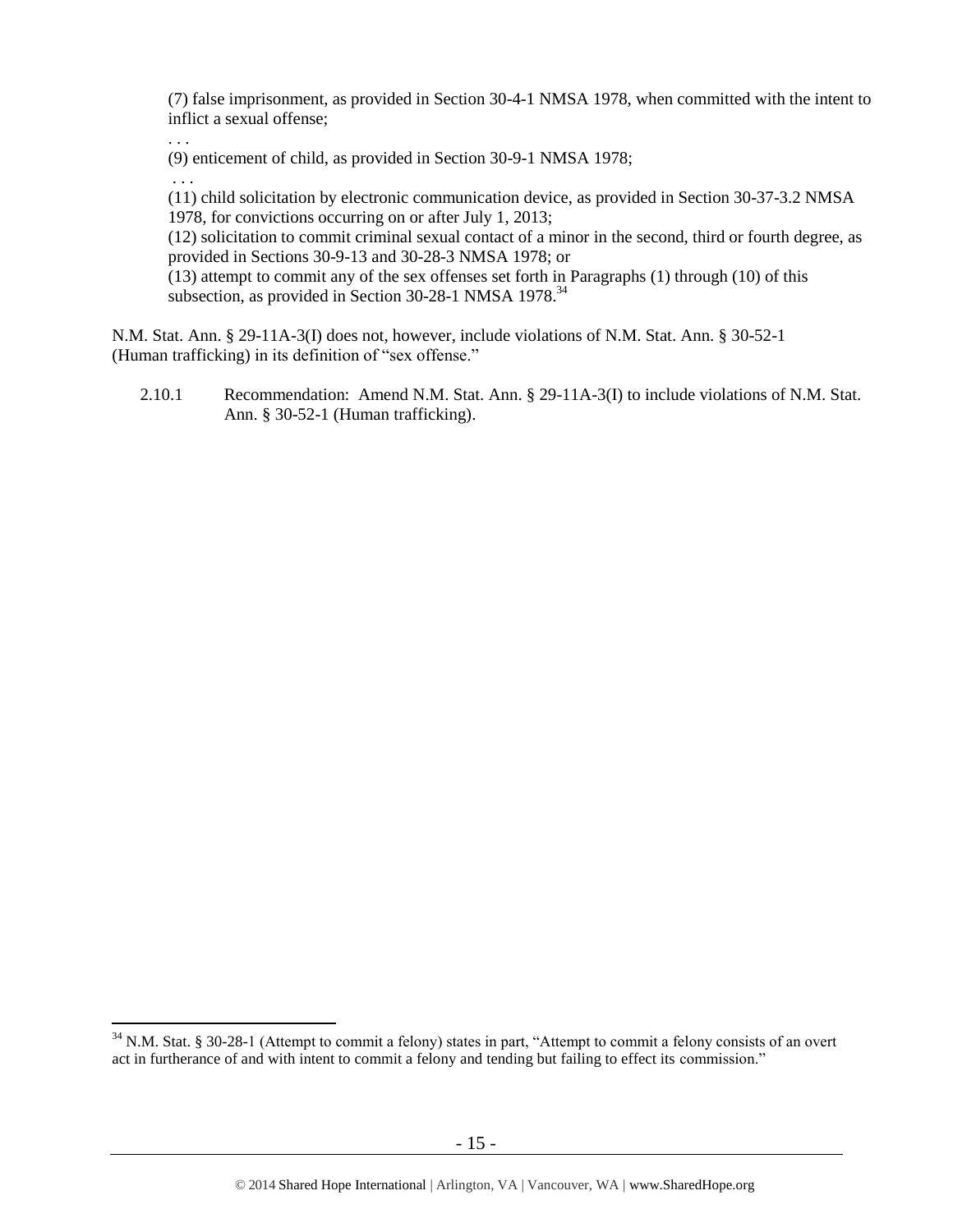(7) false imprisonment, as provided in Section 30-4-1 NMSA 1978, when committed with the intent to inflict a sexual offense;

(9) enticement of child, as provided in Section 30-9-1 NMSA 1978;

. . .

 $\overline{a}$ 

. . . (11) child solicitation by electronic communication device, as provided in Section 30-37-3.2 NMSA 1978, for convictions occurring on or after July 1, 2013;

(12) solicitation to commit criminal sexual contact of a minor in the second, third or fourth degree, as provided in Sections 30-9-13 and 30-28-3 NMSA 1978; or

(13) attempt to commit any of the sex offenses set forth in Paragraphs (1) through (10) of this subsection, as provided in Section 30-28-1 NMSA 1978.<sup>34</sup>

N.M. Stat. Ann. § 29-11A-3(I) does not, however, include violations of N.M. Stat. Ann. § 30-52-1 (Human trafficking) in its definition of "sex offense."

2.10.1 Recommendation: Amend N.M. Stat. Ann. § 29-11A-3(I) to include violations of N.M. Stat. Ann. § 30-52-1 (Human trafficking).

<sup>&</sup>lt;sup>34</sup> N.M. Stat. § 30-28-1 (Attempt to commit a felony) states in part, "Attempt to commit a felony consists of an overt act in furtherance of and with intent to commit a felony and tending but failing to effect its commission."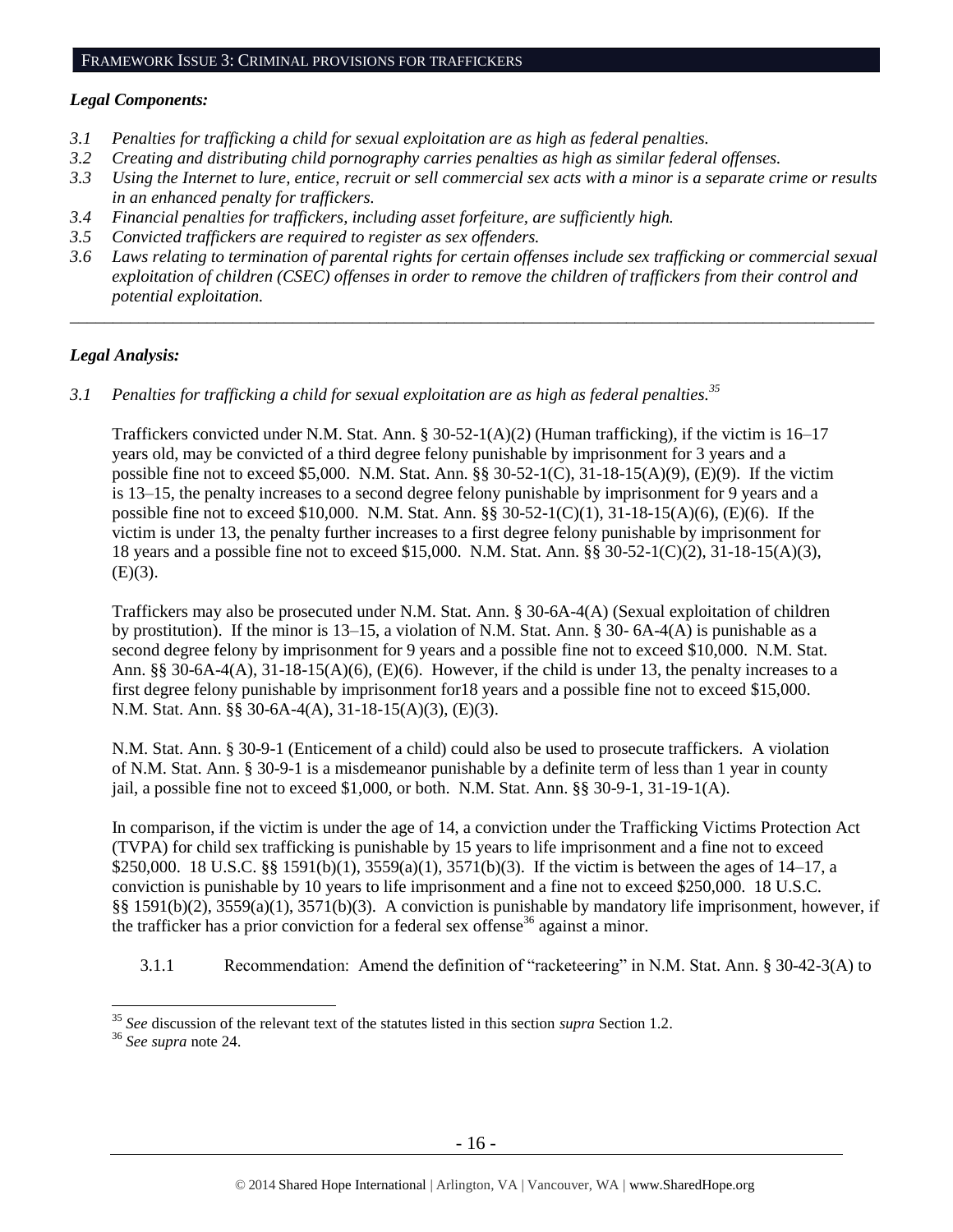#### FRAMEWORK ISSUE 3: CRIMINAL PROVISIONS FOR TRAFFICKERS

#### *Legal Components:*

- *3.1 Penalties for trafficking a child for sexual exploitation are as high as federal penalties.*
- *3.2 Creating and distributing child pornography carries penalties as high as similar federal offenses.*
- *3.3 Using the Internet to lure, entice, recruit or sell commercial sex acts with a minor is a separate crime or results in an enhanced penalty for traffickers.*
- *3.4 Financial penalties for traffickers, including asset forfeiture, are sufficiently high.*
- *3.5 Convicted traffickers are required to register as sex offenders.*
- *3.6 Laws relating to termination of parental rights for certain offenses include sex trafficking or commercial sexual exploitation of children (CSEC) offenses in order to remove the children of traffickers from their control and potential exploitation.*

*\_\_\_\_\_\_\_\_\_\_\_\_\_\_\_\_\_\_\_\_\_\_\_\_\_\_\_\_\_\_\_\_\_\_\_\_\_\_\_\_\_\_\_\_\_\_\_\_\_\_\_\_\_\_\_\_\_\_\_\_\_\_\_\_\_\_\_\_\_\_\_\_\_\_\_\_\_\_\_\_\_\_\_\_\_\_\_\_\_\_\_\_\_\_*

# *Legal Analysis:*

*3.1 Penalties for trafficking a child for sexual exploitation are as high as federal penalties.<sup>35</sup>*

Traffickers convicted under N.M. Stat. Ann. § 30-52-1(A)(2) (Human trafficking), if the victim is 16–17 years old, may be convicted of a third degree felony punishable by imprisonment for 3 years and a possible fine not to exceed \$5,000. N.M. Stat. Ann. §§ 30-52-1(C), 31-18-15(A)(9), (E)(9). If the victim is 13–15, the penalty increases to a second degree felony punishable by imprisonment for 9 years and a possible fine not to exceed \$10,000. N.M. Stat. Ann. §§ 30-52-1(C)(1), 31-18-15(A)(6), (E)(6). If the victim is under 13, the penalty further increases to a first degree felony punishable by imprisonment for 18 years and a possible fine not to exceed \$15,000. N.M. Stat. Ann. §§ 30-52-1(C)(2), 31-18-15(A)(3),  $(E)(3)$ .

Traffickers may also be prosecuted under N.M. Stat. Ann. § 30-6A-4(A) (Sexual exploitation of children by prostitution). If the minor is 13–15, a violation of N.M. Stat. Ann. § 30- 6A-4(A) is punishable as a second degree felony by imprisonment for 9 years and a possible fine not to exceed \$10,000. N.M. Stat. Ann. §§ 30-6A-4(A),  $31-18-15(A)(6)$ , (E)(6). However, if the child is under 13, the penalty increases to a first degree felony punishable by imprisonment for18 years and a possible fine not to exceed \$15,000. N.M. Stat. Ann. §§ 30-6A-4(A), 31-18-15(A)(3), (E)(3).

N.M. Stat. Ann. § 30-9-1 (Enticement of a child) could also be used to prosecute traffickers. A violation of N.M. Stat. Ann. § 30-9-1 is a misdemeanor punishable by a definite term of less than 1 year in county jail, a possible fine not to exceed \$1,000, or both. N.M. Stat. Ann. §§ 30-9-1, 31-19-1(A).

In comparison, if the victim is under the age of 14, a conviction under the Trafficking Victims Protection Act (TVPA) for child sex trafficking is punishable by 15 years to life imprisonment and a fine not to exceed \$250,000. 18 U.S.C. §§ 1591(b)(1), 3559(a)(1), 3571(b)(3). If the victim is between the ages of 14–17, a conviction is punishable by 10 years to life imprisonment and a fine not to exceed \$250,000. 18 U.S.C. §§ 1591(b)(2), 3559(a)(1), 3571(b)(3). A conviction is punishable by mandatory life imprisonment, however, if the trafficker has a prior conviction for a federal sex offense<sup>36</sup> against a minor.

3.1.1 Recommendation: Amend the definition of "racketeering" in N.M. Stat. Ann. § 30-42-3(A) to

<sup>35</sup> *See* discussion of the relevant text of the statutes listed in this section *supra* Section [1.2.](#page-1-1)

<sup>36</sup> *See supra* note [24.](#page-10-0)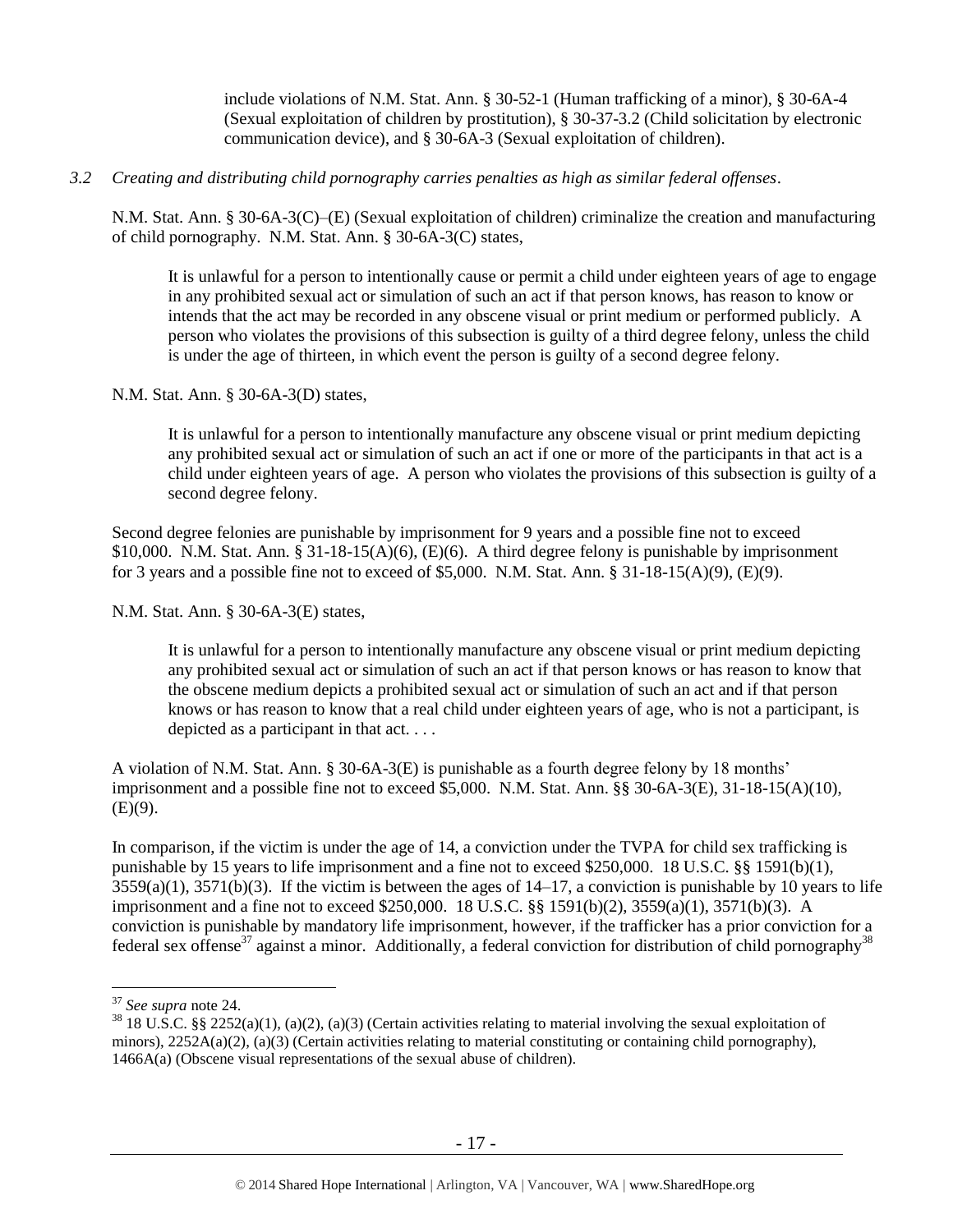include violations of N.M. Stat. Ann. § 30-52-1 (Human trafficking of a minor), § 30-6A-4 (Sexual exploitation of children by prostitution), § 30-37-3.2 (Child solicitation by electronic communication device), and § 30-6A-3 (Sexual exploitation of children).

# *3.2 Creating and distributing child pornography carries penalties as high as similar federal offenses*.

N.M. Stat. Ann. § 30-6A-3(C)–(E) (Sexual exploitation of children) criminalize the creation and manufacturing of child pornography. N.M. Stat. Ann. § 30-6A-3(C) states,

It is unlawful for a person to intentionally cause or permit a child under eighteen years of age to engage in any prohibited sexual act or simulation of such an act if that person knows, has reason to know or intends that the act may be recorded in any obscene visual or print medium or performed publicly. A person who violates the provisions of this subsection is guilty of a third degree felony, unless the child is under the age of thirteen, in which event the person is guilty of a second degree felony.

# N.M. Stat. Ann. § 30-6A-3(D) states,

It is unlawful for a person to intentionally manufacture any obscene visual or print medium depicting any prohibited sexual act or simulation of such an act if one or more of the participants in that act is a child under eighteen years of age. A person who violates the provisions of this subsection is guilty of a second degree felony.

Second degree felonies are punishable by imprisonment for 9 years and a possible fine not to exceed  $$10,000.$  N.M. Stat. Ann.  $§ 31-18-15(A)(6), (E)(6).$  A third degree felony is punishable by imprisonment for 3 years and a possible fine not to exceed of \$5,000. N.M. Stat. Ann. § 31-18-15(A)(9), (E)(9).

N.M. Stat. Ann. § 30-6A-3(E) states,

It is unlawful for a person to intentionally manufacture any obscene visual or print medium depicting any prohibited sexual act or simulation of such an act if that person knows or has reason to know that the obscene medium depicts a prohibited sexual act or simulation of such an act and if that person knows or has reason to know that a real child under eighteen years of age, who is not a participant, is depicted as a participant in that act. . . .

A violation of N.M. Stat. Ann. § 30-6A-3(E) is punishable as a fourth degree felony by 18 months' imprisonment and a possible fine not to exceed \$5,000. N.M. Stat. Ann. §§ 30-6A-3(E), 31-18-15(A)(10),  $(E)(9)$ .

In comparison, if the victim is under the age of 14, a conviction under the TVPA for child sex trafficking is punishable by 15 years to life imprisonment and a fine not to exceed \$250,000. 18 U.S.C. §§ 1591(b)(1),  $3559(a)(1)$ ,  $3571(b)(3)$ . If the victim is between the ages of  $14-17$ , a conviction is punishable by 10 years to life imprisonment and a fine not to exceed \$250,000. 18 U.S.C. §§ 1591(b)(2), 3559(a)(1), 3571(b)(3). A conviction is punishable by mandatory life imprisonment, however, if the trafficker has a prior conviction for a federal sex offense<sup>37</sup> against a minor. Additionally, a federal conviction for distribution of child pornography<sup>38</sup>

<sup>37</sup> *See supra* note [24.](#page-10-0)

 $38\,18\,$  U.S.C. §§ 2252(a)(1), (a)(2), (a)(3) (Certain activities relating to material involving the sexual exploitation of minors),  $2252A(a)(2)$ ,  $(a)(3)$  (Certain activities relating to material constituting or containing child pornography), 1466A(a) (Obscene visual representations of the sexual abuse of children).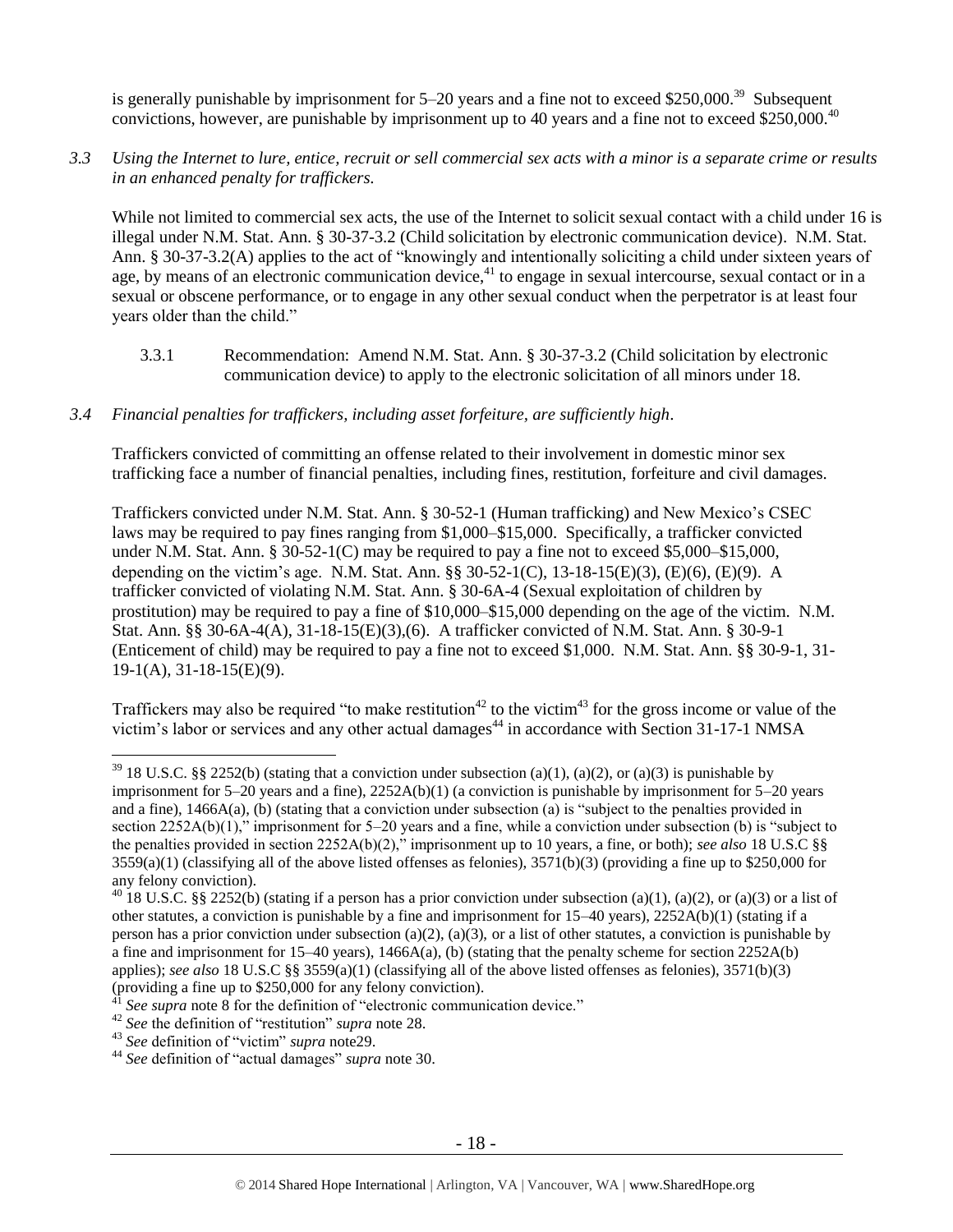is generally punishable by imprisonment for  $5-20$  years and a fine not to exceed \$250,000.<sup>39</sup> Subsequent convictions, however, are punishable by imprisonment up to 40 years and a fine not to exceed \$250,000.<sup>40</sup>

# *3.3 Using the Internet to lure, entice, recruit or sell commercial sex acts with a minor is a separate crime or results in an enhanced penalty for traffickers.*

While not limited to commercial sex acts, the use of the Internet to solicit sexual contact with a child under 16 is illegal under N.M. Stat. Ann. § 30-37-3.2 (Child solicitation by electronic communication device). N.M. Stat. Ann. § 30-37-3.2(A) applies to the act of "knowingly and intentionally soliciting a child under sixteen years of age, by means of an electronic communication device, $41$  to engage in sexual intercourse, sexual contact or in a sexual or obscene performance, or to engage in any other sexual conduct when the perpetrator is at least four years older than the child."

3.3.1 Recommendation: Amend N.M. Stat. Ann. § 30-37-3.2 (Child solicitation by electronic communication device) to apply to the electronic solicitation of all minors under 18.

# *3.4 Financial penalties for traffickers, including asset forfeiture, are sufficiently high*.

Traffickers convicted of committing an offense related to their involvement in domestic minor sex trafficking face a number of financial penalties, including fines, restitution, forfeiture and civil damages.

Traffickers convicted under N.M. Stat. Ann. § 30-52-1 (Human trafficking) and New Mexico's CSEC laws may be required to pay fines ranging from \$1,000–\$15,000. Specifically, a trafficker convicted under N.M. Stat. Ann.  $\S 30-52-1(C)$  may be required to pay a fine not to exceed \$5,000–\$15,000, depending on the victim's age. N.M. Stat. Ann. §§ 30-52-1(C), 13-18-15(E)(3), (E)(6), (E)(9). A trafficker convicted of violating N.M. Stat. Ann. § 30-6A-4 (Sexual exploitation of children by prostitution) may be required to pay a fine of \$10,000–\$15,000 depending on the age of the victim. N.M. Stat. Ann. §§ 30-6A-4(A), 31-18-15(E)(3),(6). A trafficker convicted of N.M. Stat. Ann. § 30-9-1 (Enticement of child) may be required to pay a fine not to exceed \$1,000. N.M. Stat. Ann. §§ 30-9-1, 31- 19-1(A), 31-18-15(E)(9).

Traffickers may also be required "to make restitution<sup>42</sup> to the victim<sup>43</sup> for the gross income or value of the victim's labor or services and any other actual damages<sup>44</sup> in accordance with Section 31-17-1 NMSA

<sup>&</sup>lt;sup>39</sup> 18 U.S.C. §§ 2252(b) (stating that a conviction under subsection (a)(1), (a)(2), or (a)(3) is punishable by imprisonment for  $5-20$  years and a fine),  $2252A(b)(1)$  (a conviction is punishable by imprisonment for  $5-20$  years and a fine), 1466A(a), (b) (stating that a conviction under subsection (a) is "subject to the penalties provided in section 2252A(b)(1)," imprisonment for 5–20 years and a fine, while a conviction under subsection (b) is "subject to the penalties provided in section 2252A(b)(2)," imprisonment up to 10 years, a fine, or both); *see also* 18 U.S.C §§  $3559(a)(1)$  (classifying all of the above listed offenses as felonies),  $3571(b)(3)$  (providing a fine up to \$250,000 for any felony conviction).

<sup>&</sup>lt;sup>40</sup> 18 U.S.C. §§ 2252(b) (stating if a person has a prior conviction under subsection (a)(1), (a)(2), or (a)(3) or a list of other statutes, a conviction is punishable by a fine and imprisonment for 15–40 years), 2252A(b)(1) (stating if a person has a prior conviction under subsection (a)(2), (a)(3), or a list of other statutes, a conviction is punishable by a fine and imprisonment for  $15-40$  years),  $1466A(a)$ , (b) (stating that the penalty scheme for section  $2252A(b)$ applies); *see also* 18 U.S.C §§ 3559(a)(1) (classifying all of the above listed offenses as felonies), 3571(b)(3) (providing a fine up to  $$250,000$  for any felony conviction).

See supra note [8](#page-3-0) for the definition of "electronic communication device."

<sup>42</sup> *See* the definition of "restitution" *supra* note [28.](#page-12-0)

<sup>43</sup> *See* definition of "victim" *supra* not[e29.](#page-12-1)

<sup>44</sup> *See* definition of "actual damages" *supra* note [30.](#page-12-2)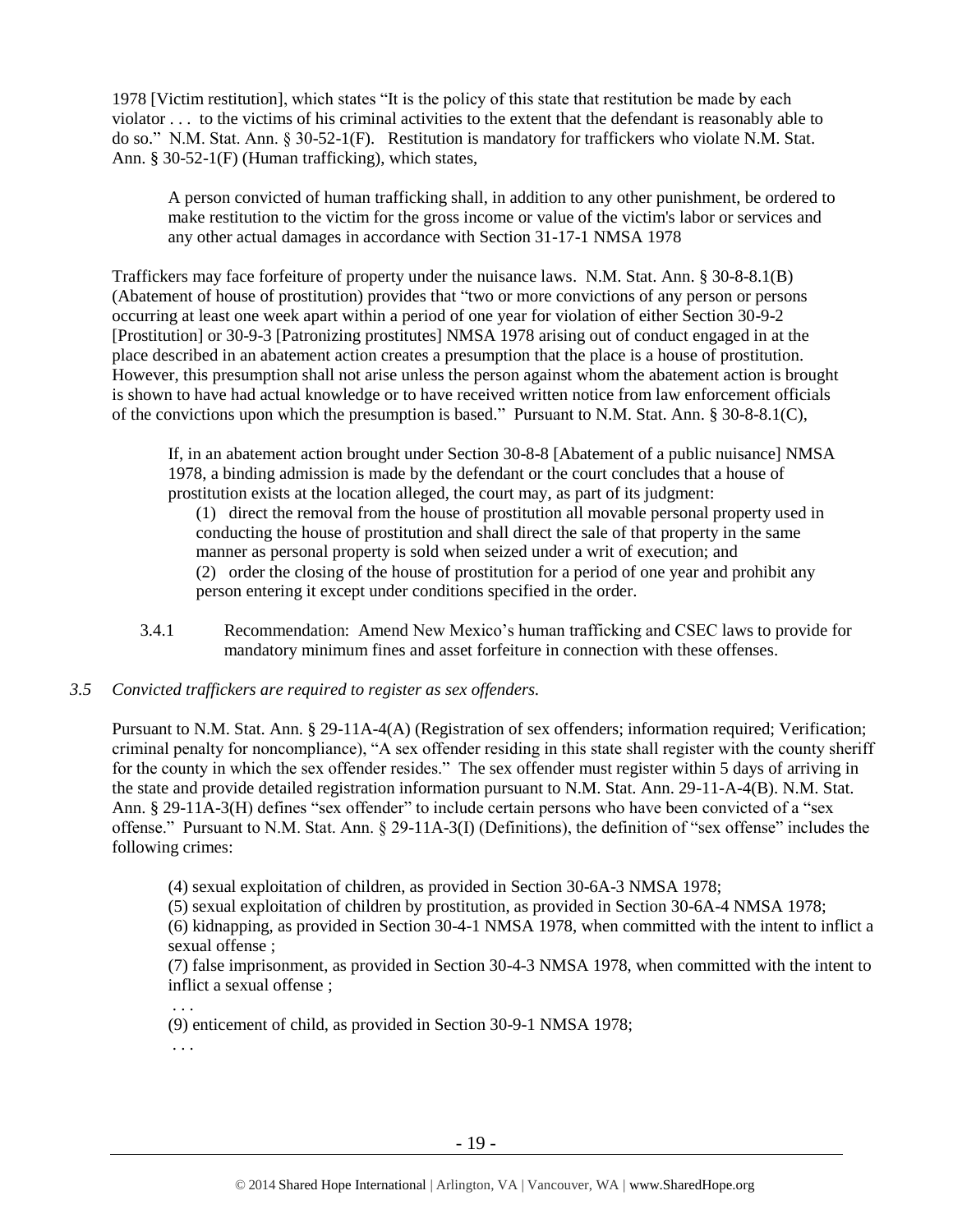1978 [Victim restitution], which states "It is the policy of this state that restitution be made by each violator . . . to the victims of his criminal activities to the extent that the defendant is reasonably able to do so." N.M. Stat. Ann. § 30-52-1(F). Restitution is mandatory for traffickers who violate N.M. Stat. Ann. § 30-52-1(F) (Human trafficking), which states,

A person convicted of human trafficking shall, in addition to any other punishment, be ordered to make restitution to the victim for the gross income or value of the victim's labor or services and any other actual damages in accordance with Section 31-17-1 NMSA 1978

Traffickers may face forfeiture of property under the nuisance laws. N.M. Stat. Ann. § 30-8-8.1(B) (Abatement of house of prostitution) provides that "two or more convictions of any person or persons occurring at least one week apart within a period of one year for violation of either Section 30-9-2 [Prostitution] or 30-9-3 [Patronizing prostitutes] NMSA 1978 arising out of conduct engaged in at the place described in an abatement action creates a presumption that the place is a house of prostitution. However, this presumption shall not arise unless the person against whom the abatement action is brought is shown to have had actual knowledge or to have received written notice from law enforcement officials of the convictions upon which the presumption is based." Pursuant to N.M. Stat. Ann. § 30-8-8.1(C),

If, in an abatement action brought under Section 30-8-8 [Abatement of a public nuisance] NMSA 1978, a binding admission is made by the defendant or the court concludes that a house of prostitution exists at the location alleged, the court may, as part of its judgment:

(1) direct the removal from the house of prostitution all movable personal property used in conducting the house of prostitution and shall direct the sale of that property in the same manner as personal property is sold when seized under a writ of execution; and (2) order the closing of the house of prostitution for a period of one year and prohibit any person entering it except under conditions specified in the order.

3.4.1 Recommendation: Amend New Mexico's human trafficking and CSEC laws to provide for mandatory minimum fines and asset forfeiture in connection with these offenses.

# *3.5 Convicted traffickers are required to register as sex offenders.*

Pursuant to N.M. Stat. Ann. § 29-11A-4(A) (Registration of sex offenders; information required; Verification; criminal penalty for noncompliance), "A sex offender residing in this state shall register with the county sheriff for the county in which the sex offender resides." The sex offender must register within 5 days of arriving in the state and provide detailed registration information pursuant to N.M. Stat. Ann. 29-11-A-4(B). N.M. Stat. Ann. § 29-11A-3(H) defines "sex offender" to include certain persons who have been convicted of a "sex offense." Pursuant to N.M. Stat. Ann. § 29-11A-3(I) (Definitions), the definition of "sex offense" includes the following crimes:

(4) sexual exploitation of children, as provided in Section 30-6A-3 NMSA 1978;

(5) sexual exploitation of children by prostitution, as provided in Section 30-6A-4 NMSA 1978;

(6) kidnapping, as provided in Section 30-4-1 NMSA 1978, when committed with the intent to inflict a sexual offense ;

(7) false imprisonment, as provided in Section 30-4-3 NMSA 1978, when committed with the intent to inflict a sexual offense ;

. . .

(9) enticement of child, as provided in Section 30-9-1 NMSA 1978;

. . .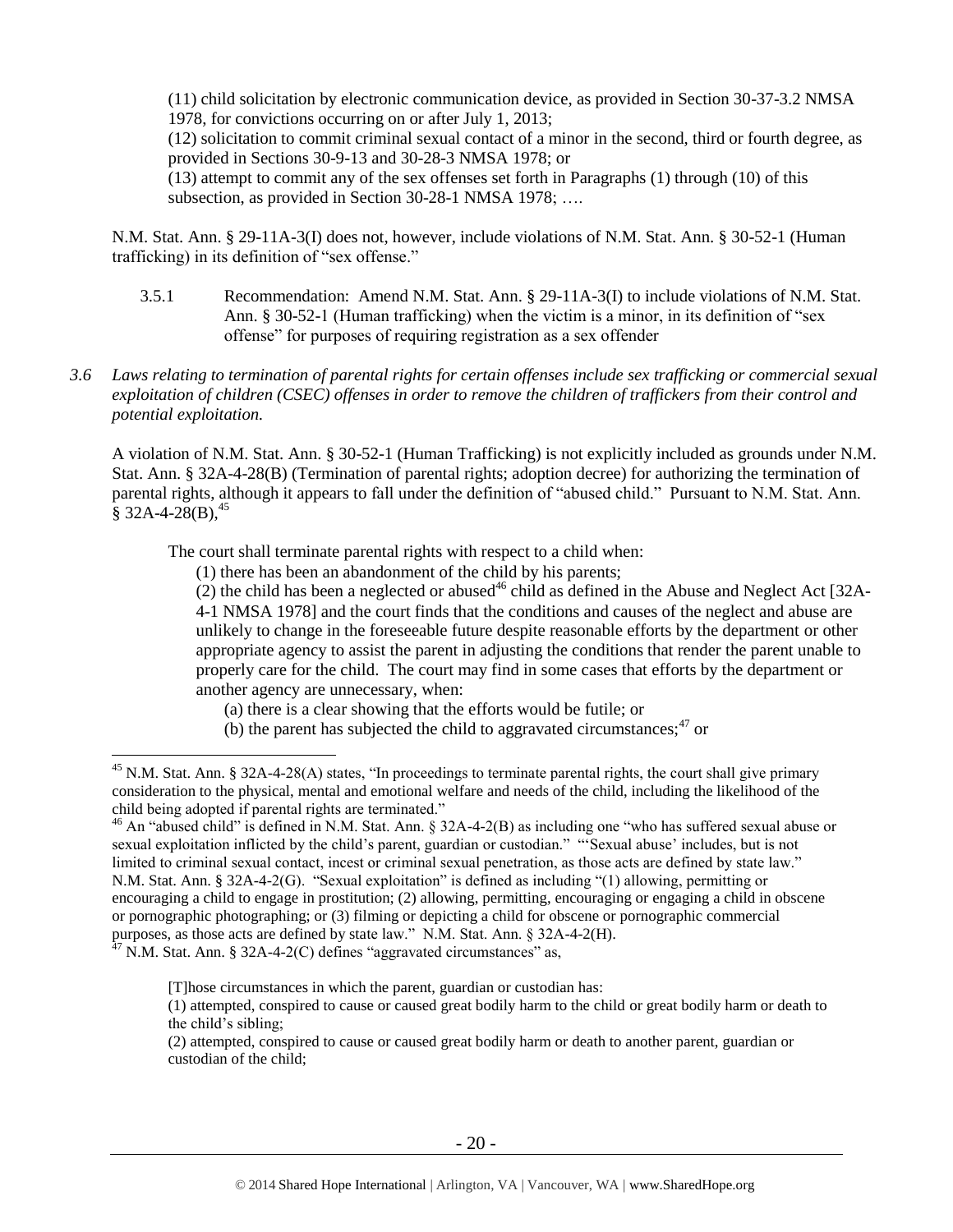(11) child solicitation by electronic communication device, as provided in Section 30-37-3.2 NMSA 1978, for convictions occurring on or after July 1, 2013;

(12) solicitation to commit criminal sexual contact of a minor in the second, third or fourth degree, as provided in Sections 30-9-13 and 30-28-3 NMSA 1978; or

(13) attempt to commit any of the sex offenses set forth in Paragraphs (1) through (10) of this subsection, as provided in Section 30-28-1 NMSA 1978; ....

N.M. Stat. Ann. § 29-11A-3(I) does not, however, include violations of N.M. Stat. Ann. § 30-52-1 (Human trafficking) in its definition of "sex offense."

- 3.5.1 Recommendation: Amend N.M. Stat. Ann. § 29-11A-3(I) to include violations of N.M. Stat. Ann. § 30-52-1 (Human trafficking) when the victim is a minor, in its definition of "sex offense" for purposes of requiring registration as a sex offender
- *3.6 Laws relating to termination of parental rights for certain offenses include sex trafficking or commercial sexual exploitation of children (CSEC) offenses in order to remove the children of traffickers from their control and potential exploitation.*

A violation of N.M. Stat. Ann. § 30-52-1 (Human Trafficking) is not explicitly included as grounds under N.M. Stat. Ann. § 32A-4-28(B) (Termination of parental rights; adoption decree) for authorizing the termination of parental rights, although it appears to fall under the definition of "abused child." Pursuant to N.M. Stat. Ann.  $§$  32A-4-28(B),<sup>45</sup>

The court shall terminate parental rights with respect to a child when:

(1) there has been an abandonment of the child by his parents;

 $(2)$  the child has been a neglected or abused<sup>46</sup> child as defined in the Abuse and Neglect Act [32A-4-1 NMSA 1978] and the court finds that the conditions and causes of the neglect and abuse are unlikely to change in the foreseeable future despite reasonable efforts by the department or other appropriate agency to assist the parent in adjusting the conditions that render the parent unable to properly care for the child. The court may find in some cases that efforts by the department or another agency are unnecessary, when:

<span id="page-19-0"></span>(a) there is a clear showing that the efforts would be futile; or

(b) the parent has subjected the child to aggravated circumstances;  $47$  or

<sup>&</sup>lt;sup>45</sup> N.M. Stat. Ann. § 32A-4-28(A) states, "In proceedings to terminate parental rights, the court shall give primary consideration to the physical, mental and emotional welfare and needs of the child, including the likelihood of the child being adopted if parental rights are terminated."

 $46$  An "abused child" is defined in N.M. Stat. Ann. § 32A-4-2(B) as including one "who has suffered sexual abuse or sexual exploitation inflicted by the child's parent, guardian or custodian." "'Sexual abuse' includes, but is not limited to criminal sexual contact, incest or criminal sexual penetration, as those acts are defined by state law." N.M. Stat. Ann. § 32A-4-2(G). "Sexual exploitation" is defined as including "(1) allowing, permitting or encouraging a child to engage in prostitution; (2) allowing, permitting, encouraging or engaging a child in obscene or pornographic photographing; or (3) filming or depicting a child for obscene or pornographic commercial purposes, as those acts are defined by state law." N.M. Stat. Ann. § 32A-4-2(H).

 $^{47}$  N.M. Stat. Ann. § 32A-4-2(C) defines "aggravated circumstances" as,

<sup>[</sup>T]hose circumstances in which the parent, guardian or custodian has:

<sup>(1)</sup> attempted, conspired to cause or caused great bodily harm to the child or great bodily harm or death to the child's sibling;

<sup>(2)</sup> attempted, conspired to cause or caused great bodily harm or death to another parent, guardian or custodian of the child;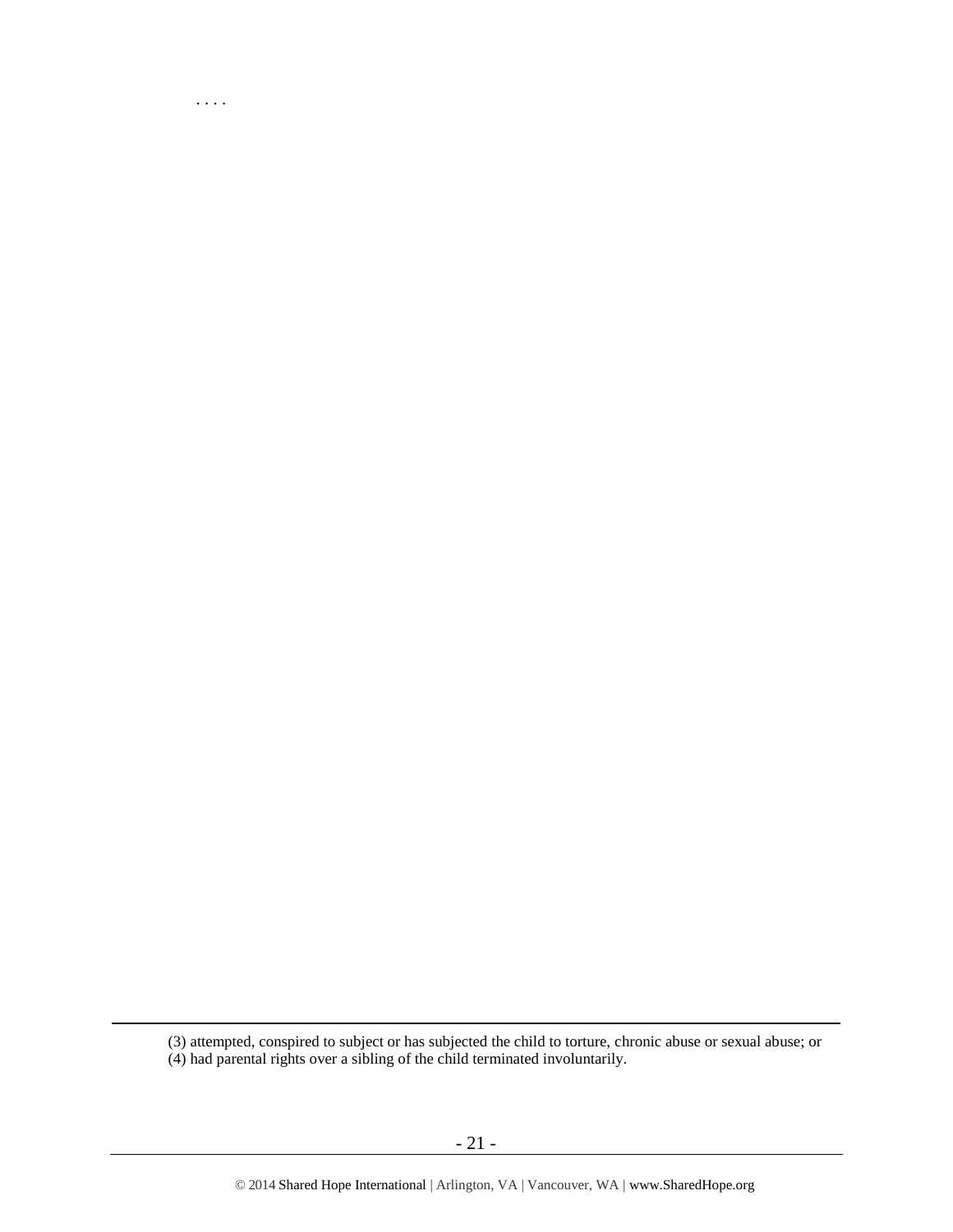(3) attempted, conspired to subject or has subjected the child to torture, chronic abuse or sexual abuse; or (4) had parental rights over a sibling of the child terminated involuntarily.

. . . .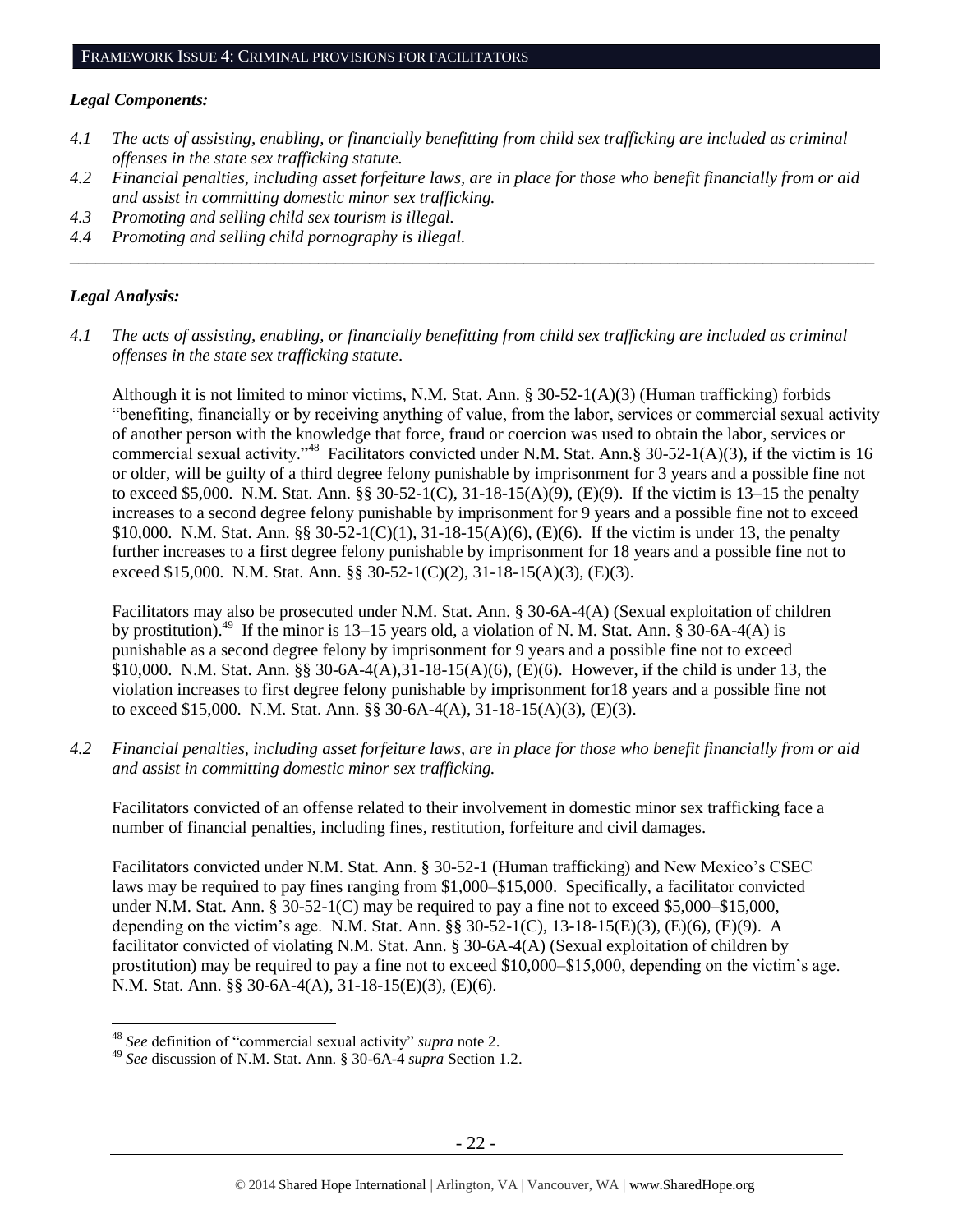#### *Legal Components:*

- *4.1 The acts of assisting, enabling, or financially benefitting from child sex trafficking are included as criminal offenses in the state sex trafficking statute.*
- *4.2 Financial penalties, including asset forfeiture laws, are in place for those who benefit financially from or aid and assist in committing domestic minor sex trafficking.*

*\_\_\_\_\_\_\_\_\_\_\_\_\_\_\_\_\_\_\_\_\_\_\_\_\_\_\_\_\_\_\_\_\_\_\_\_\_\_\_\_\_\_\_\_\_\_\_\_\_\_\_\_\_\_\_\_\_\_\_\_\_\_\_\_\_\_\_\_\_\_\_\_\_\_\_\_\_\_\_\_\_\_\_\_\_\_\_\_\_\_\_\_\_\_*

- *4.3 Promoting and selling child sex tourism is illegal.*
- *4.4 Promoting and selling child pornography is illegal.*

# *Legal Analysis:*

 $\overline{a}$ 

*4.1 The acts of assisting, enabling, or financially benefitting from child sex trafficking are included as criminal offenses in the state sex trafficking statute*.

Although it is not limited to minor victims, N.M. Stat. Ann.  $\S 30-52-1(A)(3)$  (Human trafficking) forbids "benefiting, financially or by receiving anything of value, from the labor, services or commercial sexual activity of another person with the knowledge that force, fraud or coercion was used to obtain the labor, services or commercial sexual activity."<sup>48</sup> Facilitators convicted under N.M. Stat. Ann.§ 30-52-1(A)(3), if the victim is 16 or older, will be guilty of a third degree felony punishable by imprisonment for 3 years and a possible fine not to exceed \$5,000. N.M. Stat. Ann. §§ 30-52-1(C), 31-18-15(A)(9), (E)(9). If the victim is 13–15 the penalty increases to a second degree felony punishable by imprisonment for 9 years and a possible fine not to exceed \$10,000. N.M. Stat. Ann. §§ 30-52-1(C)(1), 31-18-15(A)(6), (E)(6). If the victim is under 13, the penalty further increases to a first degree felony punishable by imprisonment for 18 years and a possible fine not to exceed \$15,000. N.M. Stat. Ann. §§ 30-52-1(C)(2), 31-18-15(A)(3), (E)(3).

Facilitators may also be prosecuted under N.M. Stat. Ann. § 30-6A-4(A) (Sexual exploitation of children by prostitution).<sup>49</sup> If the minor is 13–15 years old, a violation of N. M. Stat. Ann.  $\S$  30-6A-4(A) is punishable as a second degree felony by imprisonment for 9 years and a possible fine not to exceed \$10,000. N.M. Stat. Ann. §§ 30-6A-4(A),31-18-15(A)(6), (E)(6). However, if the child is under 13, the violation increases to first degree felony punishable by imprisonment for18 years and a possible fine not to exceed \$15,000. N.M. Stat. Ann. §§ 30-6A-4(A), 31-18-15(A)(3), (E)(3).

*4.2 Financial penalties, including asset forfeiture laws, are in place for those who benefit financially from or aid and assist in committing domestic minor sex trafficking.*

Facilitators convicted of an offense related to their involvement in domestic minor sex trafficking face a number of financial penalties, including fines, restitution, forfeiture and civil damages.

Facilitators convicted under N.M. Stat. Ann. § 30-52-1 (Human trafficking) and New Mexico's CSEC laws may be required to pay fines ranging from \$1,000–\$15,000. Specifically, a facilitator convicted under N.M. Stat. Ann. § 30-52-1(C) may be required to pay a fine not to exceed \$5,000–\$15,000, depending on the victim's age. N.M. Stat. Ann. §§ 30-52-1(C), 13-18-15(E)(3), (E)(6), (E)(9). A facilitator convicted of violating N.M. Stat. Ann. § 30-6A-4(A) (Sexual exploitation of children by prostitution) may be required to pay a fine not to exceed \$10,000–\$15,000, depending on the victim's age. N.M. Stat. Ann. §§ 30-6A-4(A), 31-18-15(E)(3), (E)(6).

<sup>48</sup> *See* definition of "commercial sexual activity" *supra* not[e 2.](#page-0-0)

<sup>49</sup> *See* discussion of N.M. Stat. Ann. § 30-6A-4 *supra* Section 1[.2.](#page-1-1)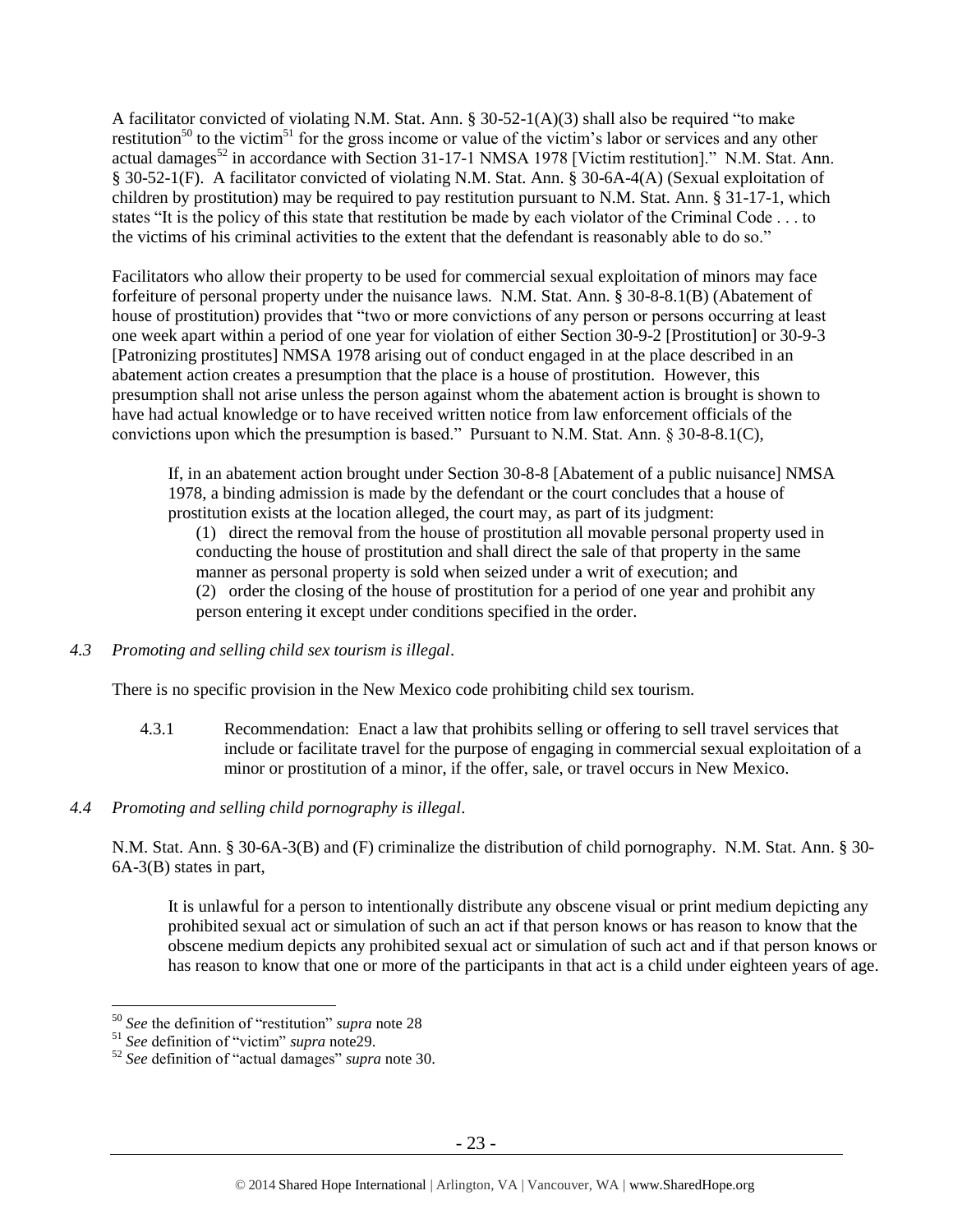A facilitator convicted of violating N.M. Stat. Ann. § 30-52-1(A)(3) shall also be required "to make restitution<sup>50</sup> to the victim<sup>51</sup> for the gross income or value of the victim's labor or services and any other actual damages<sup>52</sup> in accordance with Section 31-17-1 NMSA 1978 [Victim restitution]." N.M. Stat. Ann. § 30-52-1(F). A facilitator convicted of violating N.M. Stat. Ann. § 30-6A-4(A) (Sexual exploitation of children by prostitution) may be required to pay restitution pursuant to N.M. Stat. Ann. § 31-17-1, which states "It is the policy of this state that restitution be made by each violator of the Criminal Code . . . to the victims of his criminal activities to the extent that the defendant is reasonably able to do so."

Facilitators who allow their property to be used for commercial sexual exploitation of minors may face forfeiture of personal property under the nuisance laws. N.M. Stat. Ann. § 30-8-8.1(B) (Abatement of house of prostitution) provides that "two or more convictions of any person or persons occurring at least one week apart within a period of one year for violation of either Section 30-9-2 [Prostitution] or 30-9-3 [Patronizing prostitutes] NMSA 1978 arising out of conduct engaged in at the place described in an abatement action creates a presumption that the place is a house of prostitution. However, this presumption shall not arise unless the person against whom the abatement action is brought is shown to have had actual knowledge or to have received written notice from law enforcement officials of the convictions upon which the presumption is based." Pursuant to N.M. Stat. Ann. § 30-8-8.1(C),

If, in an abatement action brought under Section 30-8-8 [Abatement of a public nuisance] NMSA 1978, a binding admission is made by the defendant or the court concludes that a house of prostitution exists at the location alleged, the court may, as part of its judgment:

(1) direct the removal from the house of prostitution all movable personal property used in conducting the house of prostitution and shall direct the sale of that property in the same manner as personal property is sold when seized under a writ of execution; and (2) order the closing of the house of prostitution for a period of one year and prohibit any person entering it except under conditions specified in the order.

*4.3 Promoting and selling child sex tourism is illegal*.

There is no specific provision in the New Mexico code prohibiting child sex tourism.

- 4.3.1 Recommendation: Enact a law that prohibits selling or offering to sell travel services that include or facilitate travel for the purpose of engaging in commercial sexual exploitation of a minor or prostitution of a minor, if the offer, sale, or travel occurs in New Mexico.
- *4.4 Promoting and selling child pornography is illegal*.

N.M. Stat. Ann. § 30-6A-3(B) and (F) criminalize the distribution of child pornography. N.M. Stat. Ann. § 30- 6A-3(B) states in part,

It is unlawful for a person to intentionally distribute any obscene visual or print medium depicting any prohibited sexual act or simulation of such an act if that person knows or has reason to know that the obscene medium depicts any prohibited sexual act or simulation of such act and if that person knows or has reason to know that one or more of the participants in that act is a child under eighteen years of age.

<sup>50</sup> *See* the definition of "restitution" *supra* note [28](#page-12-0)

<sup>51</sup> *See* definition of "victim" *supra* not[e29.](#page-12-1)

<sup>52</sup> *See* definition of "actual damages" *supra* note [30.](#page-12-2)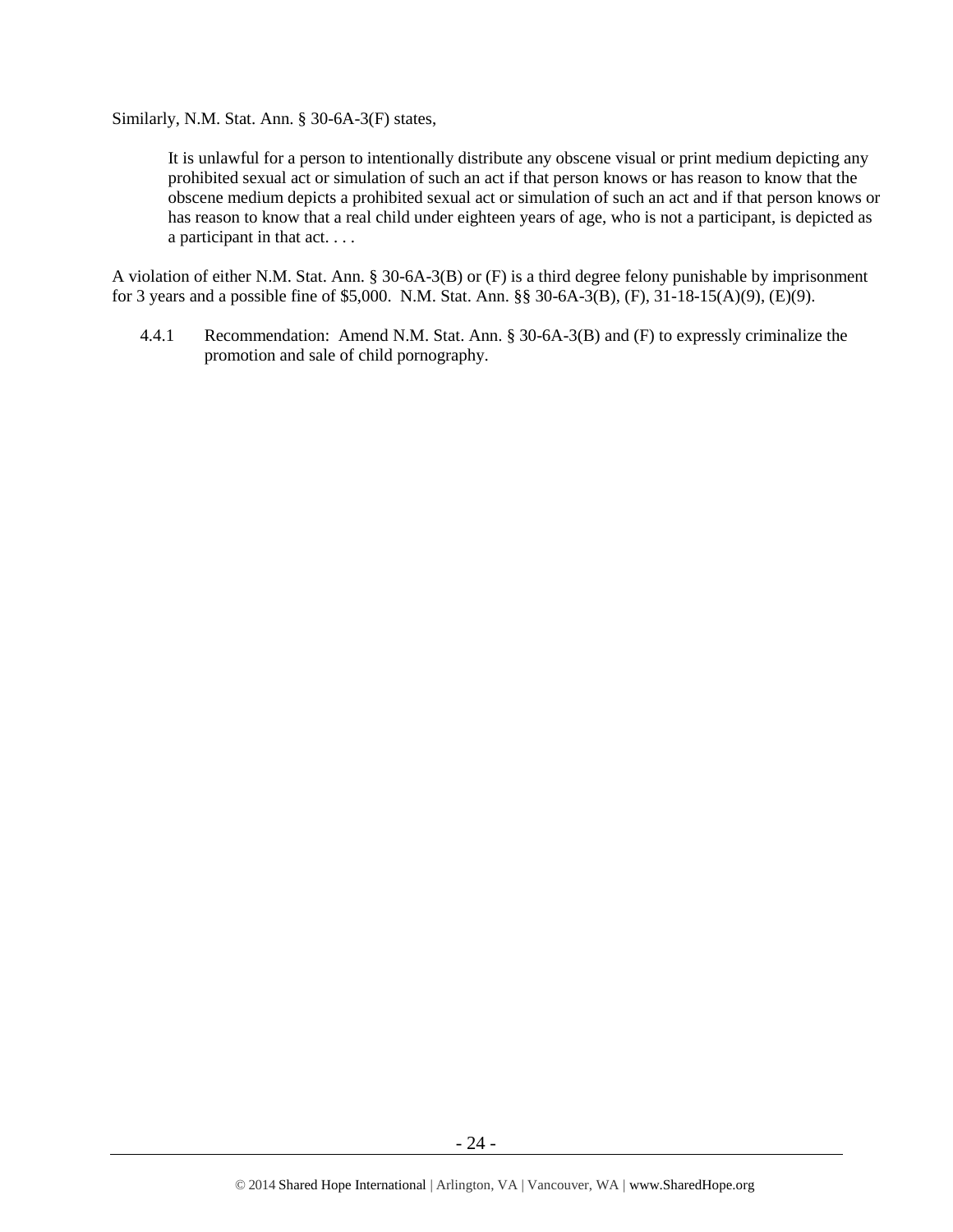Similarly, N.M. Stat. Ann. § 30-6A-3(F) states,

It is unlawful for a person to intentionally distribute any obscene visual or print medium depicting any prohibited sexual act or simulation of such an act if that person knows or has reason to know that the obscene medium depicts a prohibited sexual act or simulation of such an act and if that person knows or has reason to know that a real child under eighteen years of age, who is not a participant, is depicted as a participant in that act. . . .

A violation of either N.M. Stat. Ann. § 30-6A-3(B) or (F) is a third degree felony punishable by imprisonment for 3 years and a possible fine of \$5,000. N.M. Stat. Ann. §§ 30-6A-3(B), (F), 31-18-15(A)(9), (E)(9).

4.4.1 Recommendation: Amend N.M. Stat. Ann. § 30-6A-3(B) and (F) to expressly criminalize the promotion and sale of child pornography.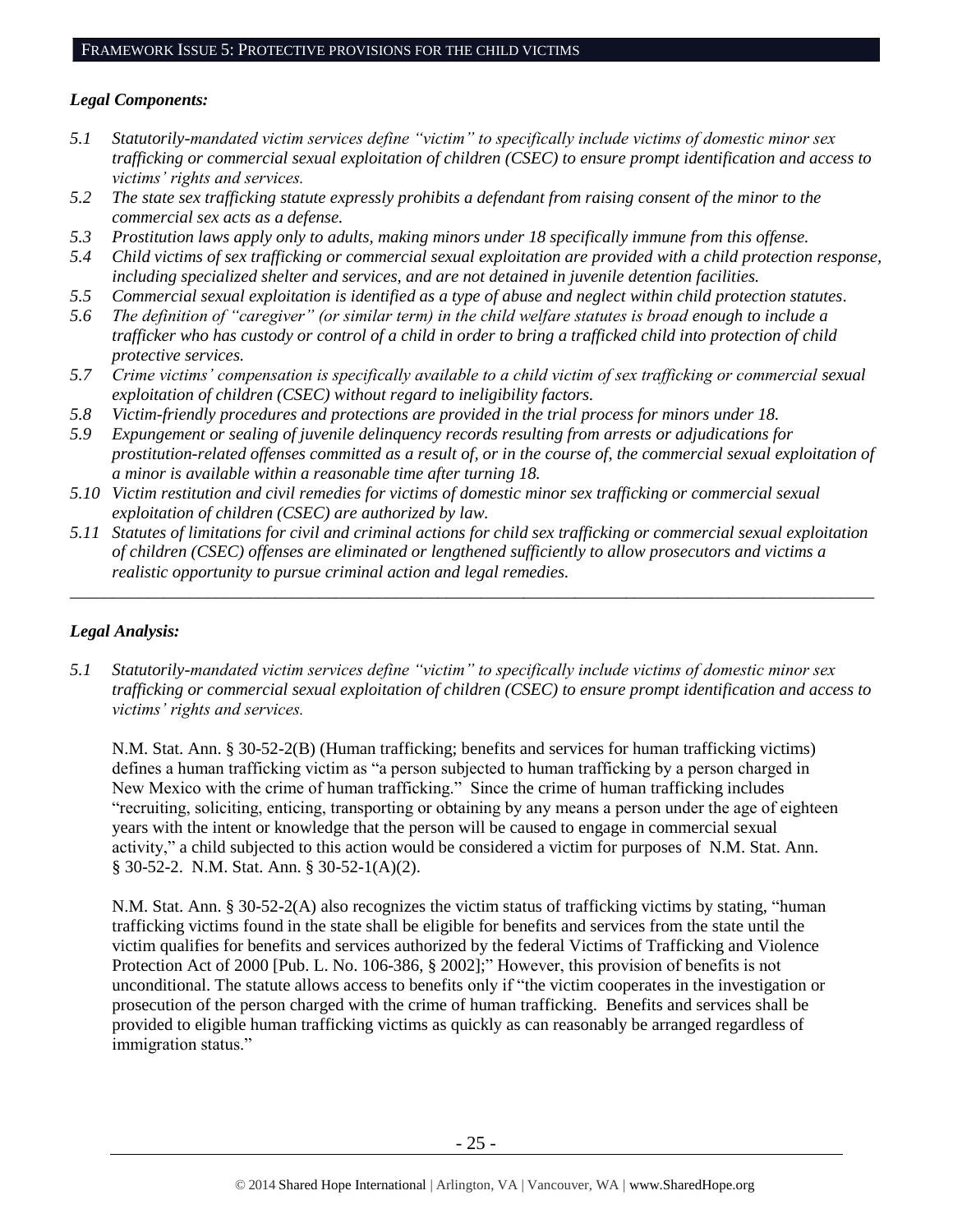# *Legal Components:*

- *5.1 Statutorily-mandated victim services define "victim" to specifically include victims of domestic minor sex trafficking or commercial sexual exploitation of children (CSEC) to ensure prompt identification and access to victims' rights and services.*
- *5.2 The state sex trafficking statute expressly prohibits a defendant from raising consent of the minor to the commercial sex acts as a defense.*
- *5.3 Prostitution laws apply only to adults, making minors under 18 specifically immune from this offense.*
- *5.4 Child victims of sex trafficking or commercial sexual exploitation are provided with a child protection response, including specialized shelter and services, and are not detained in juvenile detention facilities.*
- *5.5 Commercial sexual exploitation is identified as a type of abuse and neglect within child protection statutes.*
- *5.6 The definition of "caregiver" (or similar term) in the child welfare statutes is broad enough to include a trafficker who has custody or control of a child in order to bring a trafficked child into protection of child protective services.*
- *5.7 Crime victims' compensation is specifically available to a child victim of sex trafficking or commercial sexual exploitation of children (CSEC) without regard to ineligibility factors.*
- *5.8 Victim-friendly procedures and protections are provided in the trial process for minors under 18.*
- *5.9 Expungement or sealing of juvenile delinquency records resulting from arrests or adjudications for prostitution-related offenses committed as a result of, or in the course of, the commercial sexual exploitation of a minor is available within a reasonable time after turning 18.*
- *5.10 Victim restitution and civil remedies for victims of domestic minor sex trafficking or commercial sexual exploitation of children (CSEC) are authorized by law.*
- *5.11 Statutes of limitations for civil and criminal actions for child sex trafficking or commercial sexual exploitation of children (CSEC) offenses are eliminated or lengthened sufficiently to allow prosecutors and victims a realistic opportunity to pursue criminal action and legal remedies.*

*\_\_\_\_\_\_\_\_\_\_\_\_\_\_\_\_\_\_\_\_\_\_\_\_\_\_\_\_\_\_\_\_\_\_\_\_\_\_\_\_\_\_\_\_\_\_\_\_\_\_\_\_\_\_\_\_\_\_\_\_\_\_\_\_\_\_\_\_\_\_\_\_\_\_\_\_\_\_\_\_\_\_\_\_\_\_\_\_\_\_\_\_\_\_*

# *Legal Analysis:*

*5.1 Statutorily-mandated victim services define "victim" to specifically include victims of domestic minor sex trafficking or commercial sexual exploitation of children (CSEC) to ensure prompt identification and access to victims' rights and services.* 

N.M. Stat. Ann. § 30-52-2(B) (Human trafficking; benefits and services for human trafficking victims) defines a human trafficking victim as "a person subjected to human trafficking by a person charged in New Mexico with the crime of human trafficking." Since the crime of human trafficking includes "recruiting, soliciting, enticing, transporting or obtaining by any means a person under the age of eighteen years with the intent or knowledge that the person will be caused to engage in commercial sexual activity," a child subjected to this action would be considered a victim for purposes of N.M. Stat. Ann. § 30-52-2. N.M. Stat. Ann. § 30-52-1(A)(2).

N.M. Stat. Ann. § 30-52-2(A) also recognizes the victim status of trafficking victims by stating, "human trafficking victims found in the state shall be eligible for benefits and services from the state until the victim qualifies for benefits and services authorized by the federal Victims of Trafficking and Violence Protection Act of 2000 [Pub. L. No. 106-386, § 2002];" However, this provision of benefits is not unconditional. The statute allows access to benefits only if "the victim cooperates in the investigation or prosecution of the person charged with the crime of human trafficking. Benefits and services shall be provided to eligible human trafficking victims as quickly as can reasonably be arranged regardless of immigration status."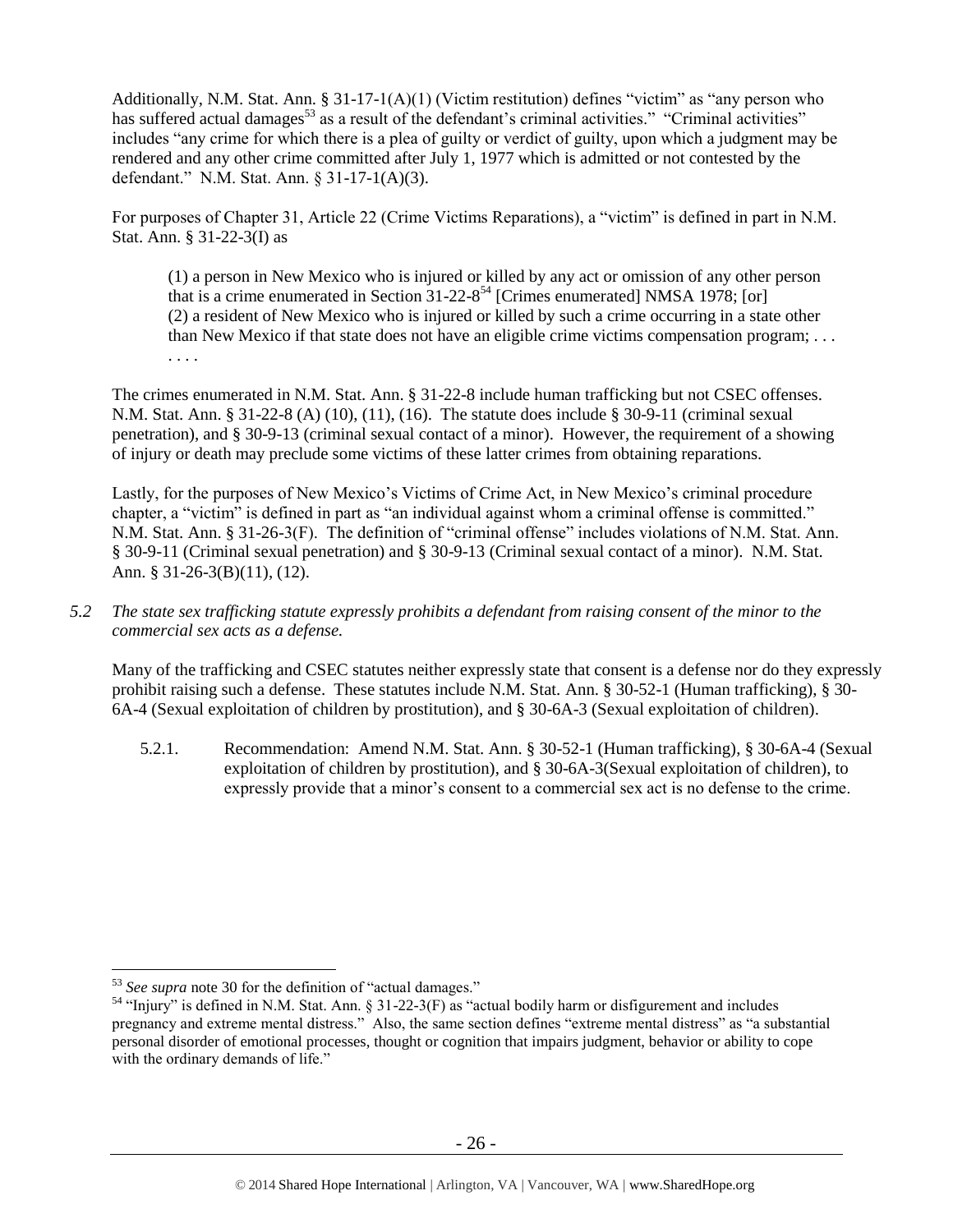Additionally, N.M. Stat. Ann. § 31-17-1(A)(1) (Victim restitution) defines "victim" as "any person who has suffered actual damages<sup>53</sup> as a result of the defendant's criminal activities." "Criminal activities" includes "any crime for which there is a plea of guilty or verdict of guilty, upon which a judgment may be rendered and any other crime committed after July 1, 1977 which is admitted or not contested by the defendant." N.M. Stat. Ann. § 31-17-1(A)(3).

For purposes of Chapter 31, Article 22 (Crime Victims Reparations), a "victim" is defined in part in N.M. Stat. Ann. § 31-22-3(I) as

<span id="page-25-0"></span>(1) a person in New Mexico who is injured or killed by any act or omission of any other person that is a crime enumerated in Section 31-22-8 <sup>54</sup> [Crimes enumerated] NMSA 1978; [or] (2) a resident of New Mexico who is injured or killed by such a crime occurring in a state other than New Mexico if that state does not have an eligible crime victims compensation program; . . . . . . .

The crimes enumerated in N.M. Stat. Ann. § 31-22-8 include human trafficking but not CSEC offenses. N.M. Stat. Ann. § 31-22-8 (A) (10), (11), (16). The statute does include § 30-9-11 (criminal sexual penetration), and § 30-9-13 (criminal sexual contact of a minor). However, the requirement of a showing of injury or death may preclude some victims of these latter crimes from obtaining reparations.

Lastly, for the purposes of New Mexico's Victims of Crime Act, in New Mexico's criminal procedure chapter, a "victim" is defined in part as "an individual against whom a criminal offense is committed." N.M. Stat. Ann. § 31-26-3(F). The definition of "criminal offense" includes violations of N.M. Stat. Ann. § 30-9-11 (Criminal sexual penetration) and § 30-9-13 (Criminal sexual contact of a minor). N.M. Stat. Ann. § 31-26-3(B)(11), (12).

*5.2 The state sex trafficking statute expressly prohibits a defendant from raising consent of the minor to the commercial sex acts as a defense.*

Many of the trafficking and CSEC statutes neither expressly state that consent is a defense nor do they expressly prohibit raising such a defense. These statutes include N.M. Stat. Ann. § 30-52-1 (Human trafficking), § 30- 6A-4 (Sexual exploitation of children by prostitution), and § 30-6A-3 (Sexual exploitation of children).

5.2.1. Recommendation: Amend N.M. Stat. Ann. § 30-52-1 (Human trafficking), § 30-6A-4 (Sexual exploitation of children by prostitution), and § 30-6A-3(Sexual exploitation of children), to expressly provide that a minor's consent to a commercial sex act is no defense to the crime.

<sup>53</sup> *See supra* note [30](#page-12-2) for the definition of "actual damages."

<sup>&</sup>lt;sup>54</sup> "Injury" is defined in N.M. Stat. Ann. § 31-22-3(F) as "actual bodily harm or disfigurement and includes pregnancy and extreme mental distress." Also, the same section defines "extreme mental distress" as "a substantial personal disorder of emotional processes, thought or cognition that impairs judgment, behavior or ability to cope with the ordinary demands of life."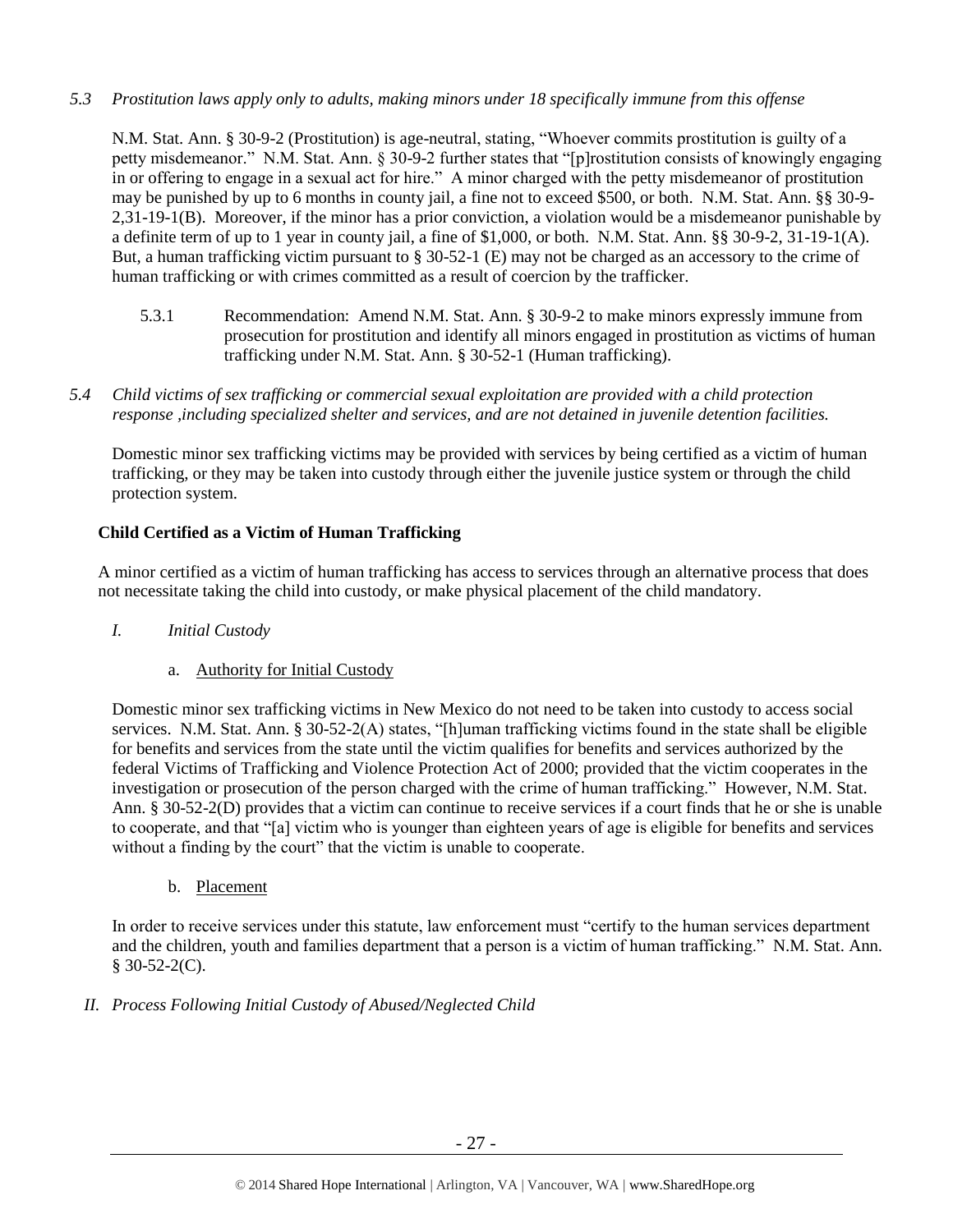# *5.3 Prostitution laws apply only to adults, making minors under 18 specifically immune from this offense*

N.M. Stat. Ann. § 30-9-2 (Prostitution) is age-neutral, stating, "Whoever commits prostitution is guilty of a petty misdemeanor." N.M. Stat. Ann. § 30-9-2 further states that "[p]rostitution consists of knowingly engaging in or offering to engage in a sexual act for hire." A minor charged with the petty misdemeanor of prostitution may be punished by up to 6 months in county jail, a fine not to exceed \$500, or both. N.M. Stat. Ann. §§ 30-9- 2,31-19-1(B). Moreover, if the minor has a prior conviction, a violation would be a misdemeanor punishable by a definite term of up to 1 year in county jail, a fine of \$1,000, or both. N.M. Stat. Ann. §§ 30-9-2, 31-19-1(A). But, a human trafficking victim pursuant to § 30-52-1 (E) may not be charged as an accessory to the crime of human trafficking or with crimes committed as a result of coercion by the trafficker.

- 5.3.1 Recommendation: Amend N.M. Stat. Ann. § 30-9-2 to make minors expressly immune from prosecution for prostitution and identify all minors engaged in prostitution as victims of human trafficking under N.M. Stat. Ann. § 30-52-1 (Human trafficking).
- *5.4 Child victims of sex trafficking or commercial sexual exploitation are provided with a child protection response ,including specialized shelter and services, and are not detained in juvenile detention facilities.*

Domestic minor sex trafficking victims may be provided with services by being certified as a victim of human trafficking, or they may be taken into custody through either the juvenile justice system or through the child protection system.

# **Child Certified as a Victim of Human Trafficking**

A minor certified as a victim of human trafficking has access to services through an alternative process that does not necessitate taking the child into custody, or make physical placement of the child mandatory.

- *I. Initial Custody*
	- a. Authority for Initial Custody

Domestic minor sex trafficking victims in New Mexico do not need to be taken into custody to access social services. N.M. Stat. Ann. § 30-52-2(A) states, "[h]uman trafficking victims found in the state shall be eligible for benefits and services from the state until the victim qualifies for benefits and services authorized by the federal Victims of Trafficking and Violence Protection Act of 2000; provided that the victim cooperates in the investigation or prosecution of the person charged with the crime of human trafficking." However, N.M. Stat. Ann. § 30-52-2(D) provides that a victim can continue to receive services if a court finds that he or she is unable to cooperate, and that "[a] victim who is younger than eighteen years of age is eligible for benefits and services without a finding by the court" that the victim is unable to cooperate.

b. Placement

In order to receive services under this statute, law enforcement must "certify to the human services department and the children, youth and families department that a person is a victim of human trafficking." N.M. Stat. Ann.  $$30-52-2(C).$ 

*II. Process Following Initial Custody of Abused/Neglected Child*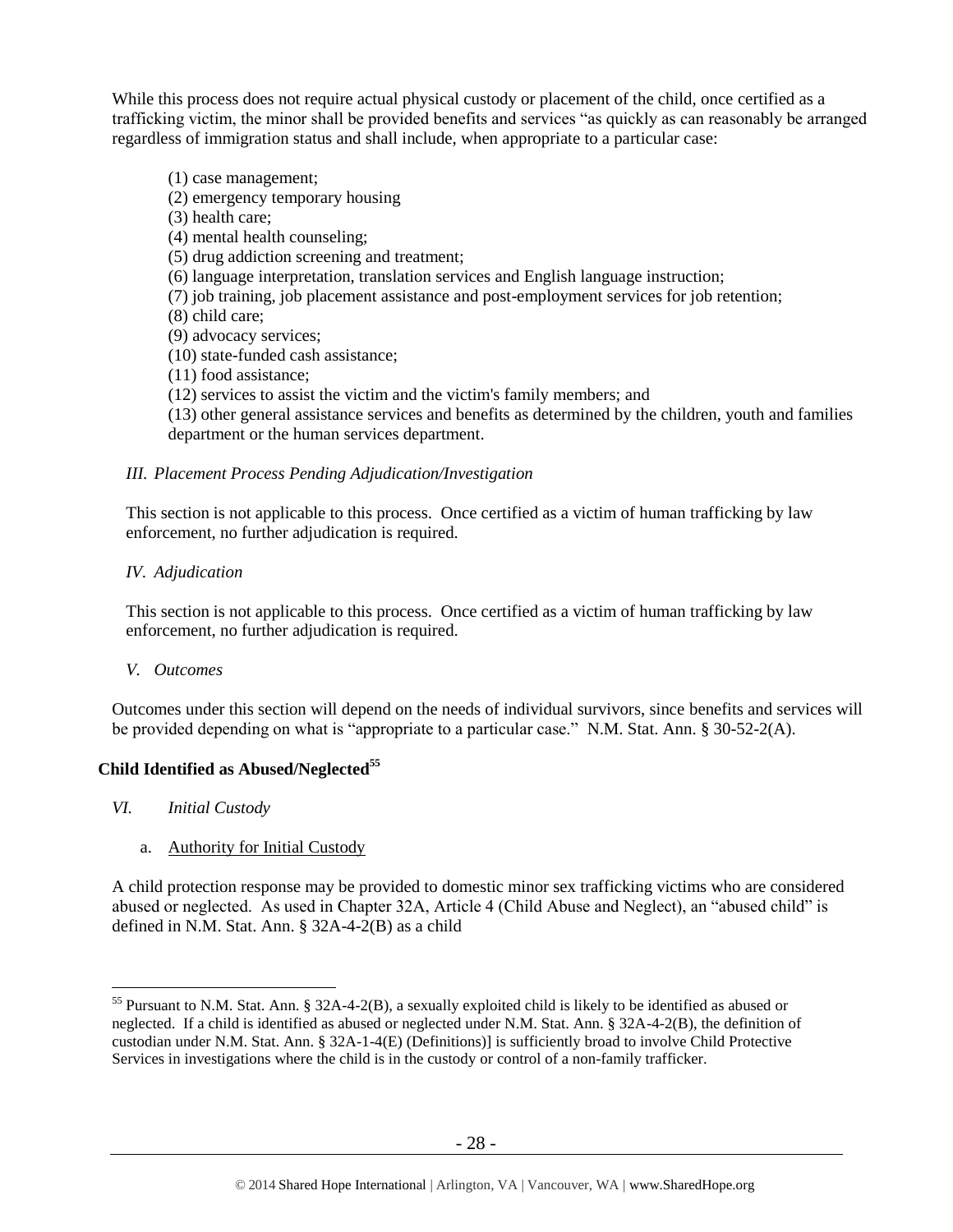While this process does not require actual physical custody or placement of the child, once certified as a trafficking victim, the minor shall be provided benefits and services "as quickly as can reasonably be arranged regardless of immigration status and shall include, when appropriate to a particular case:

- (1) case management;
- (2) emergency temporary housing
- (3) health care;
- (4) mental health counseling;
- (5) drug addiction screening and treatment;
- (6) language interpretation, translation services and English language instruction;
- (7) job training, job placement assistance and post-employment services for job retention;
- (8) child care;
- (9) advocacy services;
- (10) state-funded cash assistance;
- (11) food assistance;
- (12) services to assist the victim and the victim's family members; and
- (13) other general assistance services and benefits as determined by the children, youth and families department or the human services department.

#### *III. Placement Process Pending Adjudication/Investigation*

This section is not applicable to this process. Once certified as a victim of human trafficking by law enforcement, no further adjudication is required.

*IV. Adjudication* 

This section is not applicable to this process. Once certified as a victim of human trafficking by law enforcement, no further adjudication is required.

*V. Outcomes*

Outcomes under this section will depend on the needs of individual survivors, since benefits and services will be provided depending on what is "appropriate to a particular case." N.M. Stat. Ann. § 30-52-2(A).

# **Child Identified as Abused/Neglected<sup>55</sup>**

*VI. Initial Custody*

 $\overline{a}$ 

a. Authority for Initial Custody

A child protection response may be provided to domestic minor sex trafficking victims who are considered abused or neglected. As used in Chapter 32A, Article 4 (Child Abuse and Neglect), an "abused child" is defined in N.M. Stat. Ann. § 32A-4-2(B) as a child

<sup>55</sup> Pursuant to N.M. Stat. Ann. § 32A-4-2(B), a sexually exploited child is likely to be identified as abused or neglected. If a child is identified as abused or neglected under N.M. Stat. Ann. § 32A-4-2(B), the definition of custodian under N.M. Stat. Ann. § 32A-1-4(E) (Definitions)] is sufficiently broad to involve Child Protective Services in investigations where the child is in the custody or control of a non-family trafficker.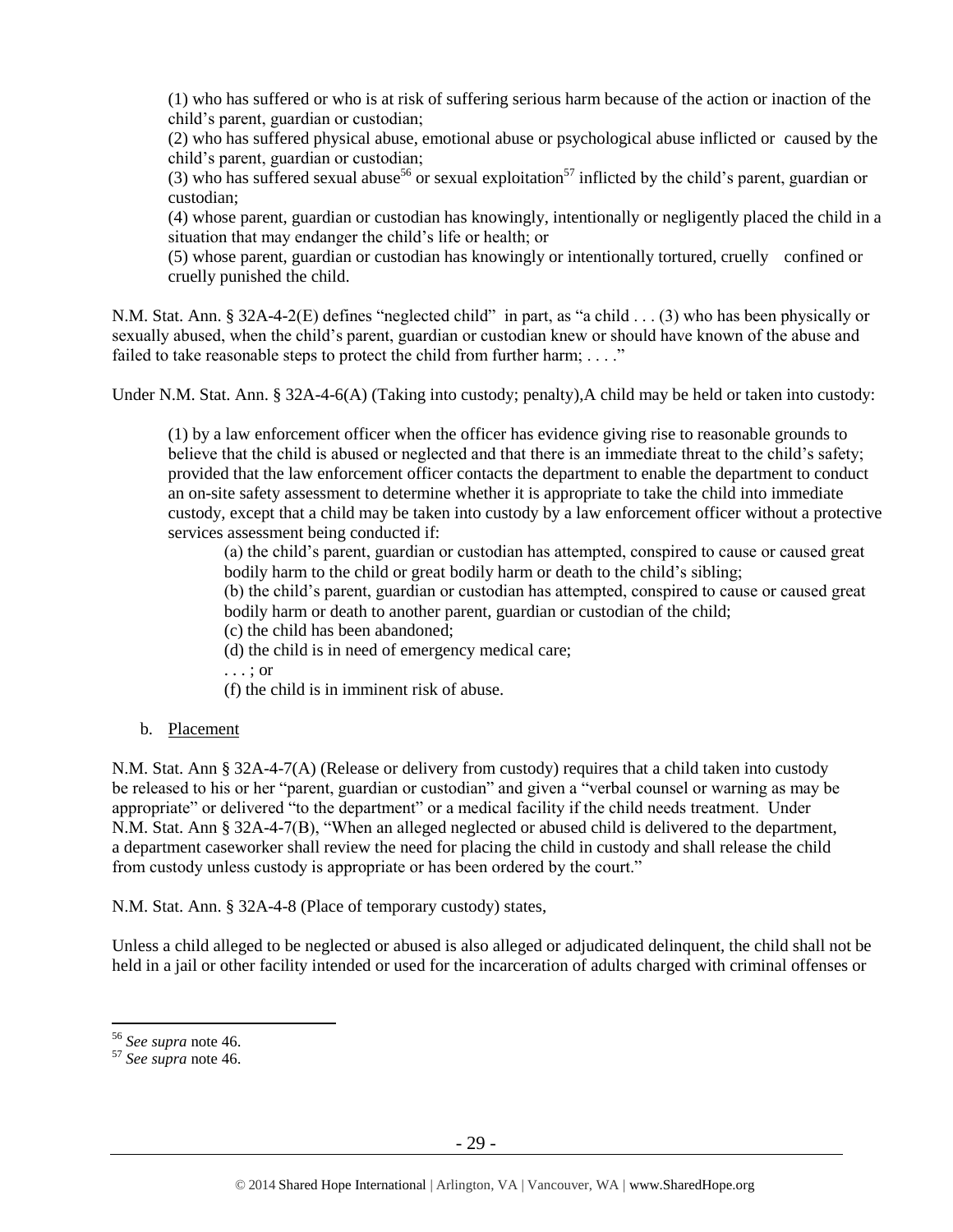(1) who has suffered or who is at risk of suffering serious harm because of the action or inaction of the child's parent, guardian or custodian;

(2) who has suffered physical abuse, emotional abuse or psychological abuse inflicted or caused by the child's parent, guardian or custodian;

(3) who has suffered sexual abuse<sup>56</sup> or sexual exploitation<sup>57</sup> inflicted by the child's parent, guardian or custodian;

(4) whose parent, guardian or custodian has knowingly, intentionally or negligently placed the child in a situation that may endanger the child's life or health; or

(5) whose parent, guardian or custodian has knowingly or intentionally tortured, cruelly confined or cruelly punished the child.

N.M. Stat. Ann. § 32A-4-2(E) defines "neglected child" in part, as "a child . . . (3) who has been physically or sexually abused, when the child's parent, guardian or custodian knew or should have known of the abuse and failed to take reasonable steps to protect the child from further harm; ...."

Under N.M. Stat. Ann. § 32A-4-6(A) (Taking into custody; penalty),A child may be held or taken into custody:

(1) by a law enforcement officer when the officer has evidence giving rise to reasonable grounds to believe that the child is abused or neglected and that there is an immediate threat to the child's safety; provided that the law enforcement officer contacts the department to enable the department to conduct an on-site safety assessment to determine whether it is appropriate to take the child into immediate custody, except that a child may be taken into custody by a law enforcement officer without a protective services assessment being conducted if:

(a) the child's parent, guardian or custodian has attempted, conspired to cause or caused great bodily harm to the child or great bodily harm or death to the child's sibling;

(b) the child's parent, guardian or custodian has attempted, conspired to cause or caused great bodily harm or death to another parent, guardian or custodian of the child;

(c) the child has been abandoned;

(d) the child is in need of emergency medical care;

. . . ; or

(f) the child is in imminent risk of abuse.

# b. Placement

N.M. Stat. Ann § 32A-4-7(A) (Release or delivery from custody) requires that a child taken into custody be released to his or her "parent, guardian or custodian" and given a "verbal counsel or warning as may be appropriate" or delivered "to the department" or a medical facility if the child needs treatment. Under N.M. Stat. Ann § 32A-4-7(B), "When an alleged neglected or abused child is delivered to the department, a department caseworker shall review the need for placing the child in custody and shall release the child from custody unless custody is appropriate or has been ordered by the court."

N.M. Stat. Ann. § 32A-4-8 (Place of temporary custody) states,

Unless a child alleged to be neglected or abused is also alleged or adjudicated delinquent, the child shall not be held in a jail or other facility intended or used for the incarceration of adults charged with criminal offenses or

<sup>56</sup> *See supra* note [46.](#page-19-0)

<sup>57</sup> *See supra* note [46.](#page-19-0)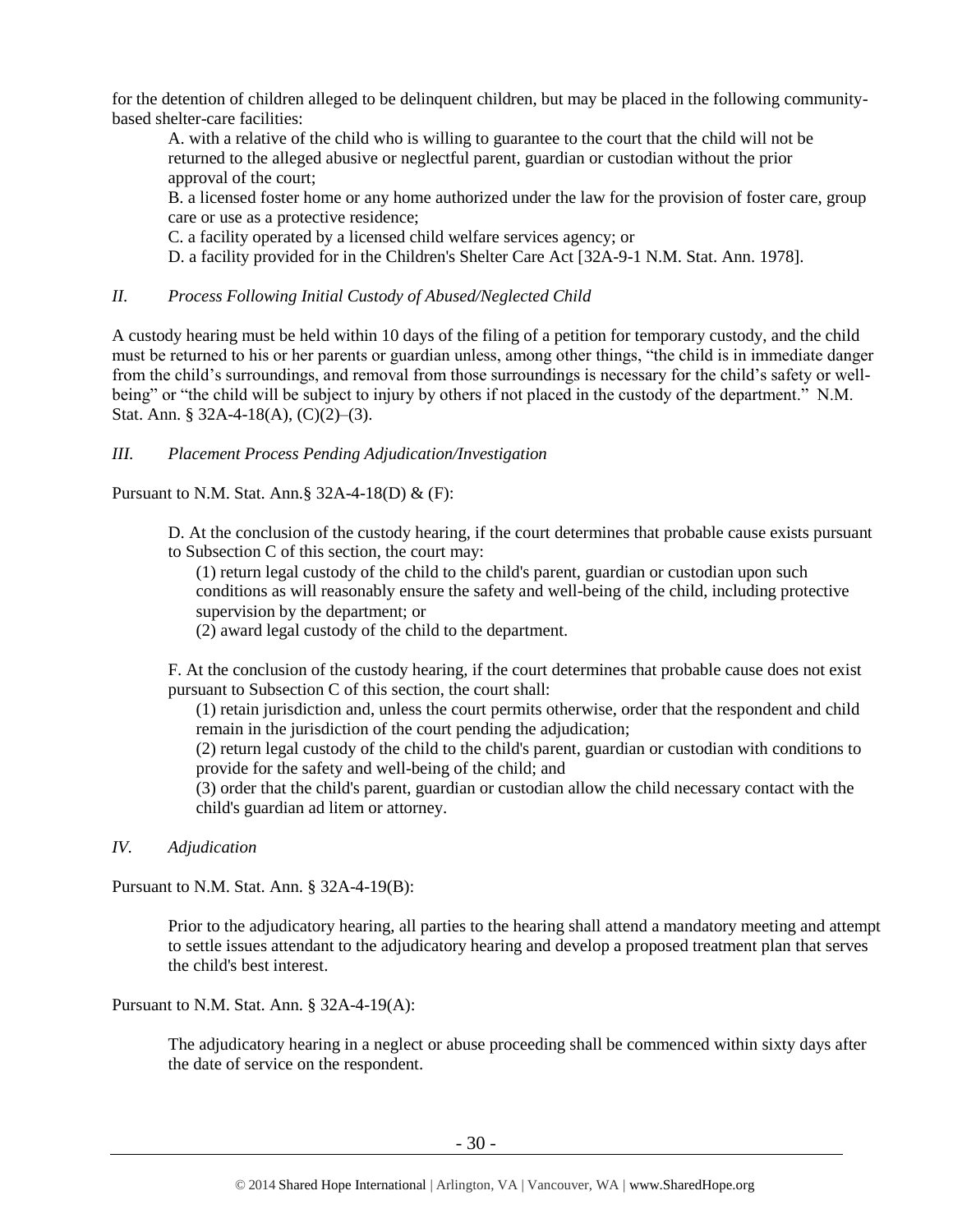for the detention of children alleged to be delinquent children, but may be placed in the following communitybased shelter-care facilities:

A. with a relative of the child who is willing to guarantee to the court that the child will not be returned to the alleged abusive or neglectful parent, guardian or custodian without the prior approval of the court;

B. a licensed foster home or any home authorized under the law for the provision of foster care, group care or use as a protective residence;

C. a facility operated by a licensed child welfare services agency; or

D. a facility provided for in the Children's Shelter Care Act [\[32A-9-1 N.M. Stat. Ann.](https://www.lexis.com/research/buttonTFLink?_m=f3bacb583c49889454f09349851234d8&_xfercite=%3ccite%20cc%3d%22USA%22%3e%3c%21%5bCDATA%5bN.M.%20Stat.%20Ann.%20%a7%2032A-4-8%5d%5d%3e%3c%2fcite%3e&_butType=4&_butStat=0&_butNum=2&_butInline=1&_butinfo=NMCODE%2032A-9-1&_fmtstr=FULL&docnum=1&_startdoc=1&wchp=dGLzVzb-zSkAA&_md5=6cecebf72e5f51549eea9cf382f0c2cb) 1978].

# *II. Process Following Initial Custody of Abused/Neglected Child*

A custody hearing must be held within 10 days of the filing of a petition for temporary custody, and the child must be returned to his or her parents or guardian unless, among other things, "the child is in immediate danger from the child's surroundings, and removal from those surroundings is necessary for the child's safety or wellbeing" or "the child will be subject to injury by others if not placed in the custody of the department." N.M. Stat. Ann. § 32A-4-18(A), (C)(2)–(3).

# *III. Placement Process Pending Adjudication/Investigation*

Pursuant to N.M. Stat. Ann.§ 32A-4-18(D) & (F):

D. At the conclusion of the custody hearing, if the court determines that probable cause exists pursuant to Subsection C of this section, the court may:

(1) return legal custody of the child to the child's parent, guardian or custodian upon such conditions as will reasonably ensure the safety and well-being of the child, including protective supervision by the department; or

(2) award legal custody of the child to the department.

F. At the conclusion of the custody hearing, if the court determines that probable cause does not exist pursuant to Subsection C of this section, the court shall:

(1) retain jurisdiction and, unless the court permits otherwise, order that the respondent and child remain in the jurisdiction of the court pending the adjudication;

(2) return legal custody of the child to the child's parent, guardian or custodian with conditions to provide for the safety and well-being of the child; and

(3) order that the child's parent, guardian or custodian allow the child necessary contact with the child's guardian ad litem or attorney.

*IV. Adjudication* 

Pursuant to N.M. Stat. Ann. § 32A-4-19(B):

Prior to the adjudicatory hearing, all parties to the hearing shall attend a mandatory meeting and attempt to settle issues attendant to the adjudicatory hearing and develop a proposed treatment plan that serves the child's best interest.

Pursuant to N.M. Stat. Ann. § 32A-4-19(A):

The adjudicatory hearing in a neglect or abuse proceeding shall be commenced within sixty days after the date of service on the respondent.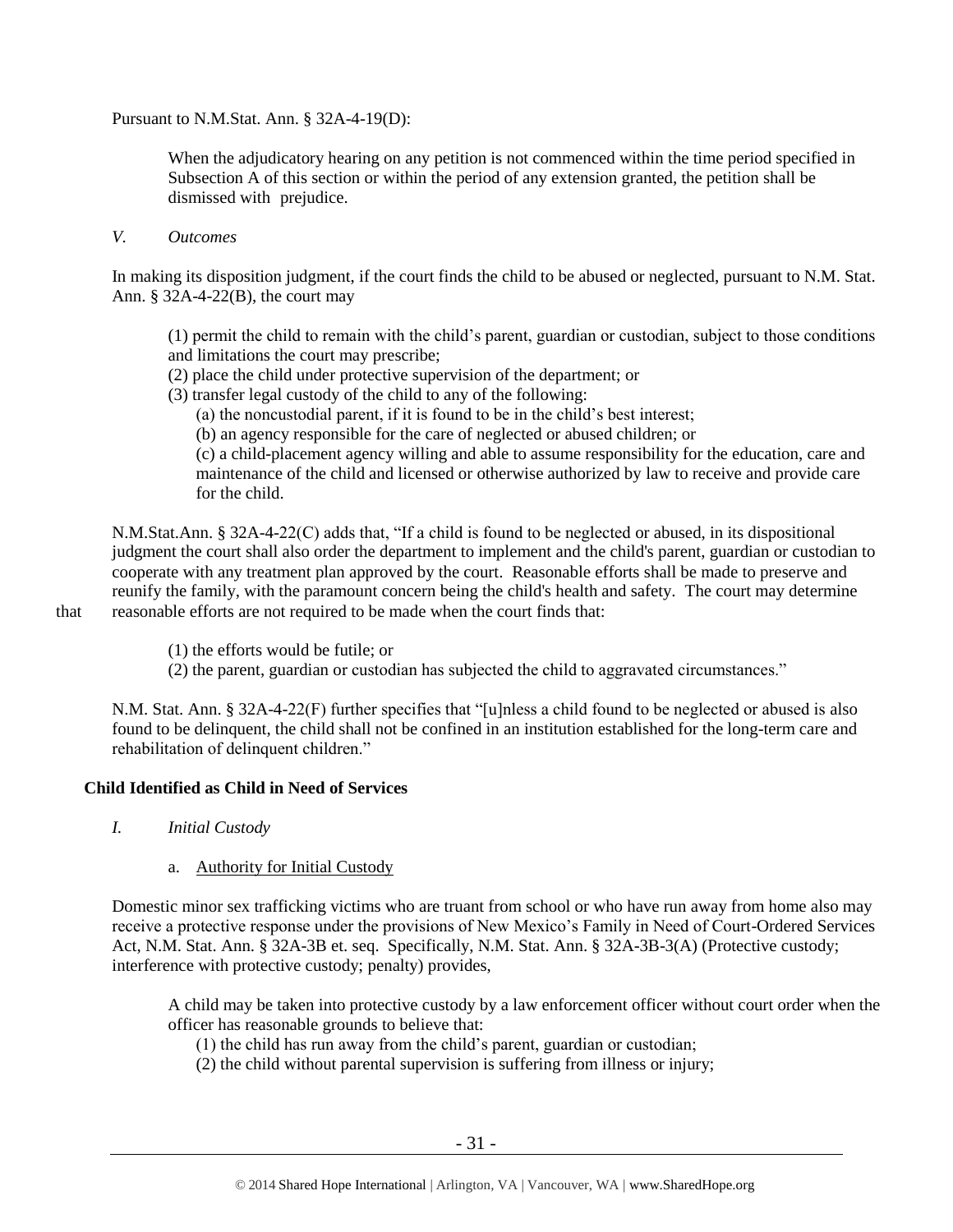Pursuant to N.M.Stat. Ann. § 32A-4-19(D):

When the adjudicatory hearing on any petition is not commenced within the time period specified in Subsection A of this section or within the period of any extension granted, the petition shall be dismissed with prejudice.

*V. Outcomes*

In making its disposition judgment, if the court finds the child to be abused or neglected, pursuant to N.M. Stat. Ann. § 32A-4-22(B), the court may

(1) permit the child to remain with the child's parent, guardian or custodian, subject to those conditions and limitations the court may prescribe;

- (2) place the child under protective supervision of the department; or
- (3) transfer legal custody of the child to any of the following:
	- (a) the noncustodial parent, if it is found to be in the child's best interest;
	- (b) an agency responsible for the care of neglected or abused children; or

(c) a child-placement agency willing and able to assume responsibility for the education, care and maintenance of the child and licensed or otherwise authorized by law to receive and provide care for the child.

N.M.Stat.Ann. § 32A-4-22(C) adds that, "If a child is found to be neglected or abused, in its dispositional judgment the court shall also order the department to implement and the child's parent, guardian or custodian to cooperate with any treatment plan approved by the court. Reasonable efforts shall be made to preserve and reunify the family, with the paramount concern being the child's health and safety. The court may determine that reasonable efforts are not required to be made when the court finds that:

- (1) the efforts would be futile; or
- (2) the parent, guardian or custodian has subjected the child to aggravated circumstances."

N.M. Stat. Ann. § 32A-4-22(F) further specifies that "[u]nless a child found to be neglected or abused is also found to be delinquent, the child shall not be confined in an institution established for the long-term care and rehabilitation of delinquent children."

# **Child Identified as Child in Need of Services**

*I. Initial Custody*

# a. Authority for Initial Custody

Domestic minor sex trafficking victims who are truant from school or who have run away from home also may receive a protective response under the provisions of New Mexico's Family in Need of Court-Ordered Services Act, N.M. Stat. Ann. § 32A-3B et. seq. Specifically, N.M. Stat. Ann. § 32A-3B-3(A) (Protective custody; interference with protective custody; penalty) provides,

A child may be taken into protective custody by a law enforcement officer without court order when the officer has reasonable grounds to believe that:

(1) the child has run away from the child's parent, guardian or custodian;

(2) the child without parental supervision is suffering from illness or injury;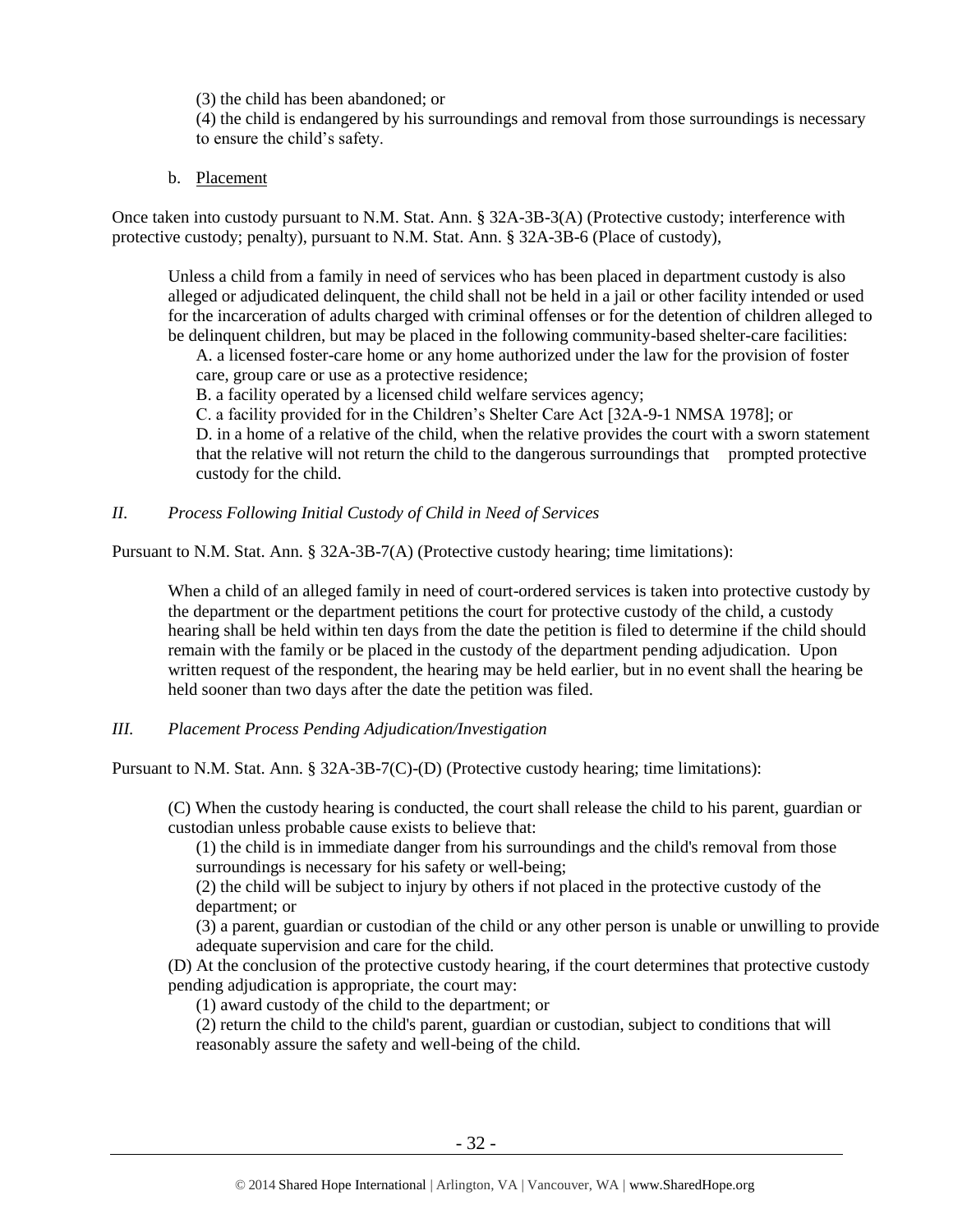(3) the child has been abandoned; or

(4) the child is endangered by his surroundings and removal from those surroundings is necessary to ensure the child's safety.

b. Placement

Once taken into custody pursuant to N.M. Stat. Ann. § 32A-3B-3(A) (Protective custody; interference with protective custody; penalty), pursuant to N.M. Stat. Ann. § 32A-3B-6 (Place of custody),

Unless a child from a family in need of services who has been placed in department custody is also alleged or adjudicated delinquent, the child shall not be held in a jail or other facility intended or used for the incarceration of adults charged with criminal offenses or for the detention of children alleged to be delinquent children, but may be placed in the following community-based shelter-care facilities:

A. a licensed foster-care home or any home authorized under the law for the provision of foster care, group care or use as a protective residence;

B. a facility operated by a licensed child welfare services agency;

C. a facility provided for in the Children's Shelter Care Act [32A-9-1 NMSA 1978]; or

D. in a home of a relative of the child, when the relative provides the court with a sworn statement that the relative will not return the child to the dangerous surroundings that prompted protective custody for the child.

*II. Process Following Initial Custody of Child in Need of Services*

Pursuant to N.M. Stat. Ann. § 32A-3B-7(A) (Protective custody hearing; time limitations):

When a child of an alleged family in need of court-ordered services is taken into protective custody by the department or the department petitions the court for protective custody of the child, a custody hearing shall be held within ten days from the date the petition is filed to determine if the child should remain with the family or be placed in the custody of the department pending adjudication. Upon written request of the respondent, the hearing may be held earlier, but in no event shall the hearing be held sooner than two days after the date the petition was filed.

*III. Placement Process Pending Adjudication/Investigation*

Pursuant to N.M. Stat. Ann. § 32A-3B-7(C)-(D) (Protective custody hearing; time limitations):

(C) When the custody hearing is conducted, the court shall release the child to his parent, guardian or custodian unless probable cause exists to believe that:

(1) the child is in immediate danger from his surroundings and the child's removal from those surroundings is necessary for his safety or well-being;

(2) the child will be subject to injury by others if not placed in the protective custody of the department; or

(3) a parent, guardian or custodian of the child or any other person is unable or unwilling to provide adequate supervision and care for the child.

(D) At the conclusion of the protective custody hearing, if the court determines that protective custody pending adjudication is appropriate, the court may:

(1) award custody of the child to the department; or

(2) return the child to the child's parent, guardian or custodian, subject to conditions that will reasonably assure the safety and well-being of the child.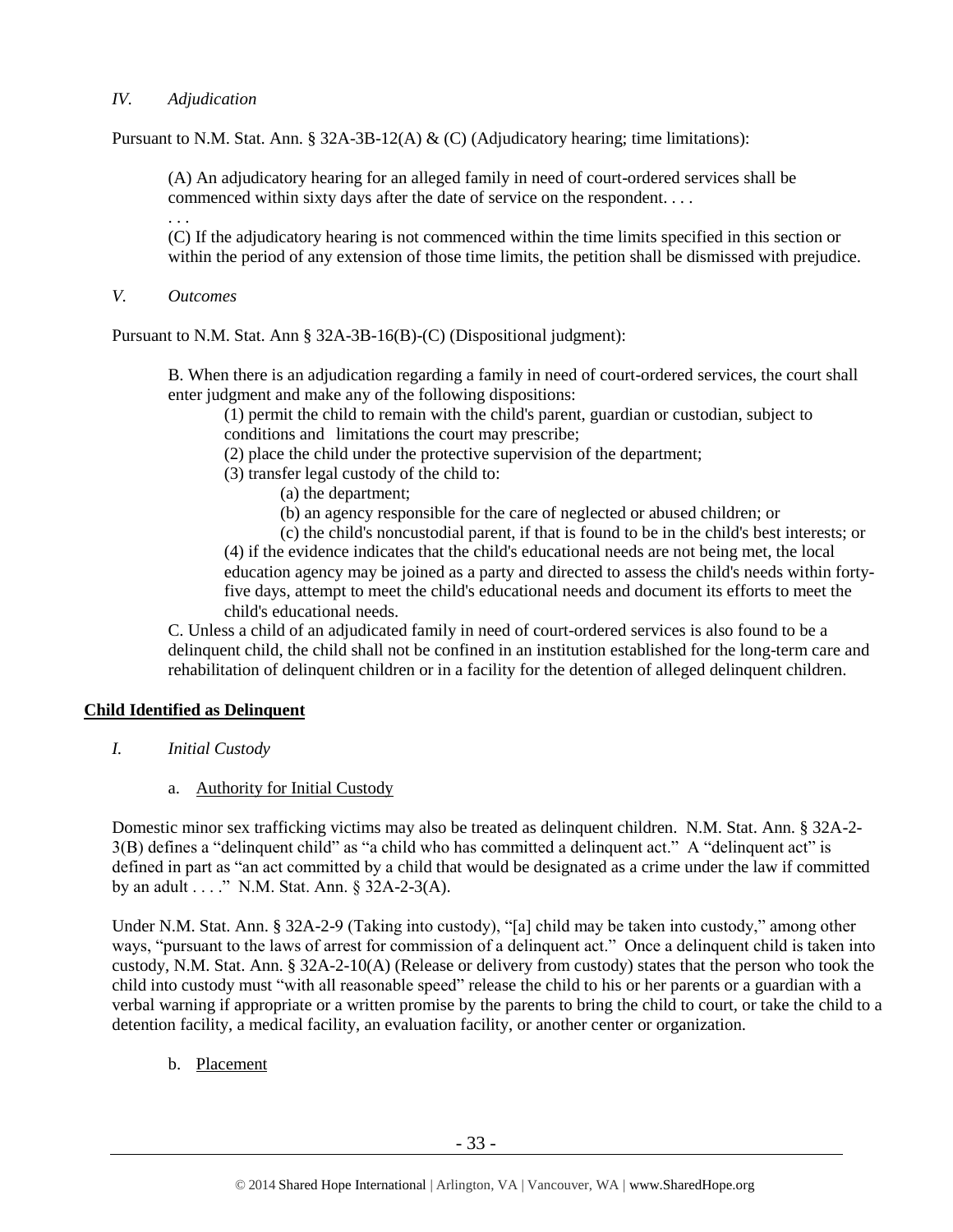# *IV. Adjudication*

Pursuant to N.M. Stat. Ann. § 32A-3B-12(A)  $\&$  (C) (Adjudicatory hearing; time limitations):

(A) An adjudicatory hearing for an alleged family in need of court-ordered services shall be commenced within sixty days after the date of service on the respondent. . . .

(C) If the adjudicatory hearing is not commenced within the time limits specified in this section or within the period of any extension of those time limits, the petition shall be dismissed with prejudice.

*V. Outcomes*

. . .

Pursuant to N.M. Stat. Ann § 32A-3B-16(B)-(C) (Dispositional judgment):

B. When there is an adjudication regarding a family in need of court-ordered services, the court shall enter judgment and make any of the following dispositions:

(1) permit the child to remain with the child's parent, guardian or custodian, subject to conditions and limitations the court may prescribe;

(2) place the child under the protective supervision of the department;

- (3) transfer legal custody of the child to:
	- (a) the department;
	- (b) an agency responsible for the care of neglected or abused children; or

(c) the child's noncustodial parent, if that is found to be in the child's best interests; or (4) if the evidence indicates that the child's educational needs are not being met, the local education agency may be joined as a party and directed to assess the child's needs within fortyfive days, attempt to meet the child's educational needs and document its efforts to meet the child's educational needs.

C. Unless a child of an adjudicated family in need of court-ordered services is also found to be a delinquent child, the child shall not be confined in an institution established for the long-term care and rehabilitation of delinquent children or in a facility for the detention of alleged delinquent children.

# **Child Identified as Delinquent**

- *I. Initial Custody*
	- a. Authority for Initial Custody

Domestic minor sex trafficking victims may also be treated as delinquent children. N.M. Stat. Ann. § 32A-2- 3(B) defines a "delinquent child" as "a child who has committed a delinquent act." A "delinquent act" is defined in part as "an act committed by a child that would be designated as a crime under the law if committed by an adult . . . ." N.M. Stat. Ann. § 32A-2-3(A).

Under N.M. Stat. Ann. § 32A-2-9 (Taking into custody), "[a] child may be taken into custody," among other ways, "pursuant to the laws of arrest for commission of a delinquent act." Once a delinquent child is taken into custody, N.M. Stat. Ann. § 32A-2-10(A) (Release or delivery from custody) states that the person who took the child into custody must "with all reasonable speed" release the child to his or her parents or a guardian with a verbal warning if appropriate or a written promise by the parents to bring the child to court, or take the child to a detention facility, a medical facility, an evaluation facility, or another center or organization.

b. Placement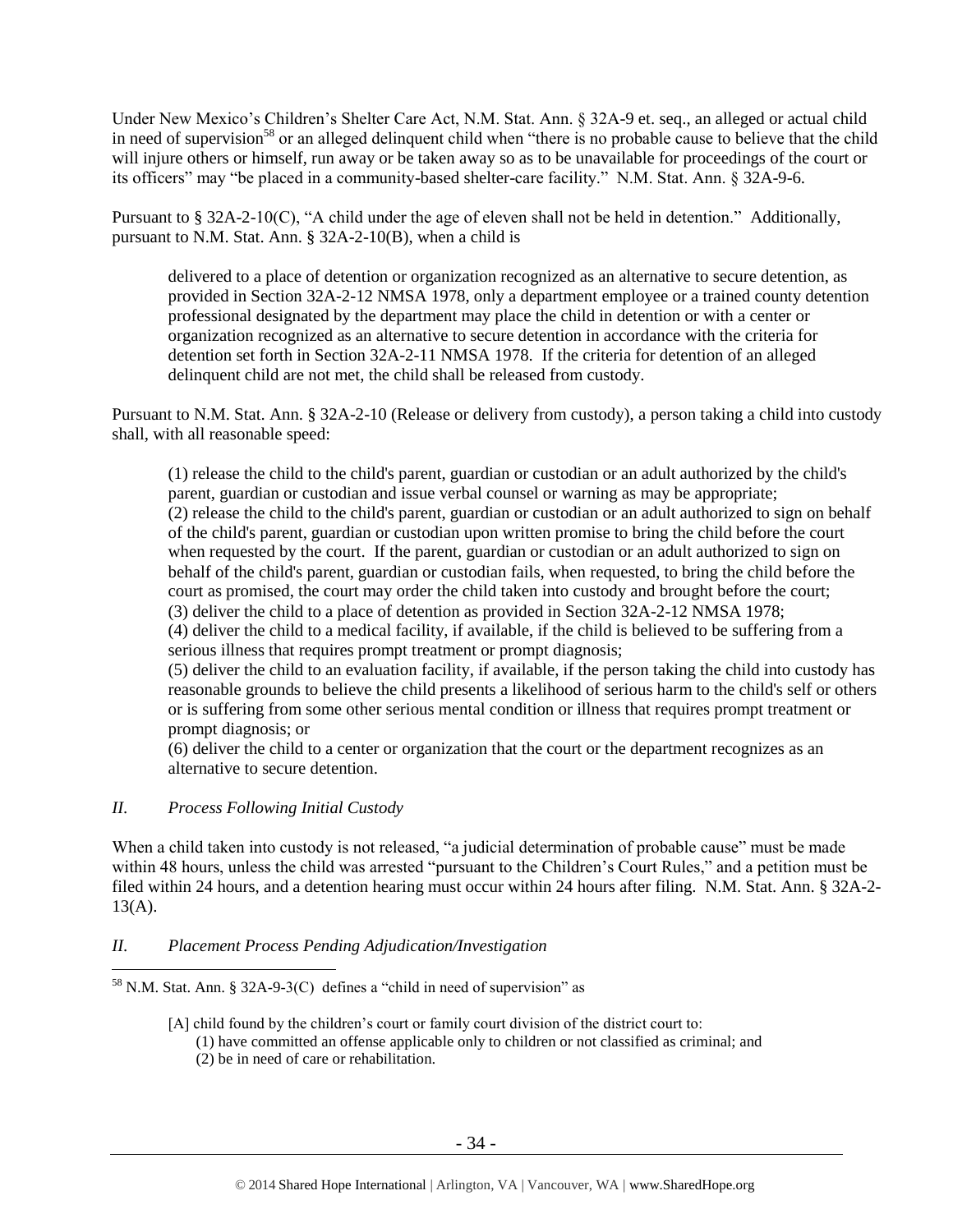Under New Mexico's Children's Shelter Care Act, N.M. Stat. Ann. § 32A-9 et. seq., an alleged or actual child in need of supervision<sup>58</sup> or an alleged delinquent child when "there is no probable cause to believe that the child will injure others or himself, run away or be taken away so as to be unavailable for proceedings of the court or its officers" may "be placed in a community-based shelter-care facility." N.M. Stat. Ann. § 32A-9-6.

Pursuant to § 32A-2-10(C), "A child under the age of eleven shall not be held in detention." Additionally, pursuant to N.M. Stat. Ann. § 32A-2-10(B), when a child is

delivered to a place of detention or organization recognized as an alternative to secure detention, as provided in Section 32A-2-12 NMSA 1978, only a department employee or a trained county detention professional designated by the department may place the child in detention or with a center or organization recognized as an alternative to secure detention in accordance with the criteria for detention set forth in Section 32A-2-11 NMSA 1978. If the criteria for detention of an alleged delinquent child are not met, the child shall be released from custody.

Pursuant to N.M. Stat. Ann. § 32A-2-10 (Release or delivery from custody), a person taking a child into custody shall, with all reasonable speed:

(1) release the child to the child's parent, guardian or custodian or an adult authorized by the child's parent, guardian or custodian and issue verbal counsel or warning as may be appropriate; (2) release the child to the child's parent, guardian or custodian or an adult authorized to sign on behalf of the child's parent, guardian or custodian upon written promise to bring the child before the court when requested by the court. If the parent, guardian or custodian or an adult authorized to sign on behalf of the child's parent, guardian or custodian fails, when requested, to bring the child before the court as promised, the court may order the child taken into custody and brought before the court; (3) deliver the child to a place of detention as provided in Section 32A-2-12 NMSA 1978; (4) deliver the child to a medical facility, if available, if the child is believed to be suffering from a serious illness that requires prompt treatment or prompt diagnosis; (5) deliver the child to an evaluation facility, if available, if the person taking the child into custody has reasonable grounds to believe the child presents a likelihood of serious harm to the child's self or others or is suffering from some other serious mental condition or illness that requires prompt treatment or

prompt diagnosis; or

(6) deliver the child to a center or organization that the court or the department recognizes as an alternative to secure detention.

# *II. Process Following Initial Custody*

 $\overline{a}$ 

When a child taken into custody is not released, "a judicial determination of probable cause" must be made within 48 hours, unless the child was arrested "pursuant to the Children's Court Rules," and a petition must be filed within 24 hours, and a detention hearing must occur within 24 hours after filing. N.M. Stat. Ann. § 32A-2-  $13(A)$ .

# *II. Placement Process Pending Adjudication/Investigation*

 $58$  N.M. Stat. Ann. § 32A-9-3(C) defines a "child in need of supervision" as

<sup>[</sup>A] child found by the children's court or family court division of the district court to: (1) have committed an offense applicable only to children or not classified as criminal; and (2) be in need of care or rehabilitation.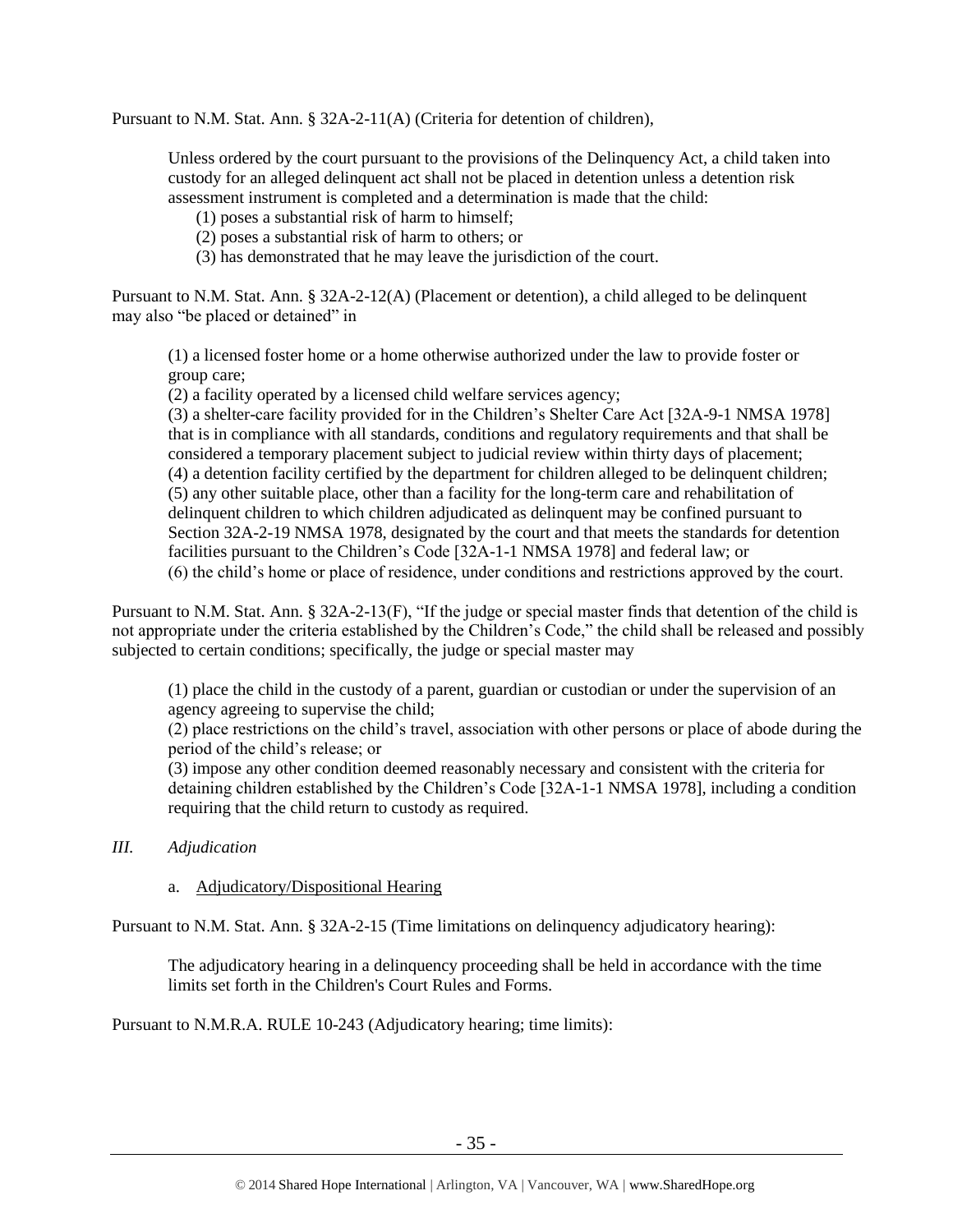Pursuant to N.M. Stat. Ann. § 32A-2-11(A) (Criteria for detention of children),

Unless ordered by the court pursuant to the provisions of the Delinquency Act, a child taken into custody for an alleged delinquent act shall not be placed in detention unless a detention risk assessment instrument is completed and a determination is made that the child:

(1) poses a substantial risk of harm to himself;

(2) poses a substantial risk of harm to others; or

(3) has demonstrated that he may leave the jurisdiction of the court.

Pursuant to N.M. Stat. Ann. § 32A-2-12(A) (Placement or detention), a child alleged to be delinquent may also "be placed or detained" in

(1) a licensed foster home or a home otherwise authorized under the law to provide foster or group care;

(2) a facility operated by a licensed child welfare services agency;

(3) a shelter-care facility provided for in the Children's Shelter Care Act [32A-9-1 NMSA 1978] that is in compliance with all standards, conditions and regulatory requirements and that shall be considered a temporary placement subject to judicial review within thirty days of placement; (4) a detention facility certified by the department for children alleged to be delinquent children; (5) any other suitable place, other than a facility for the long-term care and rehabilitation of delinquent children to which children adjudicated as delinquent may be confined pursuant to Section 32A-2-19 NMSA 1978, designated by the court and that meets the standards for detention facilities pursuant to the Children's Code [32A-1-1 NMSA 1978] and federal law; or (6) the child's home or place of residence, under conditions and restrictions approved by the court.

Pursuant to N.M. Stat. Ann. § 32A-2-13(F), "If the judge or special master finds that detention of the child is not appropriate under the criteria established by the Children's Code," the child shall be released and possibly subjected to certain conditions; specifically, the judge or special master may

(1) place the child in the custody of a parent, guardian or custodian or under the supervision of an agency agreeing to supervise the child;

(2) place restrictions on the child's travel, association with other persons or place of abode during the period of the child's release; or

(3) impose any other condition deemed reasonably necessary and consistent with the criteria for detaining children established by the Children's Code [32A-1-1 NMSA 1978], including a condition requiring that the child return to custody as required.

- *III. Adjudication* 
	- a. Adjudicatory/Dispositional Hearing

Pursuant to N.M. Stat. Ann. § 32A-2-15 (Time limitations on delinquency adjudicatory hearing):

The adjudicatory hearing in a delinquency proceeding shall be held in accordance with the time limits set forth in the Children's Court Rules and Forms.

Pursuant to N.M.R.A. RULE 10-243 (Adjudicatory hearing; time limits):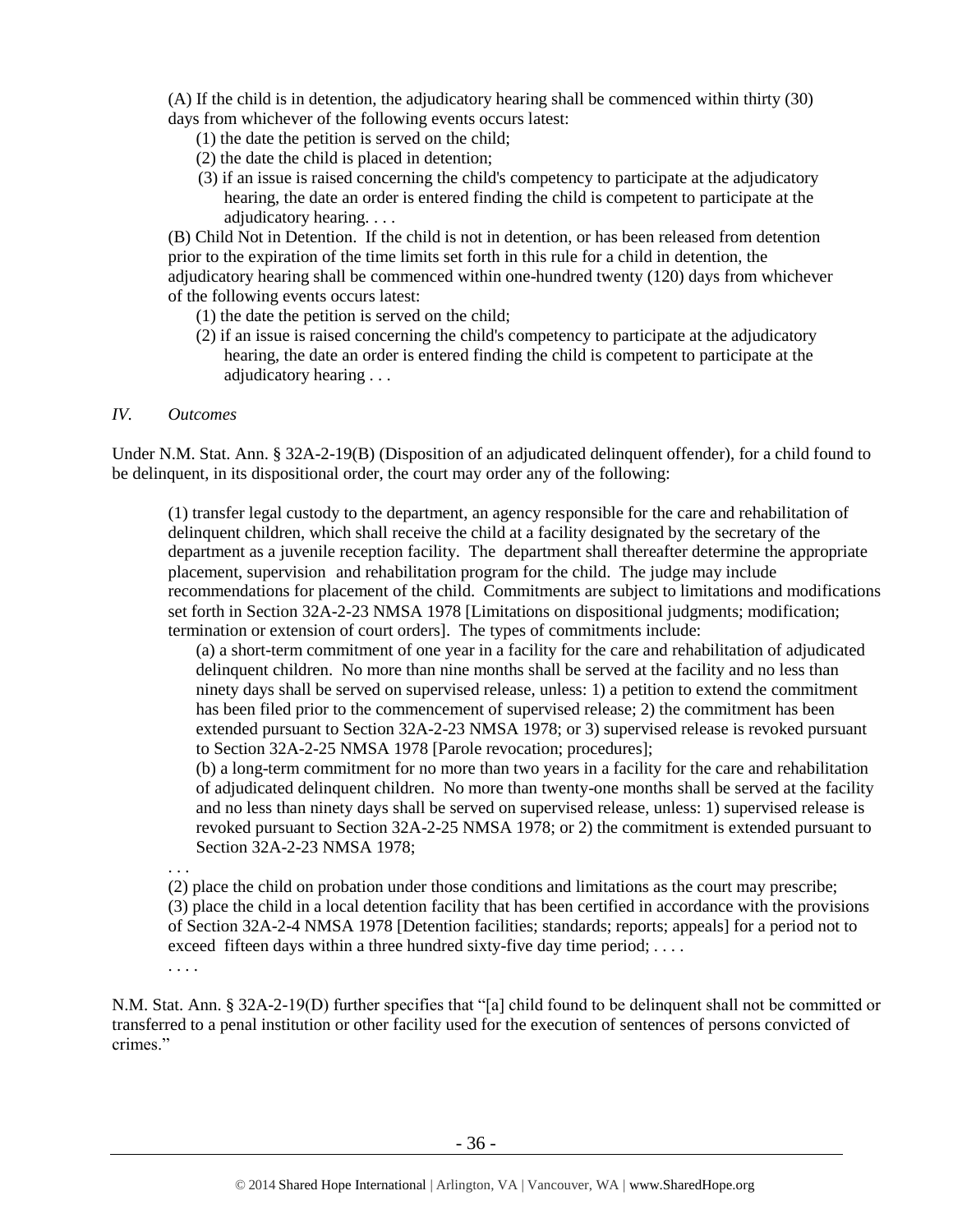(A) If the child is in detention, the adjudicatory hearing shall be commenced within thirty (30) days from whichever of the following events occurs latest:

- (1) the date the petition is served on the child;
- (2) the date the child is placed in detention;
- (3) if an issue is raised concerning the child's competency to participate at the adjudicatory hearing, the date an order is entered finding the child is competent to participate at the adjudicatory hearing. . . .

(B) Child Not in Detention. If the child is not in detention, or has been released from detention prior to the expiration of the time limits set forth in this rule for a child in detention, the adjudicatory hearing shall be commenced within one-hundred twenty (120) days from whichever of the following events occurs latest:

- (1) the date the petition is served on the child;
- (2) if an issue is raised concerning the child's competency to participate at the adjudicatory hearing, the date an order is entered finding the child is competent to participate at the adjudicatory hearing . . .

### *IV. Outcomes*

Under N.M. Stat. Ann. § 32A-2-19(B) (Disposition of an adjudicated delinquent offender), for a child found to be delinquent, in its dispositional order, the court may order any of the following:

(1) transfer legal custody to the department, an agency responsible for the care and rehabilitation of delinquent children, which shall receive the child at a facility designated by the secretary of the department as a juvenile reception facility. The department shall thereafter determine the appropriate placement, supervision and rehabilitation program for the child. The judge may include recommendations for placement of the child. Commitments are subject to limitations and modifications set forth in Section 32A-2-23 NMSA 1978 [Limitations on dispositional judgments; modification; termination or extension of court orders]. The types of commitments include:

(a) a short-term commitment of one year in a facility for the care and rehabilitation of adjudicated delinquent children. No more than nine months shall be served at the facility and no less than ninety days shall be served on supervised release, unless: 1) a petition to extend the commitment has been filed prior to the commencement of supervised release; 2) the commitment has been extended pursuant to Section 32A-2-23 NMSA 1978; or 3) supervised release is revoked pursuant to Section 32A-2-25 NMSA 1978 [Parole revocation; procedures];

(b) a long-term commitment for no more than two years in a facility for the care and rehabilitation of adjudicated delinquent children. No more than twenty-one months shall be served at the facility and no less than ninety days shall be served on supervised release, unless: 1) supervised release is revoked pursuant to Section 32A-2-25 NMSA 1978; or 2) the commitment is extended pursuant to Section 32A-2-23 NMSA 1978;

. . . (2) place the child on probation under those conditions and limitations as the court may prescribe; (3) place the child in a local detention facility that has been certified in accordance with the provisions of Section 32A-2-4 NMSA 1978 [Detention facilities; standards; reports; appeals] for a period not to exceed fifteen days within a three hundred sixty-five day time period; ....

. . . .

N.M. Stat. Ann. § 32A-2-19(D) further specifies that "[a] child found to be delinquent shall not be committed or transferred to a penal institution or other facility used for the execution of sentences of persons convicted of crimes<sup>"</sup>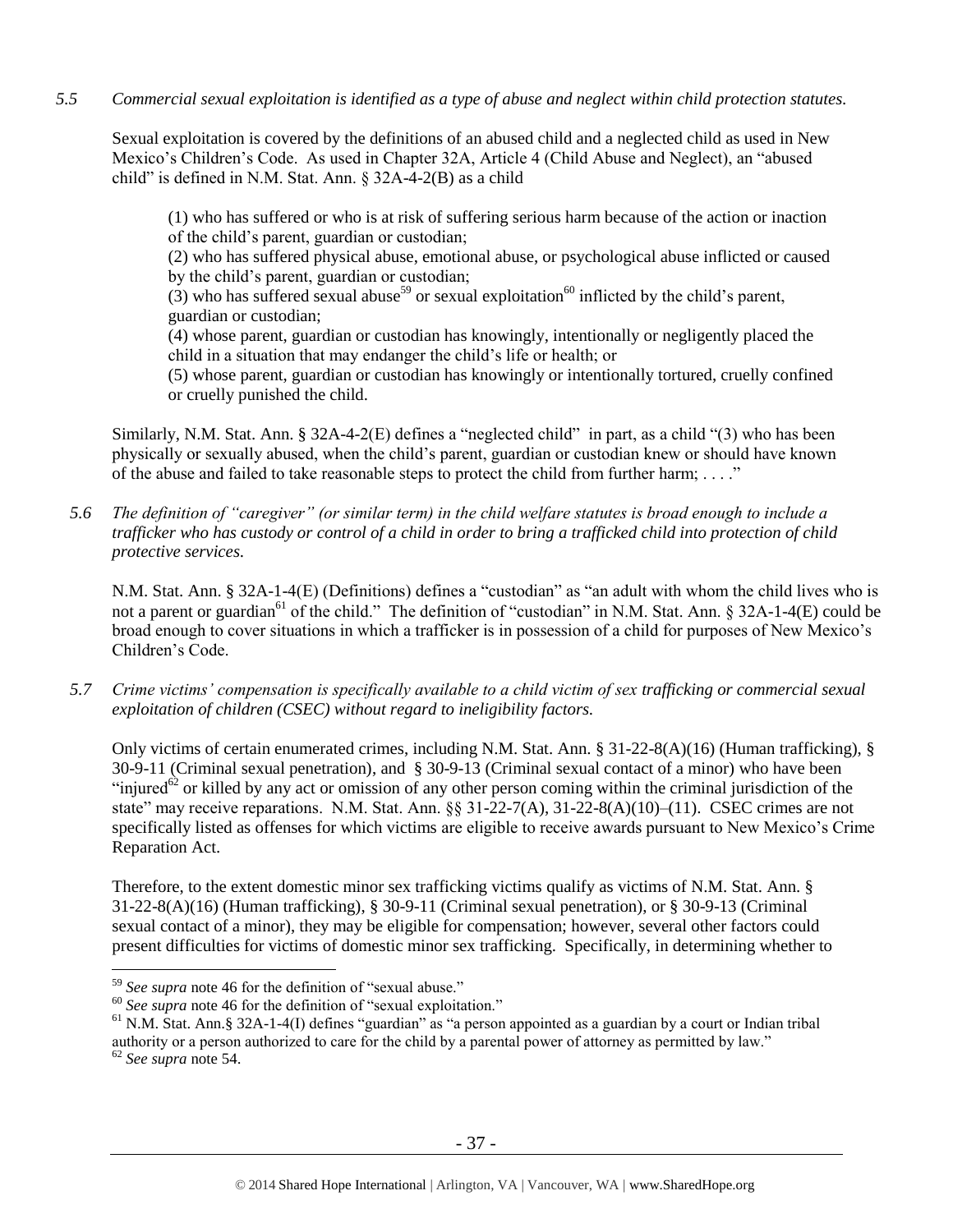*5.5 Commercial sexual exploitation is identified as a type of abuse and neglect within child protection statutes.*

Sexual exploitation is covered by the definitions of an abused child and a neglected child as used in New Mexico's Children's Code. As used in Chapter 32A, Article 4 (Child Abuse and Neglect), an "abused child" is defined in N.M. Stat. Ann. § 32A-4-2(B) as a child

(1) who has suffered or who is at risk of suffering serious harm because of the action or inaction of the child's parent, guardian or custodian;

(2) who has suffered physical abuse, emotional abuse, or psychological abuse inflicted or caused by the child's parent, guardian or custodian;

(3) who has suffered sexual abuse<sup>59</sup> or sexual exploitation<sup>60</sup> inflicted by the child's parent, guardian or custodian;

(4) whose parent, guardian or custodian has knowingly, intentionally or negligently placed the child in a situation that may endanger the child's life or health; or

(5) whose parent, guardian or custodian has knowingly or intentionally tortured, cruelly confined or cruelly punished the child.

Similarly, N.M. Stat. Ann. § 32A-4-2(E) defines a "neglected child" in part, as a child "(3) who has been physically or sexually abused, when the child's parent, guardian or custodian knew or should have known of the abuse and failed to take reasonable steps to protect the child from further harm; . . . ."

*5.6 The definition of "caregiver" (or similar term) in the child welfare statutes is broad enough to include a trafficker who has custody or control of a child in order to bring a trafficked child into protection of child protective services.*

N.M. Stat. Ann. § 32A-1-4(E) (Definitions) defines a "custodian" as "an adult with whom the child lives who is not a parent or guardian<sup>61</sup> of the child." The definition of "custodian" in N.M. Stat. Ann. § 32A-1-4(E) could be broad enough to cover situations in which a trafficker is in possession of a child for purposes of New Mexico's Children's Code.

*5.7 Crime victims' compensation is specifically available to a child victim of sex trafficking or commercial sexual exploitation of children (CSEC) without regard to ineligibility factors.*

Only victims of certain enumerated crimes, including N.M. Stat. Ann. § 31-22-8(A)(16) (Human trafficking), § 30-9-11 (Criminal sexual penetration), and § 30-9-13 (Criminal sexual contact of a minor) who have been "injured $^{62}$  or killed by any act or omission of any other person coming within the criminal jurisdiction of the state" may receive reparations. N.M. Stat. Ann. §§ 31-22-7(A), 31-22-8(A)(10)–(11). CSEC crimes are not specifically listed as offenses for which victims are eligible to receive awards pursuant to New Mexico's Crime Reparation Act.

Therefore, to the extent domestic minor sex trafficking victims qualify as victims of N.M. Stat. Ann. § 31-22-8(A)(16) (Human trafficking), § 30-9-11 (Criminal sexual penetration), or § 30-9-13 (Criminal sexual contact of a minor), they may be eligible for compensation; however, several other factors could present difficulties for victims of domestic minor sex trafficking. Specifically, in determining whether to

<sup>59</sup> *See supra* note [46](#page-19-0) for the definition of "sexual abuse."

<sup>&</sup>lt;sup>60</sup> See supra note [46](#page-19-0) for the definition of "sexual exploitation."

<sup>&</sup>lt;sup>61</sup> N.M. Stat. Ann.§ 32A-1-4(I) defines "guardian" as "a person appointed as a guardian by a court or Indian tribal authority or a person authorized to care for the child by a parental power of attorney as permitted by law."

<sup>62</sup> *See supra* note [54.](#page-25-0)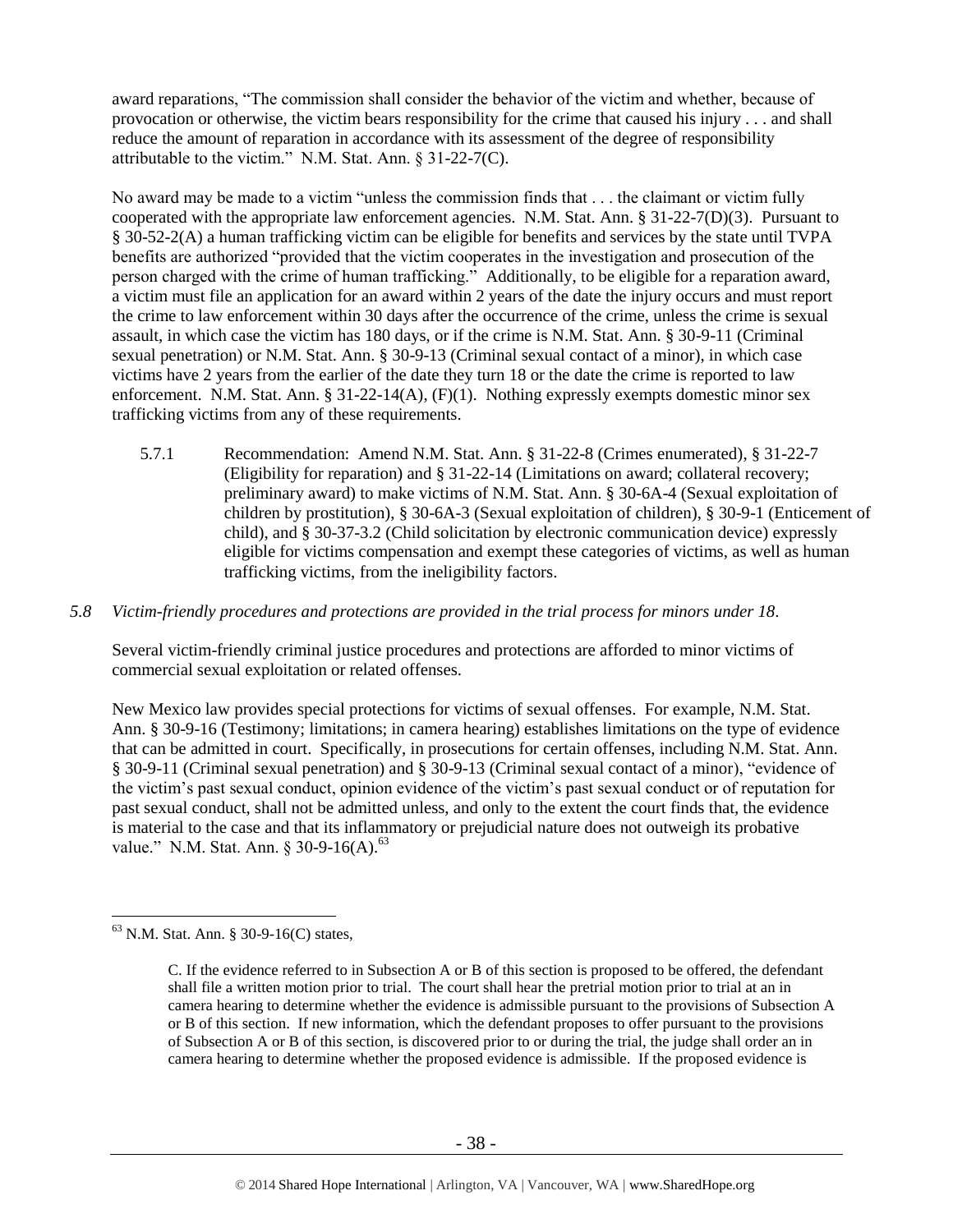award reparations, "The commission shall consider the behavior of the victim and whether, because of provocation or otherwise, the victim bears responsibility for the crime that caused his injury . . . and shall reduce the amount of reparation in accordance with its assessment of the degree of responsibility attributable to the victim." N.M. Stat. Ann. § 31-22-7(C).

No award may be made to a victim "unless the commission finds that . . . the claimant or victim fully cooperated with the appropriate law enforcement agencies. N.M. Stat. Ann. § 31-22-7(D)(3). Pursuant to § 30-52-2(A) a human trafficking victim can be eligible for benefits and services by the state until TVPA benefits are authorized "provided that the victim cooperates in the investigation and prosecution of the person charged with the crime of human trafficking." Additionally, to be eligible for a reparation award, a victim must file an application for an award within 2 years of the date the injury occurs and must report the crime to law enforcement within 30 days after the occurrence of the crime, unless the crime is sexual assault, in which case the victim has 180 days, or if the crime is N.M. Stat. Ann. § 30-9-11 (Criminal sexual penetration) or N.M. Stat. Ann. § 30-9-13 (Criminal sexual contact of a minor), in which case victims have 2 years from the earlier of the date they turn 18 or the date the crime is reported to law enforcement. N.M. Stat. Ann. § 31-22-14(A), (F)(1). Nothing expressly exempts domestic minor sex trafficking victims from any of these requirements.

5.7.1 Recommendation: Amend N.M. Stat. Ann. § 31-22-8 (Crimes enumerated), § 31-22-7 (Eligibility for reparation) and § 31-22-14 (Limitations on award; collateral recovery; preliminary award) to make victims of N.M. Stat. Ann. § 30-6A-4 (Sexual exploitation of children by prostitution), § 30-6A-3 (Sexual exploitation of children), § 30-9-1 (Enticement of child), and § 30-37-3.2 (Child solicitation by electronic communication device) expressly eligible for victims compensation and exempt these categories of victims, as well as human trafficking victims, from the ineligibility factors.

# *5.8 Victim-friendly procedures and protections are provided in the trial process for minors under 18.*

Several victim-friendly criminal justice procedures and protections are afforded to minor victims of commercial sexual exploitation or related offenses.

New Mexico law provides special protections for victims of sexual offenses. For example, N.M. Stat. Ann. § 30-9-16 (Testimony; limitations; in camera hearing) establishes limitations on the type of evidence that can be admitted in court. Specifically, in prosecutions for certain offenses, including N.M. Stat. Ann. § 30-9-11 (Criminal sexual penetration) and § 30-9-13 (Criminal sexual contact of a minor), "evidence of the victim's past sexual conduct, opinion evidence of the victim's past sexual conduct or of reputation for past sexual conduct, shall not be admitted unless, and only to the extent the court finds that, the evidence is material to the case and that its inflammatory or prejudicial nature does not outweigh its probative value." N.M. Stat. Ann. § 30-9-16(A).<sup>63</sup>

<sup>63</sup> N.M. Stat. Ann. § 30-9-16(C) states,

C. If the evidence referred to in Subsection A or B of this section is proposed to be offered, the defendant shall file a written motion prior to trial. The court shall hear the pretrial motion prior to trial at an in camera hearing to determine whether the evidence is admissible pursuant to the provisions of Subsection A or B of this section. If new information, which the defendant proposes to offer pursuant to the provisions of Subsection A or B of this section, is discovered prior to or during the trial, the judge shall order an in camera hearing to determine whether the proposed evidence is admissible. If the proposed evidence is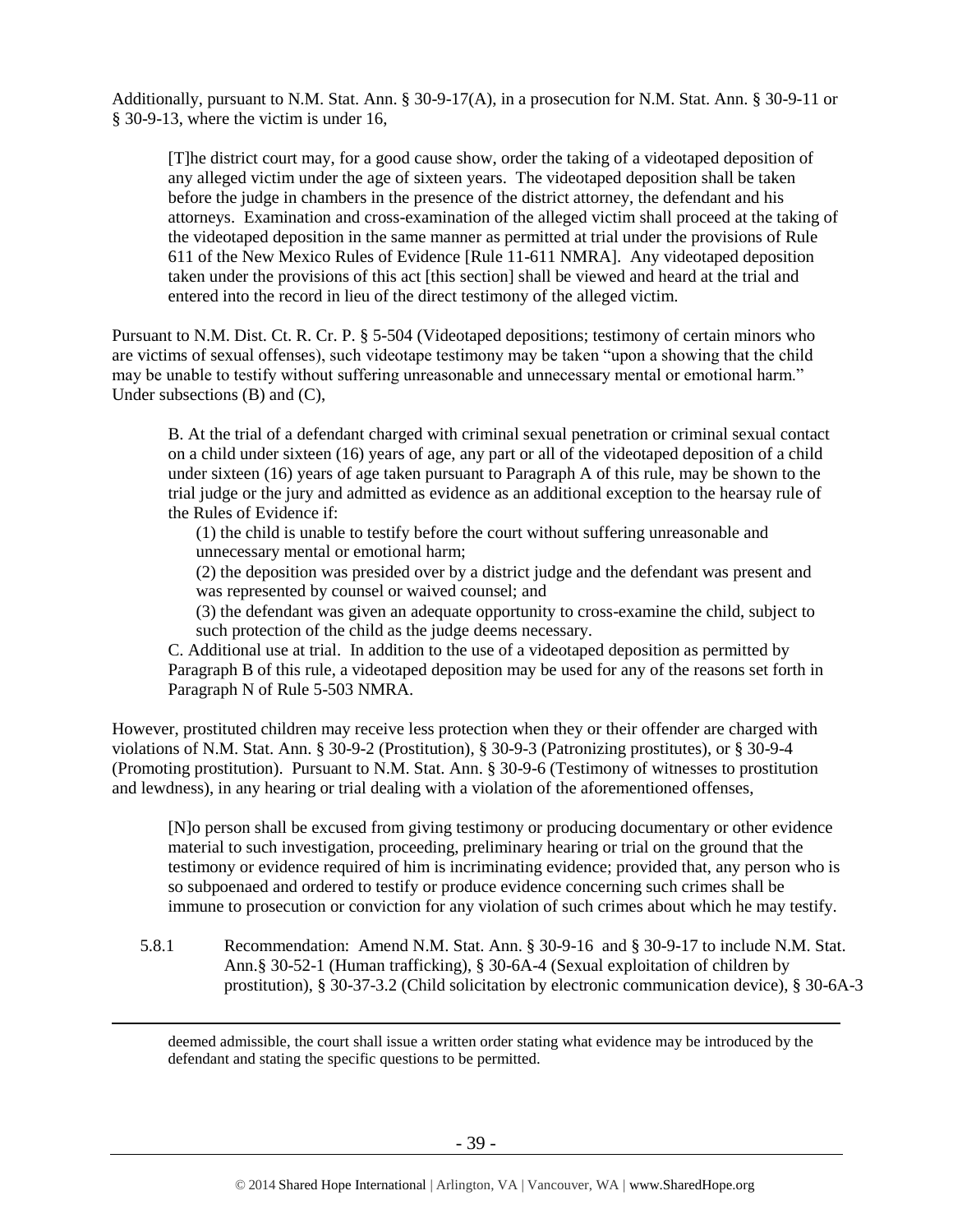Additionally, pursuant to N.M. Stat. Ann. § 30-9-17(A), in a prosecution for N.M. Stat. Ann. § 30-9-11 or § 30-9-13, where the victim is under 16,

[T]he district court may, for a good cause show, order the taking of a videotaped deposition of any alleged victim under the age of sixteen years. The videotaped deposition shall be taken before the judge in chambers in the presence of the district attorney, the defendant and his attorneys. Examination and cross-examination of the alleged victim shall proceed at the taking of the videotaped deposition in the same manner as permitted at trial under the provisions of Rule 611 of the New Mexico Rules of Evidence [Rule 11-611 NMRA]. Any videotaped deposition taken under the provisions of this act [this section] shall be viewed and heard at the trial and entered into the record in lieu of the direct testimony of the alleged victim.

Pursuant to N.M. Dist. Ct. R. Cr. P. § 5-504 (Videotaped depositions; testimony of certain minors who are victims of sexual offenses), such videotape testimony may be taken "upon a showing that the child may be unable to testify without suffering unreasonable and unnecessary mental or emotional harm." Under subsections (B) and (C),

B. At the trial of a defendant charged with criminal sexual penetration or criminal sexual contact on a child under sixteen (16) years of age, any part or all of the videotaped deposition of a child under sixteen (16) years of age taken pursuant to Paragraph A of this rule, may be shown to the trial judge or the jury and admitted as evidence as an additional exception to the hearsay rule of the Rules of Evidence if:

(1) the child is unable to testify before the court without suffering unreasonable and unnecessary mental or emotional harm;

(2) the deposition was presided over by a district judge and the defendant was present and was represented by counsel or waived counsel; and

(3) the defendant was given an adequate opportunity to cross-examine the child, subject to such protection of the child as the judge deems necessary.

C. Additional use at trial. In addition to the use of a videotaped deposition as permitted by Paragraph B of this rule, a videotaped deposition may be used for any of the reasons set forth in Paragraph N of Rule 5-503 NMRA.

However, prostituted children may receive less protection when they or their offender are charged with violations of N.M. Stat. Ann. § 30-9-2 (Prostitution), § 30-9-3 (Patronizing prostitutes), or § 30-9-4 (Promoting prostitution). Pursuant to N.M. Stat. Ann. § 30-9-6 (Testimony of witnesses to prostitution and lewdness), in any hearing or trial dealing with a violation of the aforementioned offenses,

[N]o person shall be excused from giving testimony or producing documentary or other evidence material to such investigation, proceeding, preliminary hearing or trial on the ground that the testimony or evidence required of him is incriminating evidence; provided that, any person who is so subpoenaed and ordered to testify or produce evidence concerning such crimes shall be immune to prosecution or conviction for any violation of such crimes about which he may testify.

5.8.1 Recommendation: Amend N.M. Stat. Ann. § 30-9-16 and § 30-9-17 to include N.M. Stat. Ann.§ 30-52-1 (Human trafficking), § 30-6A-4 (Sexual exploitation of children by prostitution), § 30-37-3.2 (Child solicitation by electronic communication device), § 30-6A-3

deemed admissible, the court shall issue a written order stating what evidence may be introduced by the defendant and stating the specific questions to be permitted.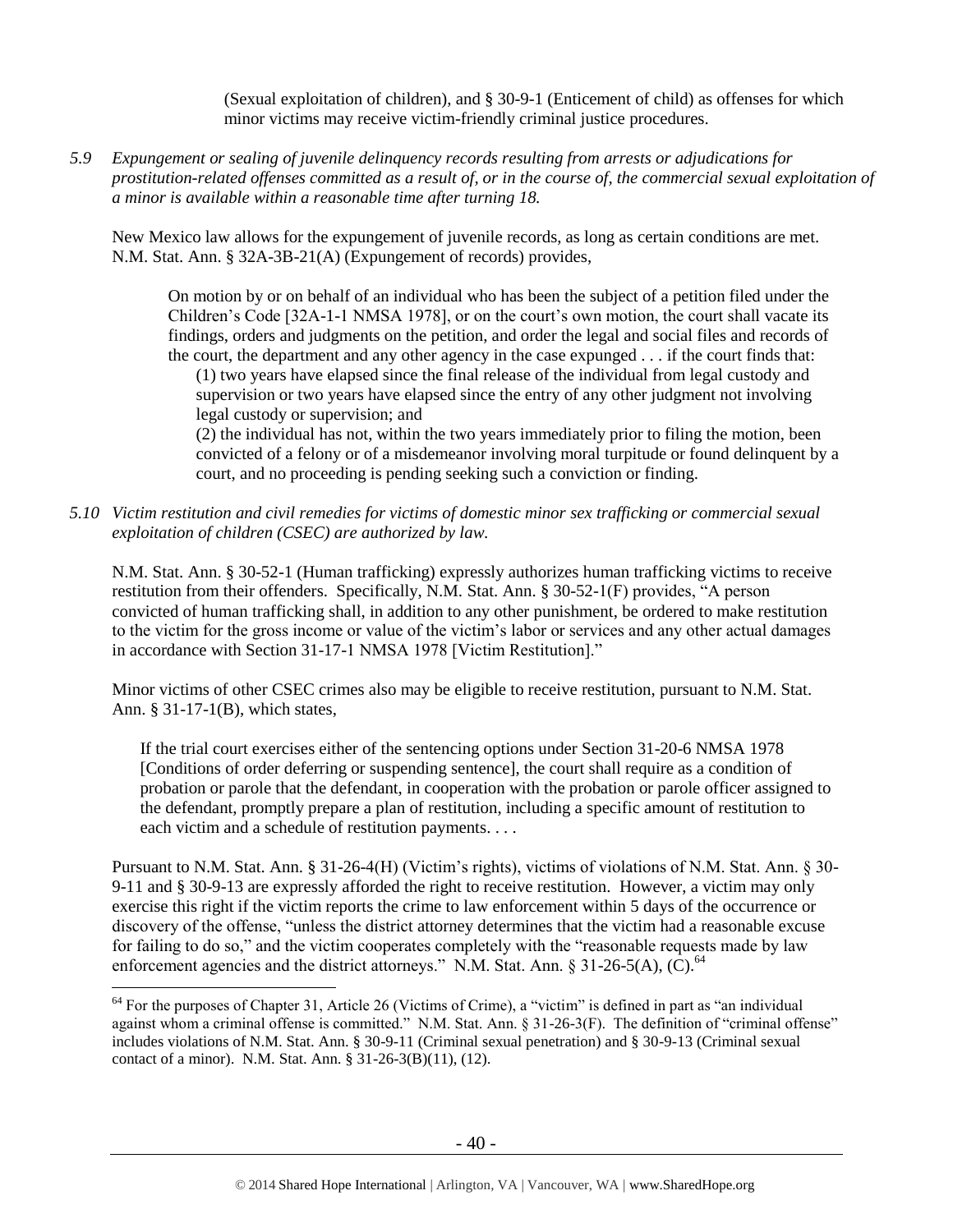(Sexual exploitation of children), and § 30-9-1 (Enticement of child) as offenses for which minor victims may receive victim-friendly criminal justice procedures.

*5.9 Expungement or sealing of juvenile delinquency records resulting from arrests or adjudications for prostitution-related offenses committed as a result of, or in the course of, the commercial sexual exploitation of a minor is available within a reasonable time after turning 18.*

New Mexico law allows for the expungement of juvenile records, as long as certain conditions are met. N.M. Stat. Ann. § 32A-3B-21(A) (Expungement of records) provides,

On motion by or on behalf of an individual who has been the subject of a petition filed under the Children's Code [32A-1-1 NMSA 1978], or on the court's own motion, the court shall vacate its findings, orders and judgments on the petition, and order the legal and social files and records of the court, the department and any other agency in the case expunged . . . if the court finds that: (1) two years have elapsed since the final release of the individual from legal custody and

supervision or two years have elapsed since the entry of any other judgment not involving legal custody or supervision; and

(2) the individual has not, within the two years immediately prior to filing the motion, been convicted of a felony or of a misdemeanor involving moral turpitude or found delinquent by a court, and no proceeding is pending seeking such a conviction or finding.

*5.10 Victim restitution and civil remedies for victims of domestic minor sex trafficking or commercial sexual exploitation of children (CSEC) are authorized by law.*

N.M. Stat. Ann. § 30-52-1 (Human trafficking) expressly authorizes human trafficking victims to receive restitution from their offenders. Specifically, N.M. Stat. Ann. § 30-52-1(F) provides, "A person convicted of human trafficking shall, in addition to any other punishment, be ordered to make restitution to the victim for the gross income or value of the victim's labor or services and any other actual damages in accordance with Section 31-17-1 NMSA 1978 [Victim Restitution]."

Minor victims of other CSEC crimes also may be eligible to receive restitution, pursuant to N.M. Stat. Ann. § 31-17-1(B), which states,

If the trial court exercises either of the sentencing options under Section 31-20-6 NMSA 1978 [Conditions of order deferring or suspending sentence], the court shall require as a condition of probation or parole that the defendant, in cooperation with the probation or parole officer assigned to the defendant, promptly prepare a plan of restitution, including a specific amount of restitution to each victim and a schedule of restitution payments. . . .

Pursuant to N.M. Stat. Ann. § 31-26-4(H) (Victim's rights), victims of violations of N.M. Stat. Ann. § 30- 9-11 and § 30-9-13 are expressly afforded the right to receive restitution. However, a victim may only exercise this right if the victim reports the crime to law enforcement within 5 days of the occurrence or discovery of the offense, "unless the district attorney determines that the victim had a reasonable excuse for failing to do so," and the victim cooperates completely with the "reasonable requests made by law enforcement agencies and the district attorneys." N.M. Stat. Ann. § 31-26-5(A),  $(\hat{C})$ .<sup>64</sup>

 $\overline{a}$ <sup>64</sup> For the purposes of Chapter 31, Article 26 (Victims of Crime), a "victim" is defined in part as "an individual against whom a criminal offense is committed." N.M. Stat. Ann. § 31-26-3(F). The definition of "criminal offense" includes violations of N.M. Stat. Ann. § 30-9-11 (Criminal sexual penetration) and § 30-9-13 (Criminal sexual contact of a minor). N.M. Stat. Ann. § 31-26-3(B)(11), (12).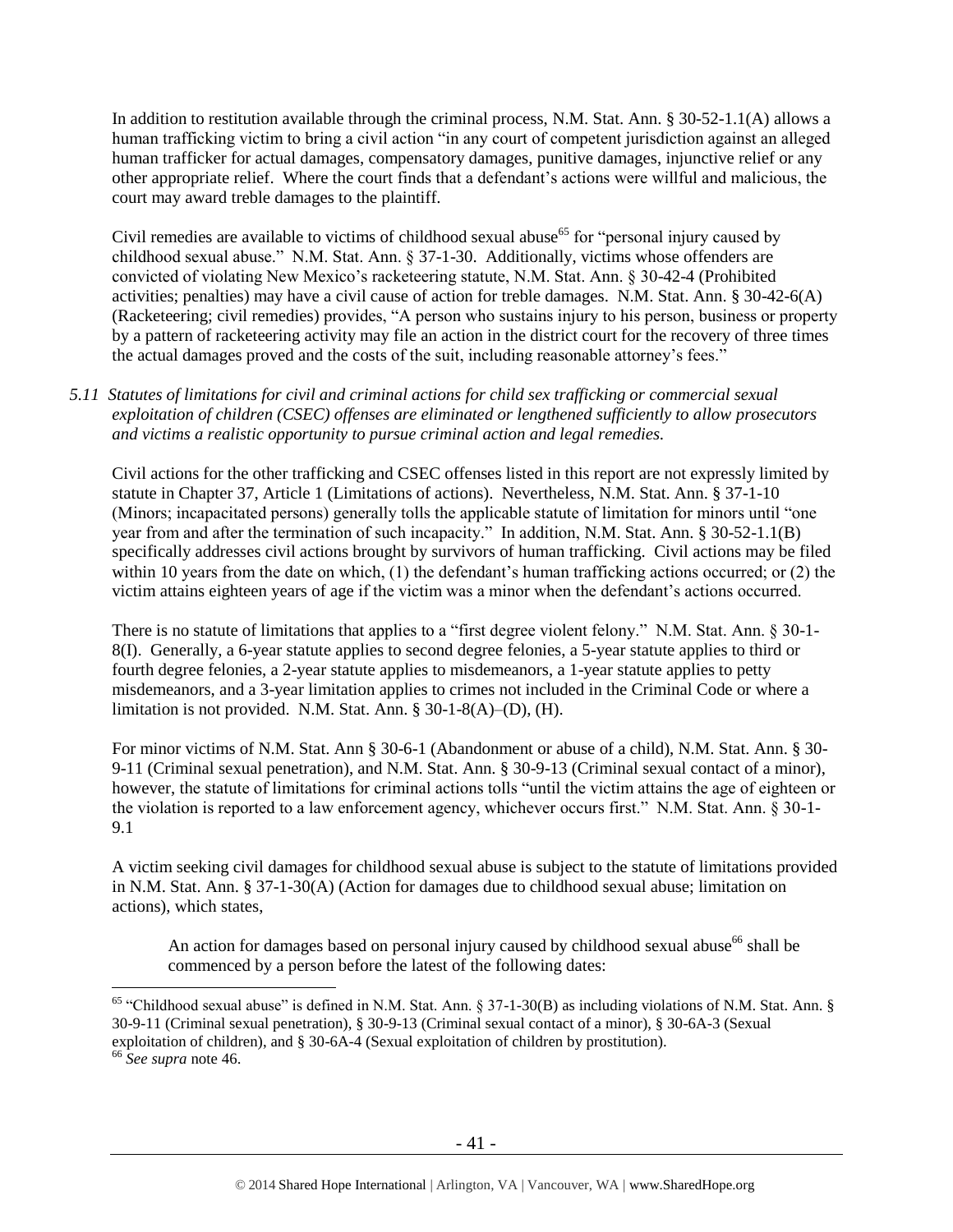In addition to restitution available through the criminal process, N.M. Stat. Ann. § 30-52-1.1(A) allows a human trafficking victim to bring a civil action "in any court of competent jurisdiction against an alleged human trafficker for actual damages, compensatory damages, punitive damages, injunctive relief or any other appropriate relief. Where the court finds that a defendant's actions were willful and malicious, the court may award treble damages to the plaintiff.

Civil remedies are available to victims of childhood sexual abuse<sup>65</sup> for "personal injury caused by childhood sexual abuse." N.M. Stat. Ann. § 37-1-30. Additionally, victims whose offenders are convicted of violating New Mexico's racketeering statute, N.M. Stat. Ann. § 30-42-4 (Prohibited activities; penalties) may have a civil cause of action for treble damages. N.M. Stat. Ann. § 30-42-6(A) (Racketeering; civil remedies) provides, "A person who sustains injury to his person, business or property by a pattern of racketeering activity may file an action in the district court for the recovery of three times the actual damages proved and the costs of the suit, including reasonable attorney's fees."

*5.11 Statutes of limitations for civil and criminal actions for child sex trafficking or commercial sexual exploitation of children (CSEC) offenses are eliminated or lengthened sufficiently to allow prosecutors and victims a realistic opportunity to pursue criminal action and legal remedies.*

Civil actions for the other trafficking and CSEC offenses listed in this report are not expressly limited by statute in Chapter 37, Article 1 (Limitations of actions). Nevertheless, N.M. Stat. Ann. § 37-1-10 (Minors; incapacitated persons) generally tolls the applicable statute of limitation for minors until "one year from and after the termination of such incapacity." In addition, N.M. Stat. Ann. § 30-52-1.1(B) specifically addresses civil actions brought by survivors of human trafficking. Civil actions may be filed within 10 years from the date on which, (1) the defendant's human trafficking actions occurred; or (2) the victim attains eighteen years of age if the victim was a minor when the defendant's actions occurred.

There is no statute of limitations that applies to a "first degree violent felony." N.M. Stat. Ann. § 30-1- 8(I). Generally, a 6-year statute applies to second degree felonies, a 5-year statute applies to third or fourth degree felonies, a 2-year statute applies to misdemeanors, a 1-year statute applies to petty misdemeanors, and a 3-year limitation applies to crimes not included in the Criminal Code or where a limitation is not provided. N.M. Stat. Ann. § 30-1-8(A)–(D), (H).

For minor victims of N.M. Stat. Ann § 30-6-1 (Abandonment or abuse of a child), N.M. Stat. Ann. § 30- 9-11 (Criminal sexual penetration), and N.M. Stat. Ann. § 30-9-13 (Criminal sexual contact of a minor), however, the statute of limitations for criminal actions tolls "until the victim attains the age of eighteen or the violation is reported to a law enforcement agency, whichever occurs first." N.M. Stat. Ann. § 30-1- 9.1

A victim seeking civil damages for childhood sexual abuse is subject to the statute of limitations provided in N.M. Stat. Ann. § 37-1-30(A) (Action for damages due to childhood sexual abuse; limitation on actions), which states,

An action for damages based on personal injury caused by childhood sexual abuse<sup>66</sup> shall be commenced by a person before the latest of the following dates:

<sup>65</sup> "Childhood sexual abuse" is defined in N.M. Stat. Ann. § 37-1-30(B) as including violations of N.M. Stat. Ann. § 30-9-11 (Criminal sexual penetration), § 30-9-13 (Criminal sexual contact of a minor), § 30-6A-3 (Sexual exploitation of children), and § 30-6A-4 (Sexual exploitation of children by prostitution). <sup>66</sup> *See supra* note [46.](#page-19-0)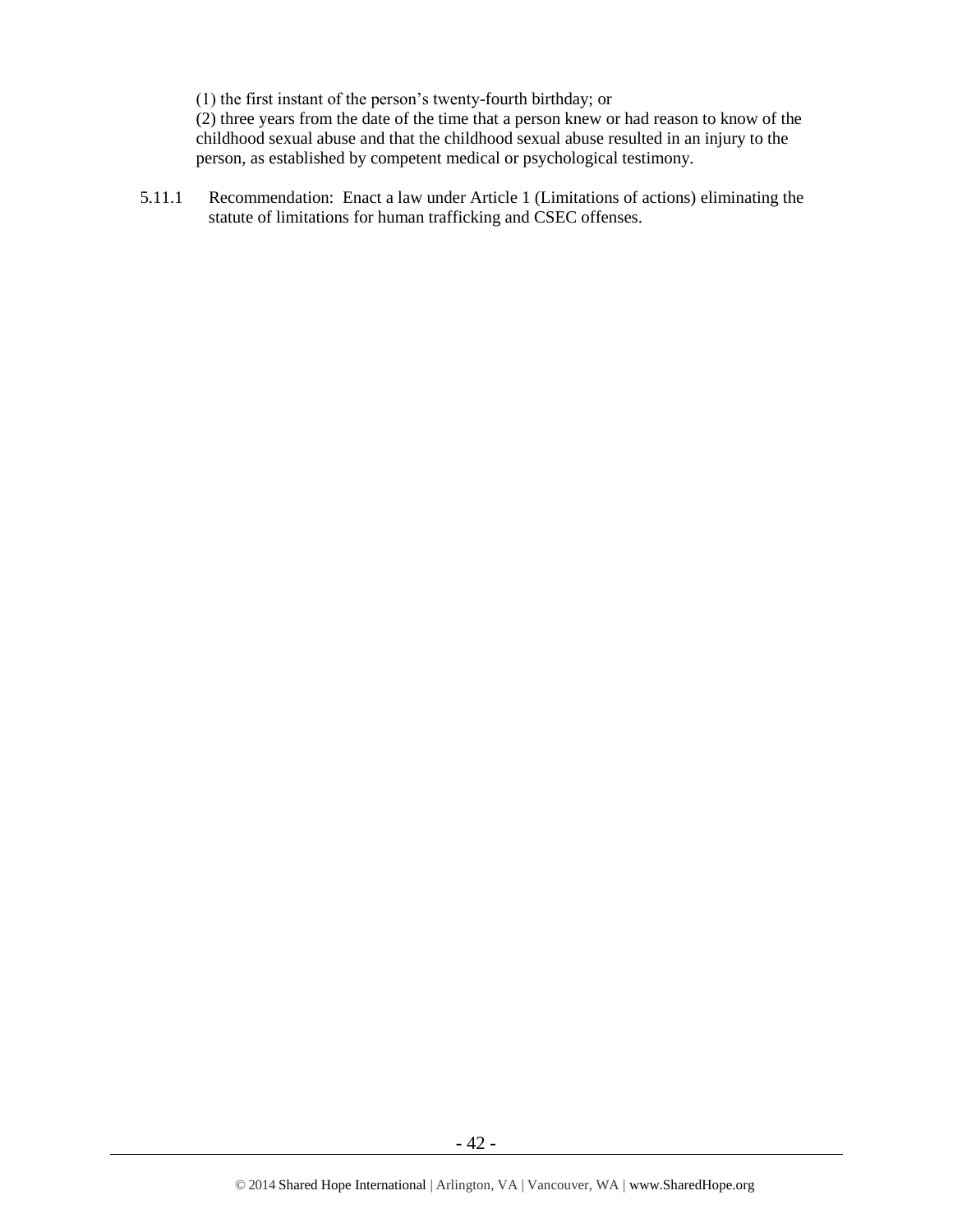(1) the first instant of the person's twenty-fourth birthday; or

(2) three years from the date of the time that a person knew or had reason to know of the childhood sexual abuse and that the childhood sexual abuse resulted in an injury to the person, as established by competent medical or psychological testimony.

5.11.1 Recommendation: Enact a law under Article 1 (Limitations of actions) eliminating the statute of limitations for human trafficking and CSEC offenses.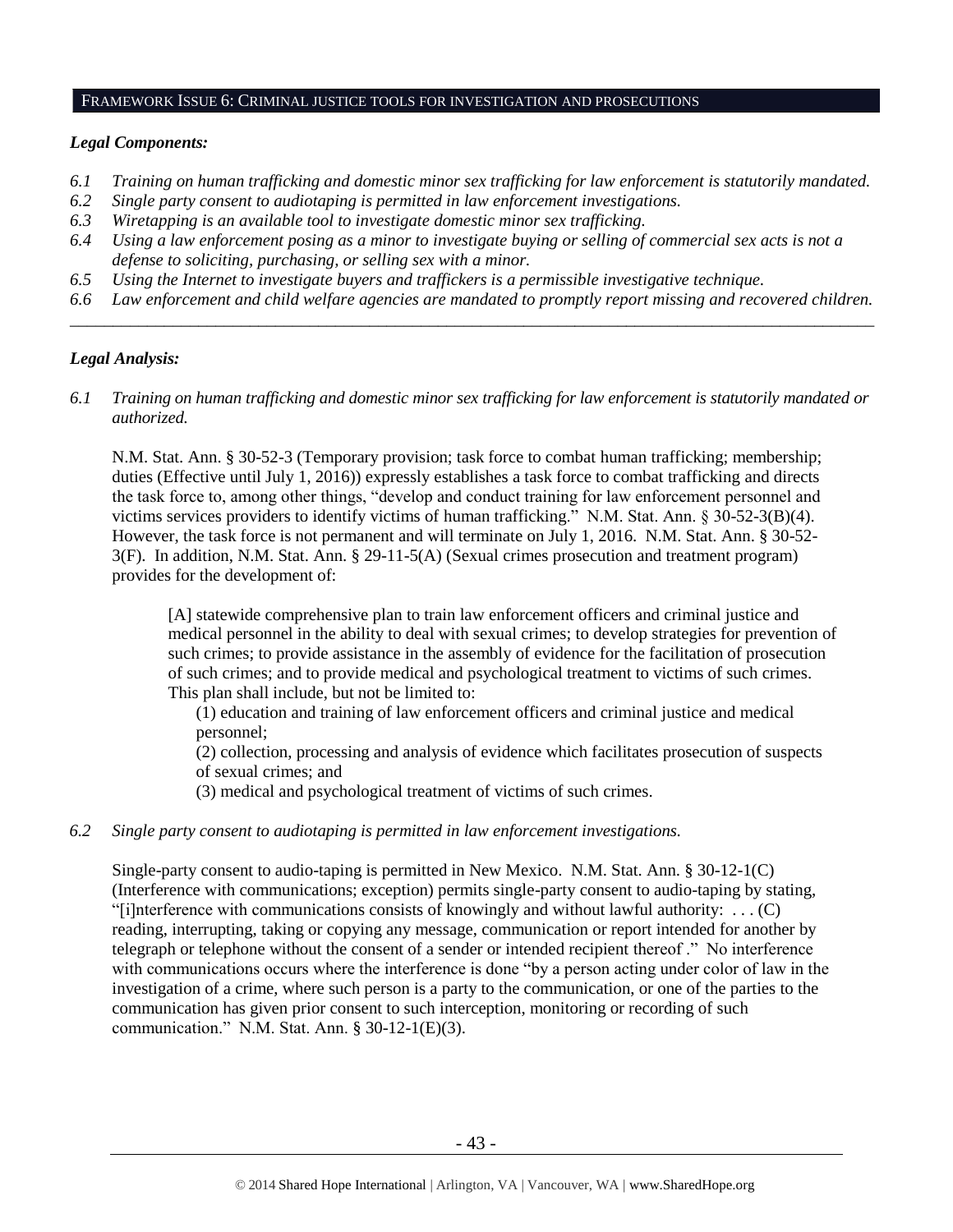#### FRAMEWORK ISSUE 6: CRIMINAL JUSTICE TOOLS FOR INVESTIGATION AND PROSECUTIONS

# *Legal Components:*

- *6.1 Training on human trafficking and domestic minor sex trafficking for law enforcement is statutorily mandated.*
- *6.2 Single party consent to audiotaping is permitted in law enforcement investigations.*
- *6.3 Wiretapping is an available tool to investigate domestic minor sex trafficking.*
- *6.4 Using a law enforcement posing as a minor to investigate buying or selling of commercial sex acts is not a defense to soliciting, purchasing, or selling sex with a minor.*
- *6.5 Using the Internet to investigate buyers and traffickers is a permissible investigative technique.*
- *6.6 Law enforcement and child welfare agencies are mandated to promptly report missing and recovered children. \_\_\_\_\_\_\_\_\_\_\_\_\_\_\_\_\_\_\_\_\_\_\_\_\_\_\_\_\_\_\_\_\_\_\_\_\_\_\_\_\_\_\_\_\_\_\_\_\_\_\_\_\_\_\_\_\_\_\_\_\_\_\_\_\_\_\_\_\_\_\_\_\_\_\_\_\_\_\_\_\_\_\_\_\_\_\_\_\_\_\_\_\_\_*

# *Legal Analysis:*

*6.1 Training on human trafficking and domestic minor sex trafficking for law enforcement is statutorily mandated or authorized.*

N.M. Stat. Ann. § 30-52-3 (Temporary provision; task force to combat human trafficking; membership; duties (Effective until July 1, 2016)) expressly establishes a task force to combat trafficking and directs the task force to, among other things, "develop and conduct training for law enforcement personnel and victims services providers to identify victims of human trafficking." N.M. Stat. Ann. § 30-52-3(B)(4). However, the task force is not permanent and will terminate on July 1, 2016. N.M. Stat. Ann. § 30-52- 3(F). In addition, N.M. Stat. Ann. § 29-11-5(A) (Sexual crimes prosecution and treatment program) provides for the development of:

[A] statewide comprehensive plan to train law enforcement officers and criminal justice and medical personnel in the ability to deal with sexual crimes; to develop strategies for prevention of such crimes; to provide assistance in the assembly of evidence for the facilitation of prosecution of such crimes; and to provide medical and psychological treatment to victims of such crimes. This plan shall include, but not be limited to:

(1) education and training of law enforcement officers and criminal justice and medical personnel;

(2) collection, processing and analysis of evidence which facilitates prosecution of suspects of sexual crimes; and

(3) medical and psychological treatment of victims of such crimes.

# *6.2 Single party consent to audiotaping is permitted in law enforcement investigations.*

Single-party consent to audio-taping is permitted in New Mexico. N.M. Stat. Ann. § 30-12-1(C) (Interference with communications; exception) permits single-party consent to audio-taping by stating, "[i]nterference with communications consists of knowingly and without lawful authority: . . . (C) reading, interrupting, taking or copying any message, communication or report intended for another by telegraph or telephone without the consent of a sender or intended recipient thereof ." No interference with communications occurs where the interference is done "by a person acting under color of law in the investigation of a crime, where such person is a party to the communication, or one of the parties to the communication has given prior consent to such interception, monitoring or recording of such communication." N.M. Stat. Ann. § 30-12-1(E)(3).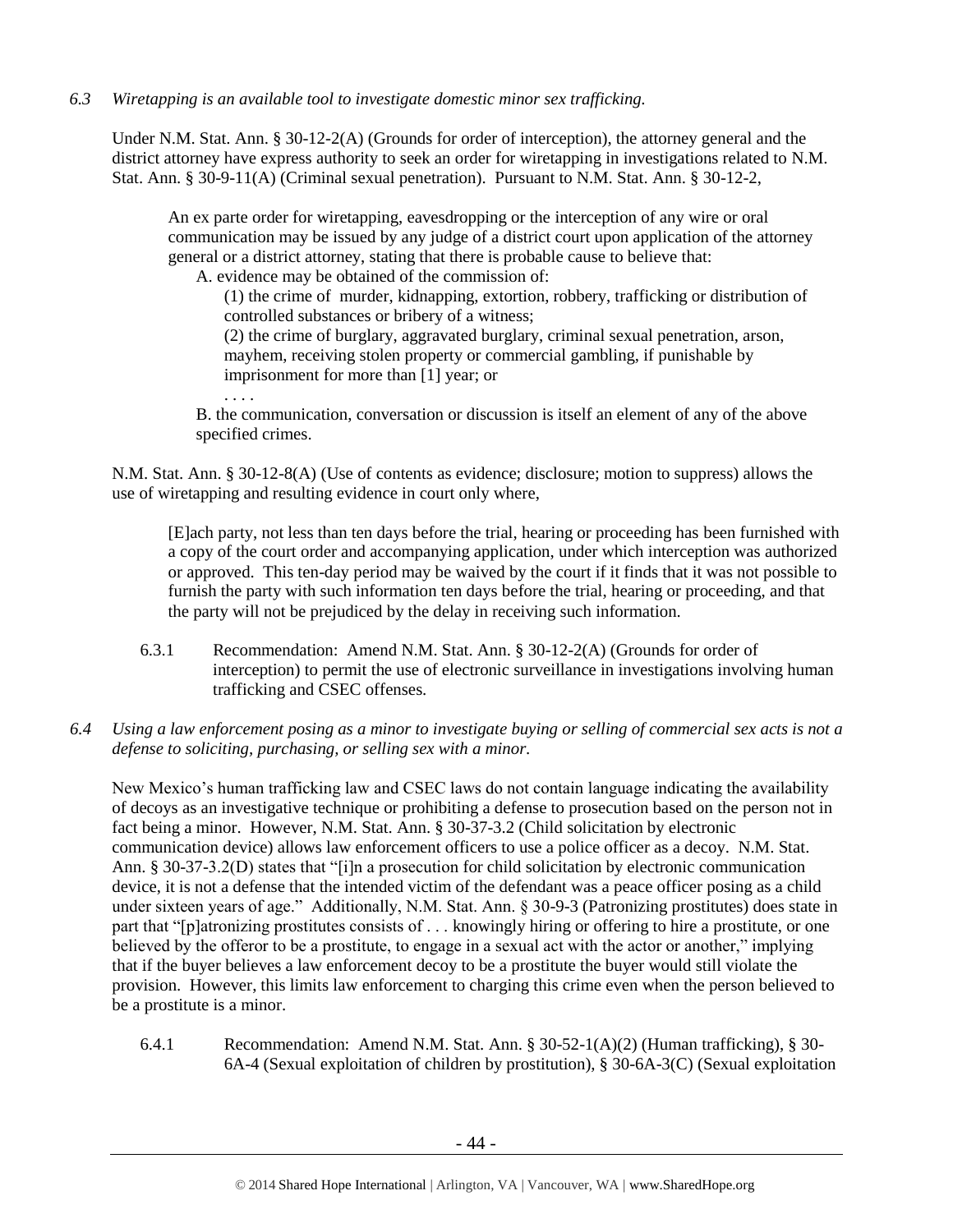*6.3 Wiretapping is an available tool to investigate domestic minor sex trafficking.* 

Under N.M. Stat. Ann. § 30-12-2(A) (Grounds for order of interception), the attorney general and the district attorney have express authority to seek an order for wiretapping in investigations related to N.M. Stat. Ann. § 30-9-11(A) (Criminal sexual penetration). Pursuant to N.M. Stat. Ann. § 30-12-2,

An ex parte order for wiretapping, eavesdropping or the interception of any wire or oral communication may be issued by any judge of a district court upon application of the attorney general or a district attorney, stating that there is probable cause to believe that:

A. evidence may be obtained of the commission of:

. . . .

(1) the crime of murder, kidnapping, extortion, robbery, trafficking or distribution of controlled substances or bribery of a witness;

(2) the crime of burglary, aggravated burglary, criminal sexual penetration, arson, mayhem, receiving stolen property or commercial gambling, if punishable by imprisonment for more than [1] year; or

B. the communication, conversation or discussion is itself an element of any of the above specified crimes.

N.M. Stat. Ann. § 30-12-8(A) (Use of contents as evidence; disclosure; motion to suppress) allows the use of wiretapping and resulting evidence in court only where,

[E]ach party, not less than ten days before the trial, hearing or proceeding has been furnished with a copy of the court order and accompanying application, under which interception was authorized or approved. This ten-day period may be waived by the court if it finds that it was not possible to furnish the party with such information ten days before the trial, hearing or proceeding, and that the party will not be prejudiced by the delay in receiving such information.

- 6.3.1 Recommendation: Amend N.M. Stat. Ann. § 30-12-2(A) (Grounds for order of interception) to permit the use of electronic surveillance in investigations involving human trafficking and CSEC offenses.
- *6.4 Using a law enforcement posing as a minor to investigate buying or selling of commercial sex acts is not a defense to soliciting, purchasing, or selling sex with a minor.*

New Mexico's human trafficking law and CSEC laws do not contain language indicating the availability of decoys as an investigative technique or prohibiting a defense to prosecution based on the person not in fact being a minor. However, N.M. Stat. Ann. § 30-37-3.2 (Child solicitation by electronic communication device) allows law enforcement officers to use a police officer as a decoy. N.M. Stat. Ann. § 30-37-3.2(D) states that "[i]n a prosecution for child solicitation by electronic communication device, it is not a defense that the intended victim of the defendant was a peace officer posing as a child under sixteen years of age." Additionally, N.M. Stat. Ann. § 30-9-3 (Patronizing prostitutes) does state in part that "[p]atronizing prostitutes consists of . . . knowingly hiring or offering to hire a prostitute, or one believed by the offeror to be a prostitute, to engage in a sexual act with the actor or another," implying that if the buyer believes a law enforcement decoy to be a prostitute the buyer would still violate the provision. However, this limits law enforcement to charging this crime even when the person believed to be a prostitute is a minor.

6.4.1 Recommendation: Amend N.M. Stat. Ann. § 30-52-1(A)(2) (Human trafficking), § 30- 6A-4 (Sexual exploitation of children by prostitution), § 30-6A-3(C) (Sexual exploitation